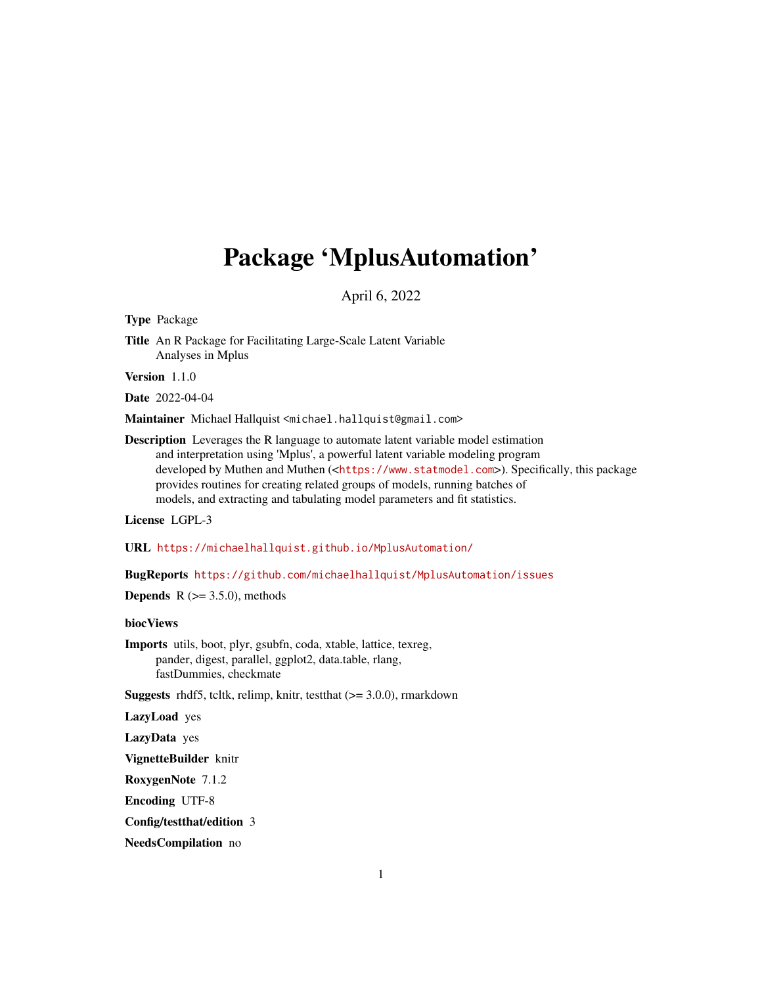# <span id="page-0-0"></span>Package 'MplusAutomation'

April 6, 2022

Type Package

Title An R Package for Facilitating Large-Scale Latent Variable Analyses in Mplus

Version 1.1.0

Date 2022-04-04

Maintainer Michael Hallquist <michael.hallquist@gmail.com>

Description Leverages the R language to automate latent variable model estimation and interpretation using 'Mplus', a powerful latent variable modeling program developed by Muthen and Muthen (<<https://www.statmodel.com>>). Specifically, this package provides routines for creating related groups of models, running batches of models, and extracting and tabulating model parameters and fit statistics.

License LGPL-3

URL <https://michaelhallquist.github.io/MplusAutomation/>

BugReports <https://github.com/michaelhallquist/MplusAutomation/issues>

**Depends** R  $(>= 3.5.0)$ , methods

biocViews

Imports utils, boot, plyr, gsubfn, coda, xtable, lattice, texreg, pander, digest, parallel, ggplot2, data.table, rlang, fastDummies, checkmate

**Suggests** rhdf5, tcltk, relimp, knitr, testthat  $(>= 3.0.0)$ , rmarkdown

LazyLoad yes

LazyData yes

VignetteBuilder knitr

RoxygenNote 7.1.2

Encoding UTF-8

Config/testthat/edition 3

NeedsCompilation no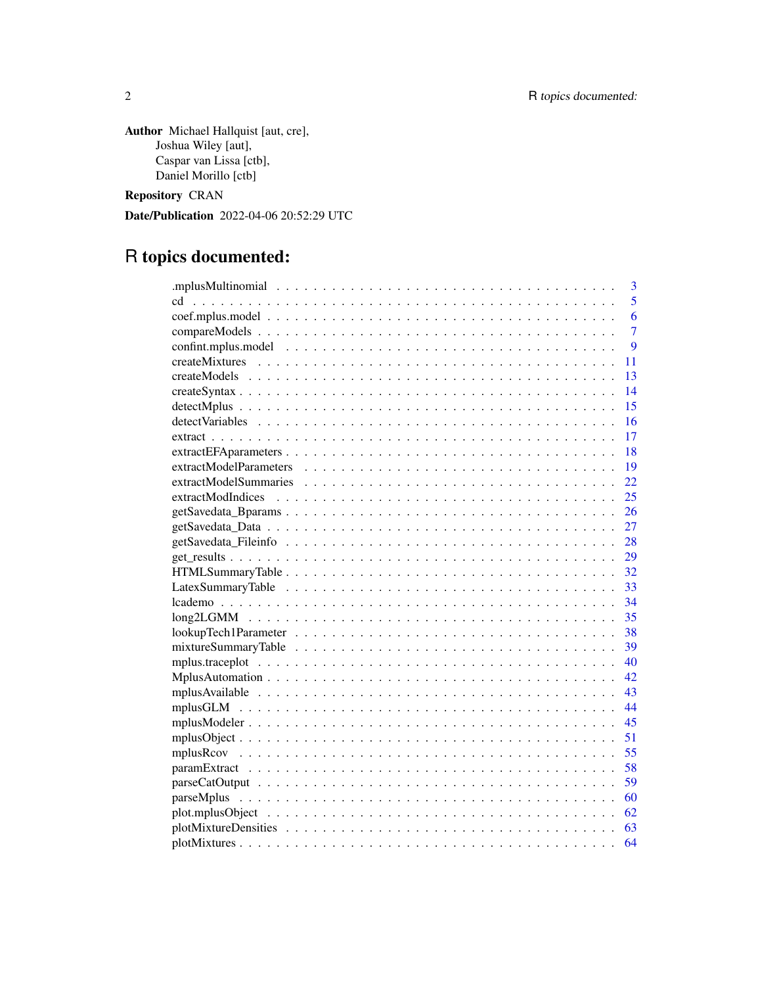Author Michael Hallquist [aut, cre], Joshua Wiley [aut], Caspar van Lissa [ctb], Daniel Morillo [ctb]

Repository CRAN

Date/Publication 2022-04-06 20:52:29 UTC

# R topics documented:

|      | 3              |
|------|----------------|
| cd   | 5              |
|      | 6              |
|      | $\overline{7}$ |
|      | 9              |
| 11   |                |
| 13   |                |
| 14   |                |
| 15   |                |
| 16   |                |
| 17   |                |
| 18   |                |
| - 19 |                |
| 22   |                |
| 25   |                |
| 26   |                |
| 27   |                |
| 28   |                |
| 29   |                |
|      |                |
|      |                |
|      |                |
|      |                |
|      |                |
| 39   |                |
|      |                |
|      |                |
|      |                |
|      |                |
|      |                |
| 51   |                |
| 55   |                |
| .58  |                |
| 59   |                |
| 60   |                |
| 62   |                |
| 63   |                |
|      |                |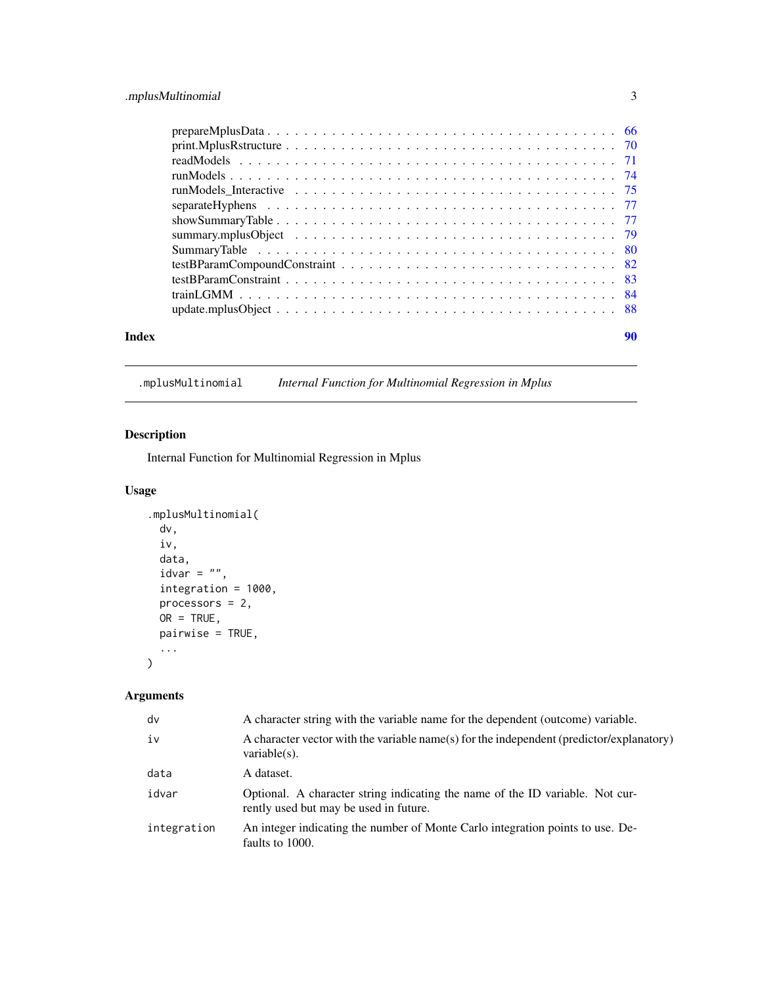<span id="page-2-0"></span>

| Index | 90 |
|-------|----|

.mplusMultinomial *Internal Function for Multinomial Regression in Mplus*

# Description

Internal Function for Multinomial Regression in Mplus

# Usage

```
.mplusMultinomial(
 dv,
  iv,
 data,
  idvar = ",
  integration = 1000,
 processors = 2,
 OR = TRUE,pairwise = TRUE,
  ...
\mathcal{L}
```
# Arguments

| dv          | A character string with the variable name for the dependent (outcome) variable.                                         |
|-------------|-------------------------------------------------------------------------------------------------------------------------|
| iv          | A character vector with the variable name(s) for the independent (predictor/explanatory)<br>variable $(s)$ .            |
| data        | A dataset.                                                                                                              |
| idvar       | Optional. A character string indicating the name of the ID variable. Not cur-<br>rently used but may be used in future. |
| integration | An integer indicating the number of Monte Carlo integration points to use. De-<br>faults to 1000.                       |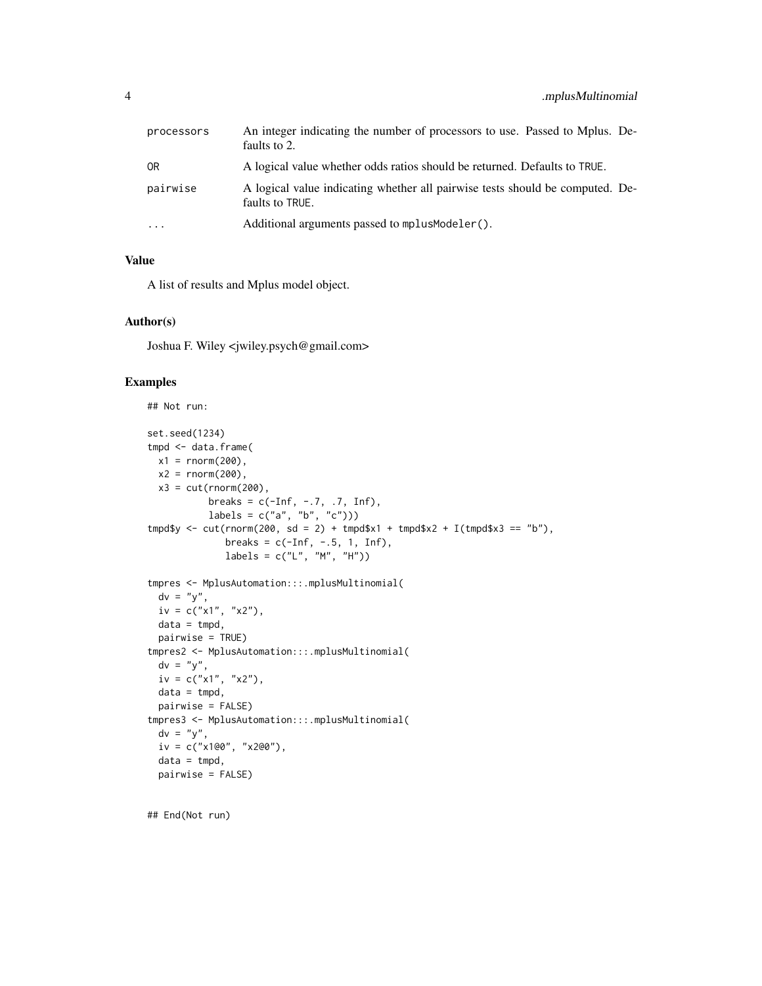| processors | An integer indicating the number of processors to use. Passed to Mplus. De-<br>faults to 2.      |
|------------|--------------------------------------------------------------------------------------------------|
| 0R         | A logical value whether odds ratios should be returned. Defaults to TRUE.                        |
| pairwise   | A logical value indicating whether all pairwise tests should be computed. De-<br>faults to TRUE. |
| $\cdots$   | Additional arguments passed to mplus Modeler().                                                  |

# Value

A list of results and Mplus model object.

#### Author(s)

Joshua F. Wiley <jwiley.psych@gmail.com>

# Examples

```
## Not run:
set.seed(1234)
tmpd <- data.frame(
 x1 = rnorm(200),
 x2 = rnorm(200),
 x3 = cut(rnorm(200),breaks = c(-Inf, -.7, .7, Inf),
          labels = c("a", "b", "c"))tmpd$y < -cut(rnorm(200, sd = 2) + tmpd$x1 + tmpd$x2 + I(tmpd$x3 == "b"),breaks = c(-Inf, -.5, 1, Inf),
             labels = c("L", "M", "H")tmpres <- MplusAutomation:::.mplusMultinomial(
  dv = "y",iv = c("x1", "x2"),data = tmpd,pairwise = TRUE)
tmpres2 <- MplusAutomation:::.mplusMultinomial(
  dv = "y",iv = c("x1", "x2"),
 data = tmpd,pairwise = FALSE)
tmpres3 <- MplusAutomation:::.mplusMultinomial(
 dv = "y",iv = c("x1@0", "x2@0"),data = tmpd,
  pairwise = FALSE)
```
## End(Not run)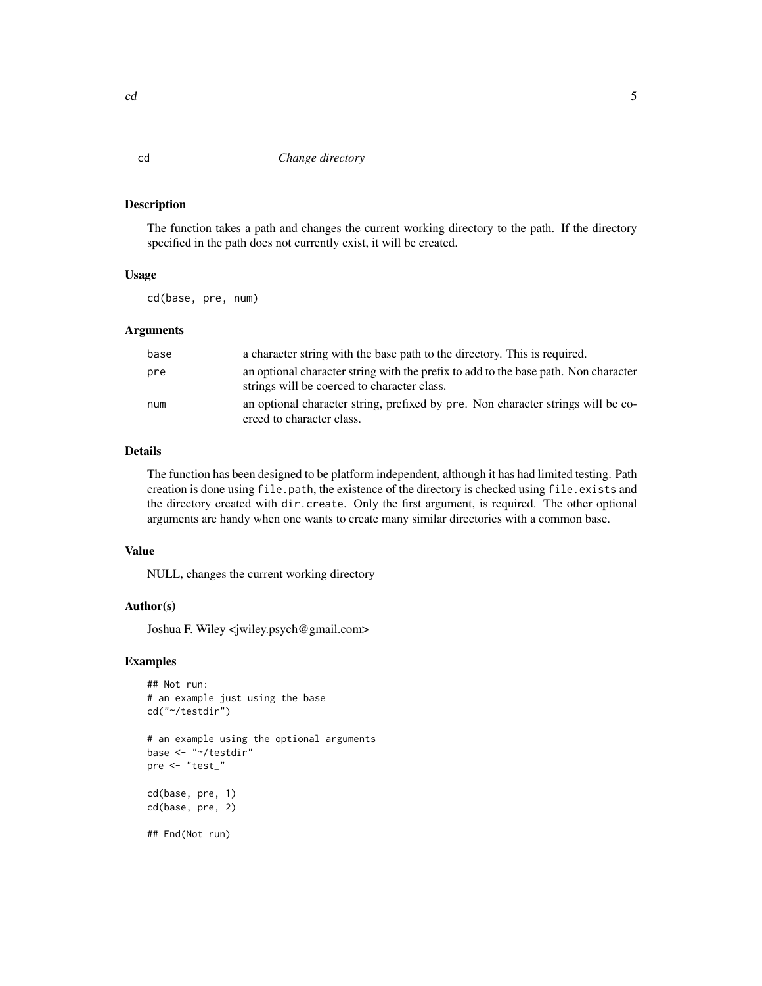#### Description

The function takes a path and changes the current working directory to the path. If the directory specified in the path does not currently exist, it will be created.

# Usage

cd(base, pre, num)

#### Arguments

| base | a character string with the base path to the directory. This is required.                                                          |
|------|------------------------------------------------------------------------------------------------------------------------------------|
| pre  | an optional character string with the prefix to add to the base path. Non character<br>strings will be coerced to character class. |
| num  | an optional character string, prefixed by pre. Non character strings will be co-<br>erced to character class.                      |

# Details

The function has been designed to be platform independent, although it has had limited testing. Path creation is done using file.path, the existence of the directory is checked using file.exists and the directory created with dir.create. Only the first argument, is required. The other optional arguments are handy when one wants to create many similar directories with a common base.

# Value

NULL, changes the current working directory

# Author(s)

Joshua F. Wiley <jwiley.psych@gmail.com>

# Examples

```
## Not run:
# an example just using the base
cd("~/testdir")
# an example using the optional arguments
base <- "~/testdir"
pre <- "test_"
cd(base, pre, 1)
cd(base, pre, 2)
## End(Not run)
```
#### <span id="page-4-0"></span>cd 5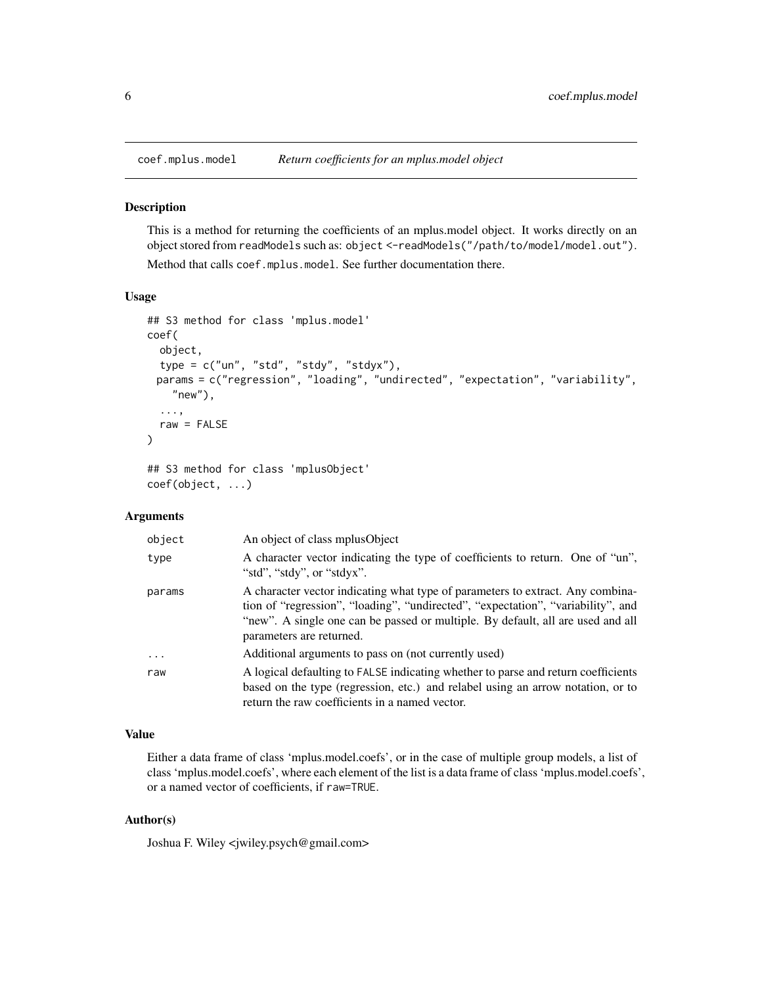<span id="page-5-1"></span><span id="page-5-0"></span>

#### Description

This is a method for returning the coefficients of an mplus.model object. It works directly on an object stored from readModels such as: object <-readModels("/path/to/model/model.out"). Method that calls coef.mplus.model. See further documentation there.

#### Usage

```
## S3 method for class 'mplus.model'
coef(
 object,
  type = c("un", "std", "stdy", "stdyx"),
 params = c("regression", "loading", "undirected", "expectation", "variability",
    "new"),
  ...,
 raw = FALSE
)
## S3 method for class 'mplusObject'
```
coef(object, ...)

#### Arguments

| object     | An object of class mplus Object                                                                                                                                                                                                                                                   |
|------------|-----------------------------------------------------------------------------------------------------------------------------------------------------------------------------------------------------------------------------------------------------------------------------------|
| type       | A character vector indicating the type of coefficients to return. One of "un",<br>"std", "stdy", or "stdyx".                                                                                                                                                                      |
| params     | A character vector indicating what type of parameters to extract. Any combina-<br>tion of "regression", "loading", "undirected", "expectation", "variability", and<br>"new". A single one can be passed or multiple. By default, all are used and all<br>parameters are returned. |
| $\ddots$ . | Additional arguments to pass on (not currently used)                                                                                                                                                                                                                              |
| raw        | A logical defaulting to FALSE indicating whether to parse and return coefficients<br>based on the type (regression, etc.) and relabel using an arrow notation, or to<br>return the raw coefficients in a named vector.                                                            |

#### Value

Either a data frame of class 'mplus.model.coefs', or in the case of multiple group models, a list of class 'mplus.model.coefs', where each element of the list is a data frame of class 'mplus.model.coefs', or a named vector of coefficients, if raw=TRUE.

#### Author(s)

Joshua F. Wiley <jwiley.psych@gmail.com>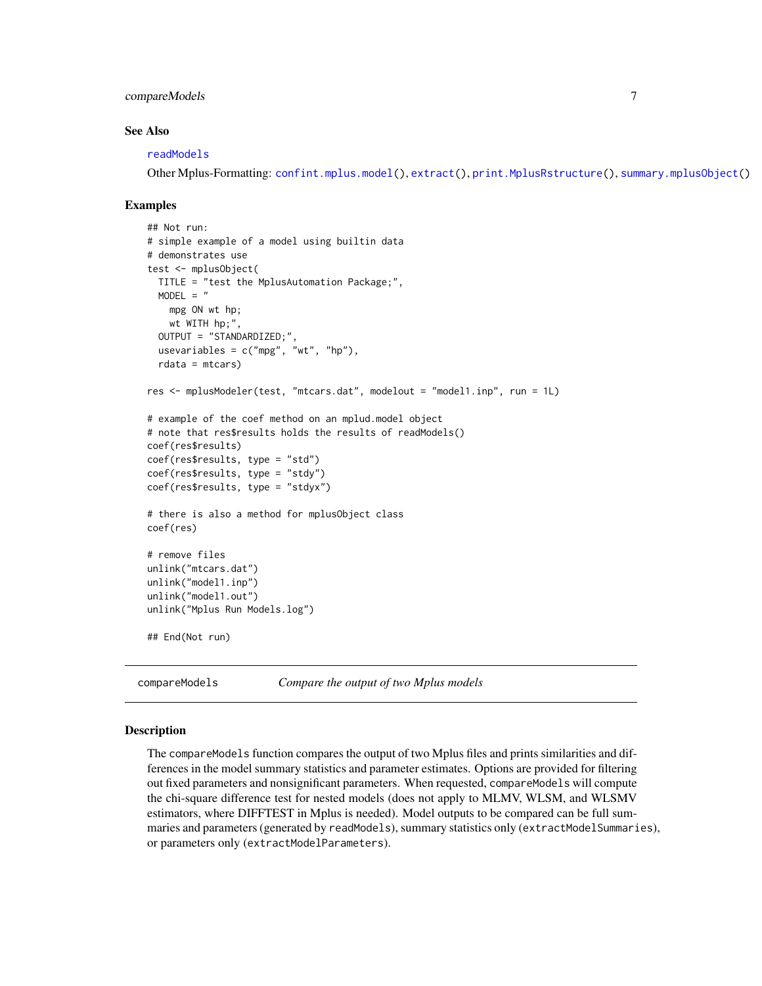# <span id="page-6-0"></span>compareModels 7

#### See Also

[readModels](#page-70-1)

Other Mplus-Formatting: [confint.mplus.model\(](#page-8-1)), [extract\(](#page-16-1)), [print.MplusRstructure\(](#page-69-1)), [summary.mplusObject\(](#page-78-1))

#### Examples

```
## Not run:
# simple example of a model using builtin data
# demonstrates use
test <- mplusObject(
 TITLE = "test the MplusAutomation Package;",
 MODEL = "mpg ON wt hp;
   wt WITH hp;",
 OUTPUT = "STANDARDIZED;",
 usevariables = c("mpg", "wt", "hp"),rdata = mtcars)
res <- mplusModeler(test, "mtcars.dat", modelout = "model1.inp", run = 1L)
# example of the coef method on an mplud.model object
# note that res$results holds the results of readModels()
coef(res$results)
coef(res$results, type = "std")
coef(res$results, type = "stdy")
coef(res$results, type = "stdyx")
# there is also a method for mplusObject class
coef(res)
# remove files
unlink("mtcars.dat")
unlink("model1.inp")
unlink("model1.out")
unlink("Mplus Run Models.log")
## End(Not run)
```

```
compareModels Compare the output of two Mplus models
```
#### Description

The compareModels function compares the output of two Mplus files and prints similarities and differences in the model summary statistics and parameter estimates. Options are provided for filtering out fixed parameters and nonsignificant parameters. When requested, compareModels will compute the chi-square difference test for nested models (does not apply to MLMV, WLSM, and WLSMV estimators, where DIFFTEST in Mplus is needed). Model outputs to be compared can be full summaries and parameters (generated by readModels), summary statistics only (extractModelSummaries), or parameters only (extractModelParameters).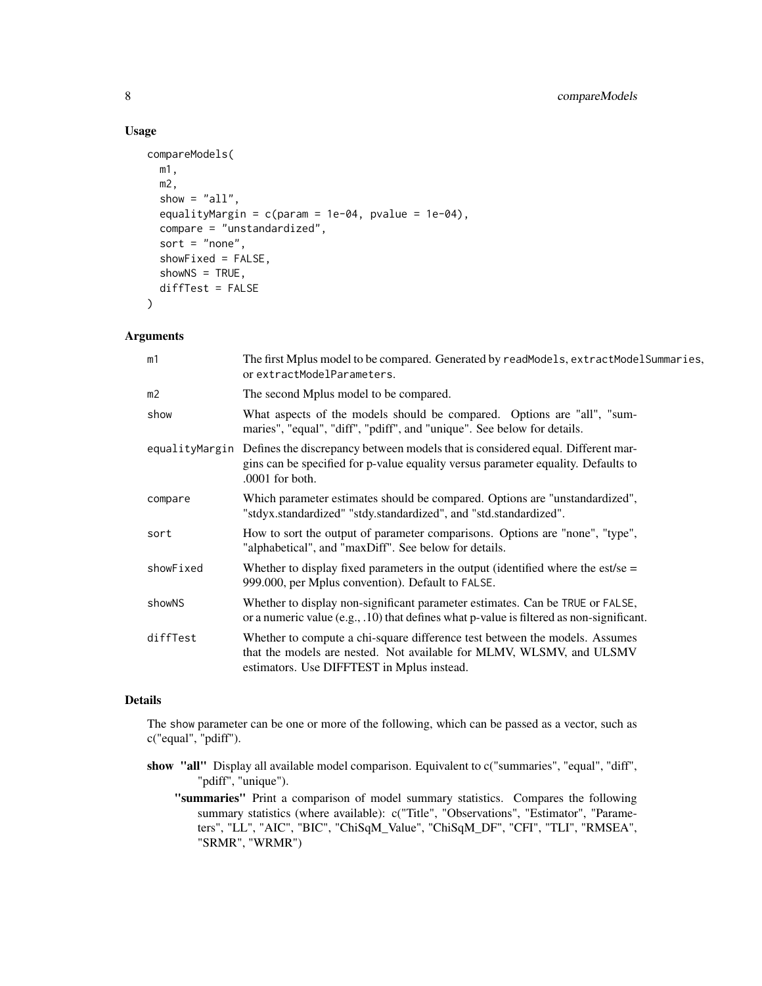# Usage

```
compareModels(
 m1,
  m2,
  show = "all",equalityMargin = c(param = 1e-04, pvalue = 1e-04),
  compare = "unstandardized",
  sort = "none",showFixed = FALSE,
  showNS = TRUE,
  diffTest = FALSE
\lambda
```
# Arguments

| The first Mplus model to be compared. Generated by readModels, extractModelSummaries,<br>or extractModelParameters.                                                                                      |
|----------------------------------------------------------------------------------------------------------------------------------------------------------------------------------------------------------|
| The second Mplus model to be compared.                                                                                                                                                                   |
| What aspects of the models should be compared. Options are "all", "sum-<br>maries", "equal", "diff", "pdiff", and "unique". See below for details.                                                       |
| equalityMargin Defines the discrepancy between models that is considered equal. Different mar-<br>gins can be specified for p-value equality versus parameter equality. Defaults to<br>$.0001$ for both. |
| Which parameter estimates should be compared. Options are "unstandardized",<br>"stdyx.standardized" "stdy.standardized", and "std.standardized".                                                         |
| How to sort the output of parameter comparisons. Options are "none", "type",<br>"alphabetical", and "maxDiff". See below for details.                                                                    |
| Whether to display fixed parameters in the output (identified where the est/se $=$<br>999.000, per Mplus convention). Default to FALSE.                                                                  |
| Whether to display non-significant parameter estimates. Can be TRUE or FALSE,<br>or a numeric value (e.g., .10) that defines what p-value is filtered as non-significant.                                |
| Whether to compute a chi-square difference test between the models. Assumes<br>that the models are nested. Not available for MLMV, WLSMV, and ULSMV<br>estimators. Use DIFFTEST in Mplus instead.        |
|                                                                                                                                                                                                          |

# Details

The show parameter can be one or more of the following, which can be passed as a vector, such as c("equal", "pdiff").

- show "all" Display all available model comparison. Equivalent to c("summaries", "equal", "diff", "pdiff", "unique").
	- "summaries" Print a comparison of model summary statistics. Compares the following summary statistics (where available): c("Title", "Observations", "Estimator", "Parameters", "LL", "AIC", "BIC", "ChiSqM\_Value", "ChiSqM\_DF", "CFI", "TLI", "RMSEA", "SRMR", "WRMR")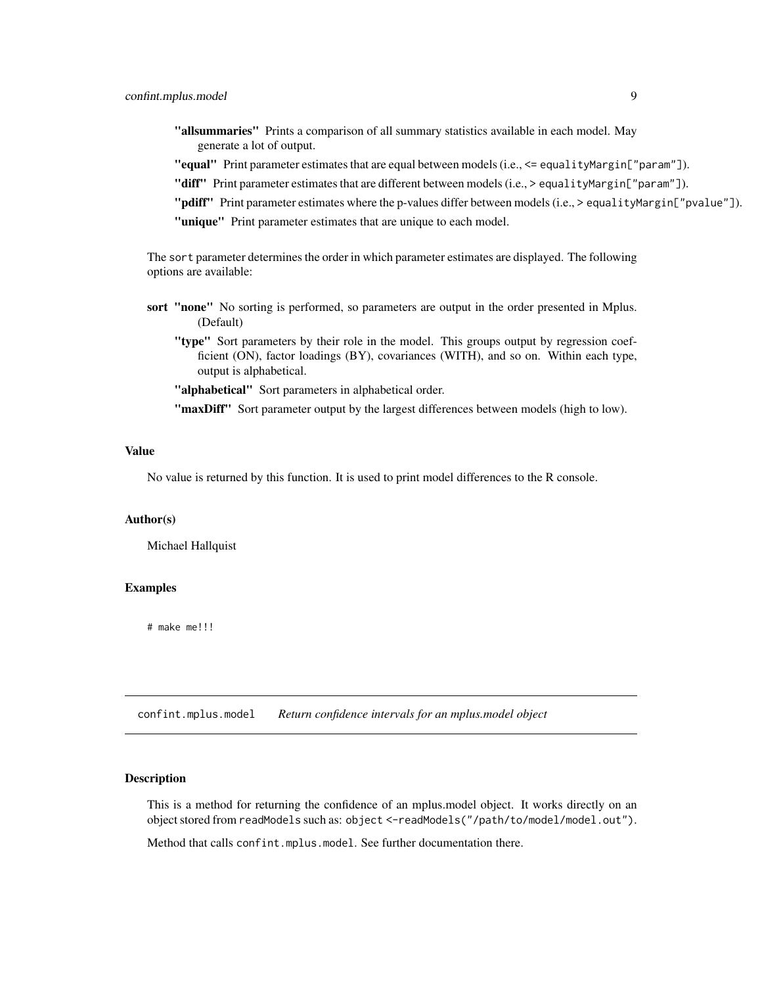- <span id="page-8-0"></span>"allsummaries" Prints a comparison of all summary statistics available in each model. May generate a lot of output.
- "equal" Print parameter estimates that are equal between models (i.e., <= equalityMargin["param"]).
- "diff" Print parameter estimates that are different between models (i.e., > equalityMargin["param"]).
- "pdiff" Print parameter estimates where the p-values differ between models (i.e., > equalityMargin["pvalue"]).

"unique" Print parameter estimates that are unique to each model.

The sort parameter determines the order in which parameter estimates are displayed. The following options are available:

- sort "none" No sorting is performed, so parameters are output in the order presented in Mplus. (Default)
	- "type" Sort parameters by their role in the model. This groups output by regression coefficient (ON), factor loadings (BY), covariances (WITH), and so on. Within each type, output is alphabetical.

"alphabetical" Sort parameters in alphabetical order.

"maxDiff" Sort parameter output by the largest differences between models (high to low).

#### Value

No value is returned by this function. It is used to print model differences to the R console.

# Author(s)

Michael Hallquist

#### Examples

# make me!!!

<span id="page-8-1"></span>confint.mplus.model *Return confidence intervals for an mplus.model object*

#### **Description**

This is a method for returning the confidence of an mplus.model object. It works directly on an object stored from readModels such as: object <-readModels("/path/to/model/model.out").

Method that calls confint.mplus.model. See further documentation there.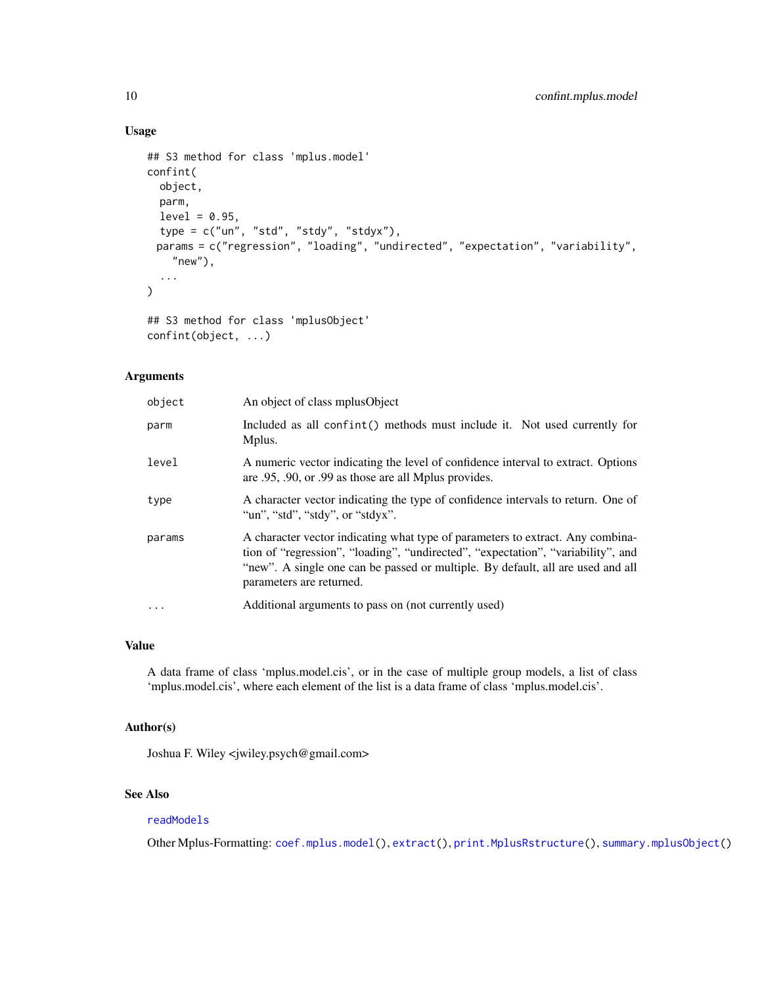# Usage

```
## S3 method for class 'mplus.model'
confint(
 object,
 parm,
 level = 0.95,
  type = c("un", "std", "stdy", "stdyx"),
 params = c("regression", "loading", "undirected", "expectation", "variability",
    "new"),
  ...
)
## S3 method for class 'mplusObject'
```

```
confint(object, ...)
```
# Arguments

| object    | An object of class mplus Object                                                                                                                                                                                                                                                   |
|-----------|-----------------------------------------------------------------------------------------------------------------------------------------------------------------------------------------------------------------------------------------------------------------------------------|
| parm      | Included as all confint() methods must include it. Not used currently for<br>Mplus.                                                                                                                                                                                               |
| level     | A numeric vector indicating the level of confidence interval to extract. Options<br>are .95, .90, or .99 as those are all Mplus provides.                                                                                                                                         |
| type      | A character vector indicating the type of confidence intervals to return. One of<br>"un", "std", "stdy", or "stdyx".                                                                                                                                                              |
| params    | A character vector indicating what type of parameters to extract. Any combina-<br>tion of "regression", "loading", "undirected", "expectation", "variability", and<br>"new". A single one can be passed or multiple. By default, all are used and all<br>parameters are returned. |
| $\ddotsc$ | Additional arguments to pass on (not currently used)                                                                                                                                                                                                                              |

#### Value

A data frame of class 'mplus.model.cis', or in the case of multiple group models, a list of class 'mplus.model.cis', where each element of the list is a data frame of class 'mplus.model.cis'.

# Author(s)

Joshua F. Wiley <jwiley.psych@gmail.com>

# See Also

# [readModels](#page-70-1)

Other Mplus-Formatting: [coef.mplus.model\(](#page-5-1)), [extract\(](#page-16-1)), [print.MplusRstructure\(](#page-69-1)), [summary.mplusObject\(](#page-78-1))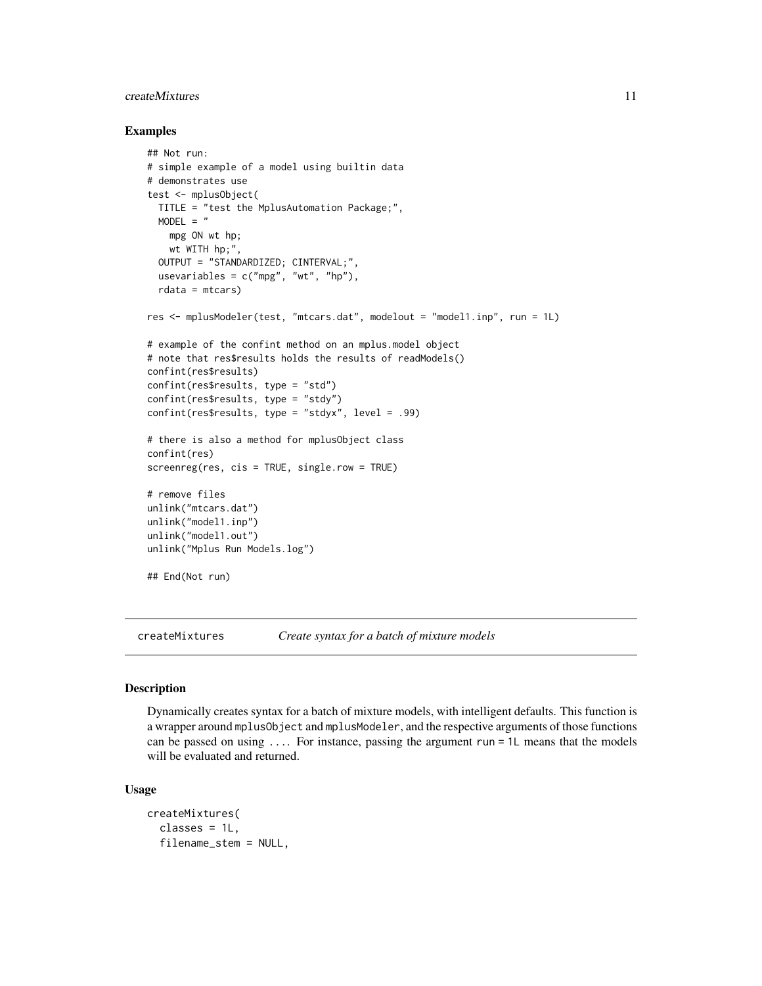# <span id="page-10-0"></span>createMixtures 11

#### Examples

```
## Not run:
# simple example of a model using builtin data
# demonstrates use
test <- mplusObject(
 TITLE = "test the MplusAutomation Package;",
 MODEL = "mpg ON wt hp;
   wt WITH hp;",
 OUTPUT = "STANDARDIZED; CINTERVAL;",
 usevariables = c("mpg", "wt", "hp"),rdata = mtcars)
res <- mplusModeler(test, "mtcars.dat", modelout = "model1.inp", run = 1L)
# example of the confint method on an mplus.model object
# note that res$results holds the results of readModels()
confint(res$results)
confint(res$results, type = "std")
confint(res$results, type = "stdy")
confint(res$results, type = "stdyx", level = .99)
# there is also a method for mplusObject class
confint(res)
screenreg(res, cis = TRUE, single.row = TRUE)
# remove files
unlink("mtcars.dat")
unlink("model1.inp")
unlink("model1.out")
unlink("Mplus Run Models.log")
## End(Not run)
```
createMixtures *Create syntax for a batch of mixture models*

#### Description

Dynamically creates syntax for a batch of mixture models, with intelligent defaults. This function is a wrapper around mplusObject and mplusModeler, and the respective arguments of those functions can be passed on using  $\ldots$  For instance, passing the argument run = 1L means that the models will be evaluated and returned.

#### Usage

```
createMixtures(
  classes = 1L,
  filename_stem = NULL,
```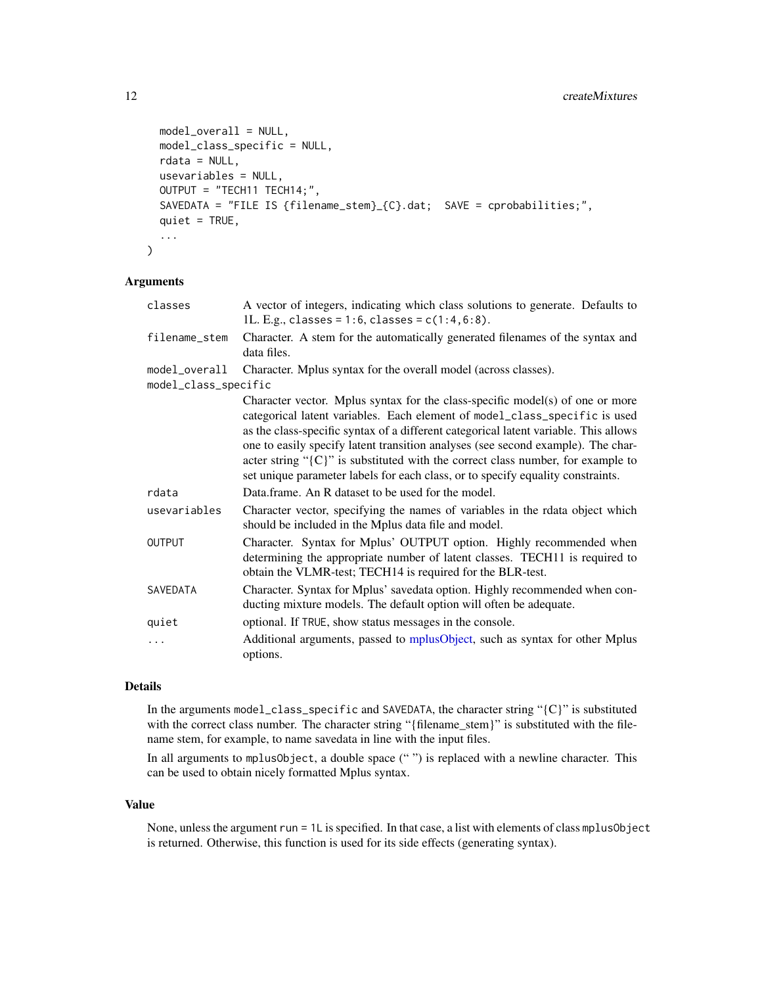```
model_overall = NULL,
model_class_specific = NULL,
rdata = NULL,
usevariables = NULL,
OUTPUT = "TECH11 TECH14;",
SAVEDATA = "FILE IS {filename_stem}_{C}.dat; SAVE = cprobabilities;",
quiet = TRUE,
...
```
# Arguments

)

| classes                               | A vector of integers, indicating which class solutions to generate. Defaults to<br>1L. E.g., classes = $1:6$ , classes = $c(1:4, 6:8)$ .                                                                                                                                                                                                                                                                                                                                                                            |
|---------------------------------------|---------------------------------------------------------------------------------------------------------------------------------------------------------------------------------------------------------------------------------------------------------------------------------------------------------------------------------------------------------------------------------------------------------------------------------------------------------------------------------------------------------------------|
| filename_stem                         | Character. A stem for the automatically generated filenames of the syntax and<br>data files.                                                                                                                                                                                                                                                                                                                                                                                                                        |
| model_overall<br>model_class_specific | Character. Mplus syntax for the overall model (across classes).                                                                                                                                                                                                                                                                                                                                                                                                                                                     |
|                                       | Character vector. Mplus syntax for the class-specific model(s) of one or more<br>categorical latent variables. Each element of model_class_specific is used<br>as the class-specific syntax of a different categorical latent variable. This allows<br>one to easily specify latent transition analyses (see second example). The char-<br>acter string " $\{C\}$ " is substituted with the correct class number, for example to<br>set unique parameter labels for each class, or to specify equality constraints. |
| rdata                                 | Data.frame. An R dataset to be used for the model.                                                                                                                                                                                                                                                                                                                                                                                                                                                                  |
| usevariables                          | Character vector, specifying the names of variables in the rdata object which<br>should be included in the Mplus data file and model.                                                                                                                                                                                                                                                                                                                                                                               |
| <b>OUTPUT</b>                         | Character. Syntax for Mplus' OUTPUT option. Highly recommended when<br>determining the appropriate number of latent classes. TECH11 is required to<br>obtain the VLMR-test; TECH14 is required for the BLR-test.                                                                                                                                                                                                                                                                                                    |
| <b>SAVEDATA</b>                       | Character. Syntax for Mplus' savedata option. Highly recommended when con-<br>ducting mixture models. The default option will often be adequate.                                                                                                                                                                                                                                                                                                                                                                    |
| quiet                                 | optional. If TRUE, show status messages in the console.                                                                                                                                                                                                                                                                                                                                                                                                                                                             |
| $\ddots$                              | Additional arguments, passed to mplusObject, such as syntax for other Mplus<br>options.                                                                                                                                                                                                                                                                                                                                                                                                                             |

# Details

In the arguments model\_class\_specific and SAVEDATA, the character string " ${C}$ " is substituted with the correct class number. The character string "{filename\_stem}" is substituted with the filename stem, for example, to name savedata in line with the input files.

In all arguments to mplusObject, a double space ("") is replaced with a newline character. This can be used to obtain nicely formatted Mplus syntax.

#### Value

None, unless the argument run = 1L is specified. In that case, a list with elements of class mplusObject is returned. Otherwise, this function is used for its side effects (generating syntax).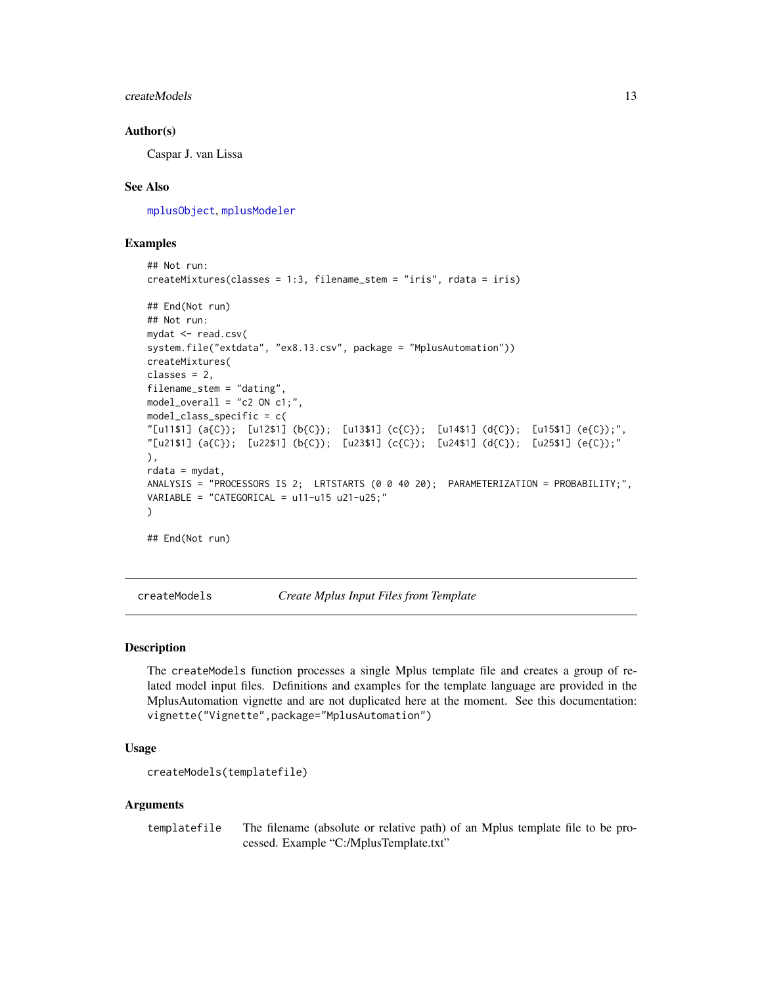#### <span id="page-12-0"></span>createModels 13

#### Author(s)

Caspar J. van Lissa

#### See Also

[mplusObject](#page-50-1), [mplusModeler](#page-44-1)

#### Examples

```
## Not run:
createMixtures(classes = 1:3, filename_stem = "iris", rdata = iris)
## End(Not run)
## Not run:
mydat <- read.csv(
system.file("extdata", "ex8.13.csv", package = "MplusAutomation"))
createMixtures(
classes = 2,
filename_stem = "dating",
model_overall = "c2 ON c1;",
model_class_specific = c(
"[u11$1] (a{C}); [u12$1] (b{C}); [u13$1] (c{C}); [u14$1] (d{C}); [u15$1] (e{C});",
"[u21$1] (a{C}); [u22$1] (b{C}); [u23$1] (c{C}); [u24$1] (d{C}); [u25$1] (e{C});"
),
rdata = mydat,
ANALYSIS = "PROCESSORS IS 2; LRTSTARTS (0 0 40 20); PARAMETERIZATION = PROBABILITY;",
VARIABLE = "CATEGORICAL = u11-u15 u21-u25;"
\lambda## End(Not run)
```
createModels *Create Mplus Input Files from Template*

#### Description

The createModels function processes a single Mplus template file and creates a group of related model input files. Definitions and examples for the template language are provided in the MplusAutomation vignette and are not duplicated here at the moment. See this documentation: vignette("Vignette",package="MplusAutomation")

#### Usage

```
createModels(templatefile)
```
#### Arguments

templatefile The filename (absolute or relative path) of an Mplus template file to be processed. Example "C:/MplusTemplate.txt"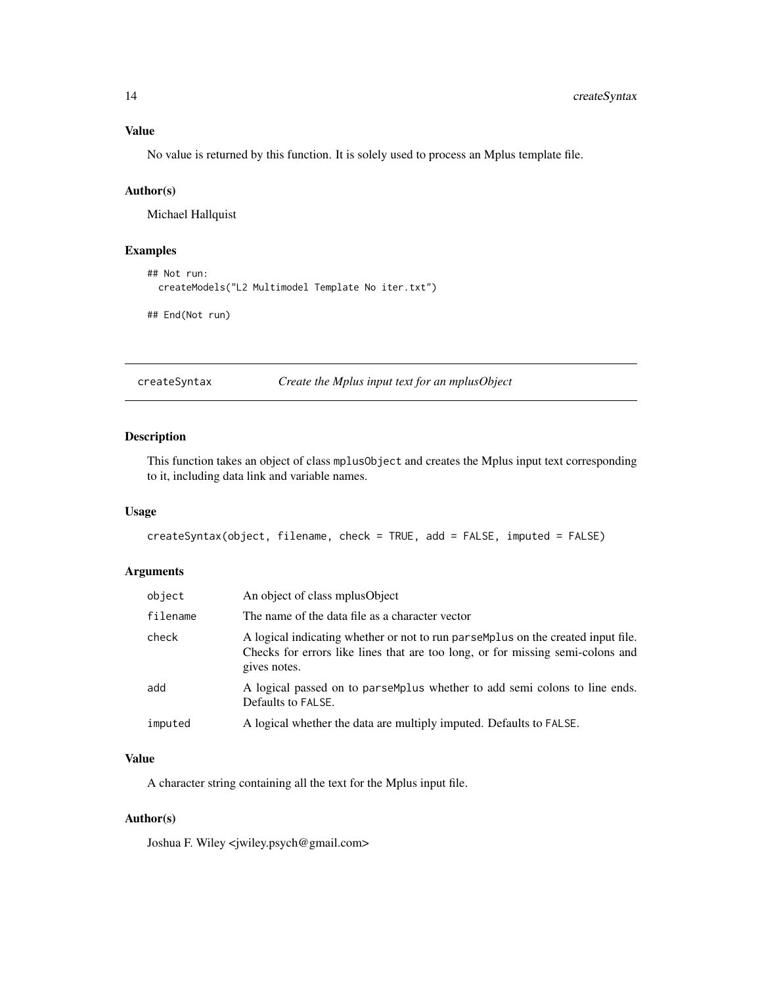# <span id="page-13-0"></span>Value

No value is returned by this function. It is solely used to process an Mplus template file.

#### Author(s)

Michael Hallquist

# Examples

```
## Not run:
 createModels("L2 Multimodel Template No iter.txt")
```
## End(Not run)

createSyntax *Create the Mplus input text for an mplusObject*

# Description

This function takes an object of class mplusObject and creates the Mplus input text corresponding to it, including data link and variable names.

# Usage

```
createSyntax(object, filename, check = TRUE, add = FALSE, imputed = FALSE)
```
#### Arguments

| object   | An object of class mplus Object                                                                                                                                                    |
|----------|------------------------------------------------------------------------------------------------------------------------------------------------------------------------------------|
| filename | The name of the data file as a character vector                                                                                                                                    |
| check    | A logical indicating whether or not to run parsemplus on the created input file.<br>Checks for errors like lines that are too long, or for missing semi-colons and<br>gives notes. |
| add      | A logical passed on to parsemplus whether to add semi colons to line ends.<br>Defaults to FALSE.                                                                                   |
| imputed  | A logical whether the data are multiply imputed. Defaults to FALSE.                                                                                                                |
|          |                                                                                                                                                                                    |

# Value

A character string containing all the text for the Mplus input file.

#### Author(s)

Joshua F. Wiley <jwiley.psych@gmail.com>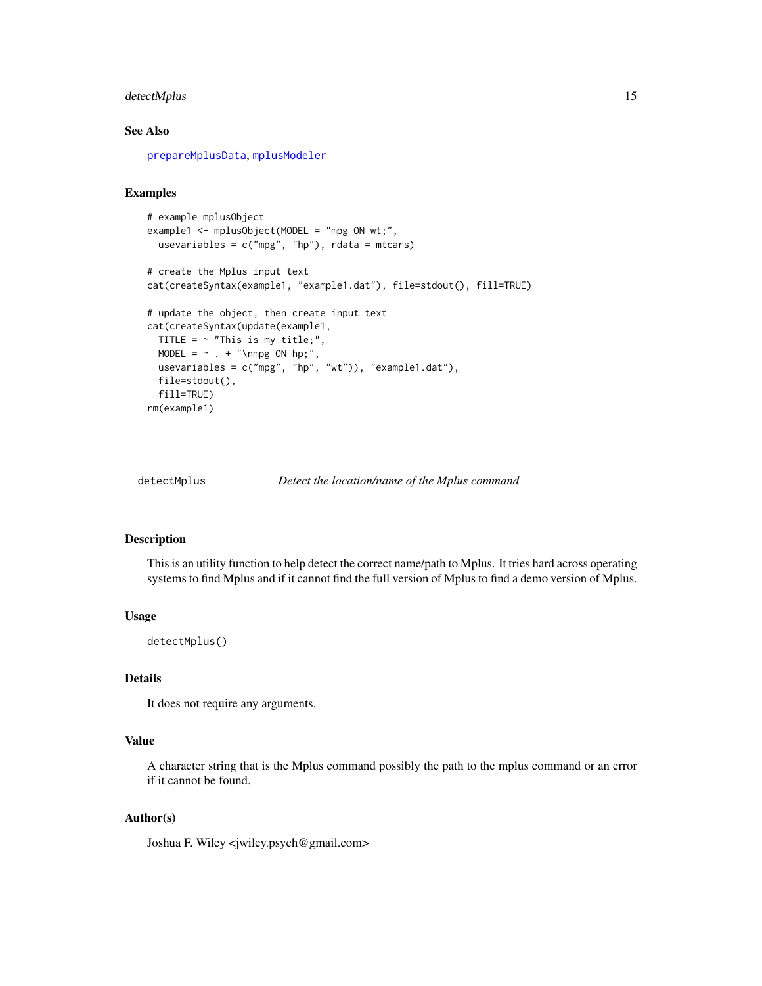# <span id="page-14-0"></span>detectMplus 15

# See Also

[prepareMplusData](#page-65-1), [mplusModeler](#page-44-1)

# **Examples**

```
# example mplusObject
example1 <- mplusObject(MODEL = "mpg ON wt;",
 usevariables = c("mpg", "hp"), rdata = mtcars)
# create the Mplus input text
cat(createSyntax(example1, "example1.dat"), file=stdout(), fill=TRUE)
# update the object, then create input text
cat(createSyntax(update(example1,
  TITLE = \sim "This is my title;",
  MODEL = \sim . + "\nmpg ON hp;",
 usevariables = c("mpg", "hp", "wt")), "example1.dat"),
 file=stdout(),
 fill=TRUE)
rm(example1)
```
detectMplus *Detect the location/name of the Mplus command*

#### Description

This is an utility function to help detect the correct name/path to Mplus. It tries hard across operating systems to find Mplus and if it cannot find the full version of Mplus to find a demo version of Mplus.

### Usage

detectMplus()

# Details

It does not require any arguments.

# Value

A character string that is the Mplus command possibly the path to the mplus command or an error if it cannot be found.

# Author(s)

Joshua F. Wiley <jwiley.psych@gmail.com>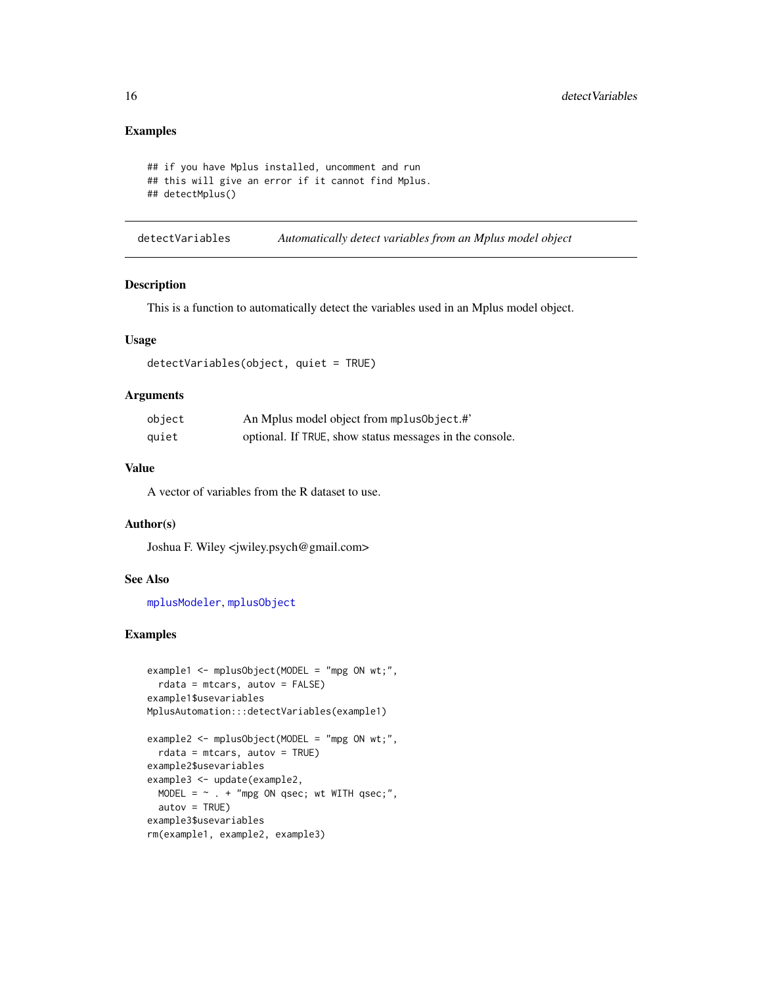# Examples

```
## if you have Mplus installed, uncomment and run
## this will give an error if it cannot find Mplus.
## detectMplus()
```
detectVariables *Automatically detect variables from an Mplus model object*

#### Description

This is a function to automatically detect the variables used in an Mplus model object.

#### Usage

```
detectVariables(object, quiet = TRUE)
```
#### Arguments

| object | An Mplus model object from mplus0bject.#'               |
|--------|---------------------------------------------------------|
| quiet  | optional. If TRUE, show status messages in the console. |

# Value

A vector of variables from the R dataset to use.

#### Author(s)

Joshua F. Wiley <jwiley.psych@gmail.com>

#### See Also

[mplusModeler](#page-44-1), [mplusObject](#page-50-1)

# Examples

```
example1 <- mplusObject(MODEL = "mpg ON wt;",
  rdata = mtcars, autov = FALSE)
example1$usevariables
MplusAutomation:::detectVariables(example1)
```

```
example2 <- mplusObject(MODEL = "mpg ON wt;",
 rdata = mtcars, autov = TRUE)example2$usevariables
example3 <- update(example2,
 MODEL = \sim . + "mpg ON qsec; wt WITH qsec;",
 autov = TRUE)
example3$usevariables
rm(example1, example2, example3)
```
<span id="page-15-0"></span>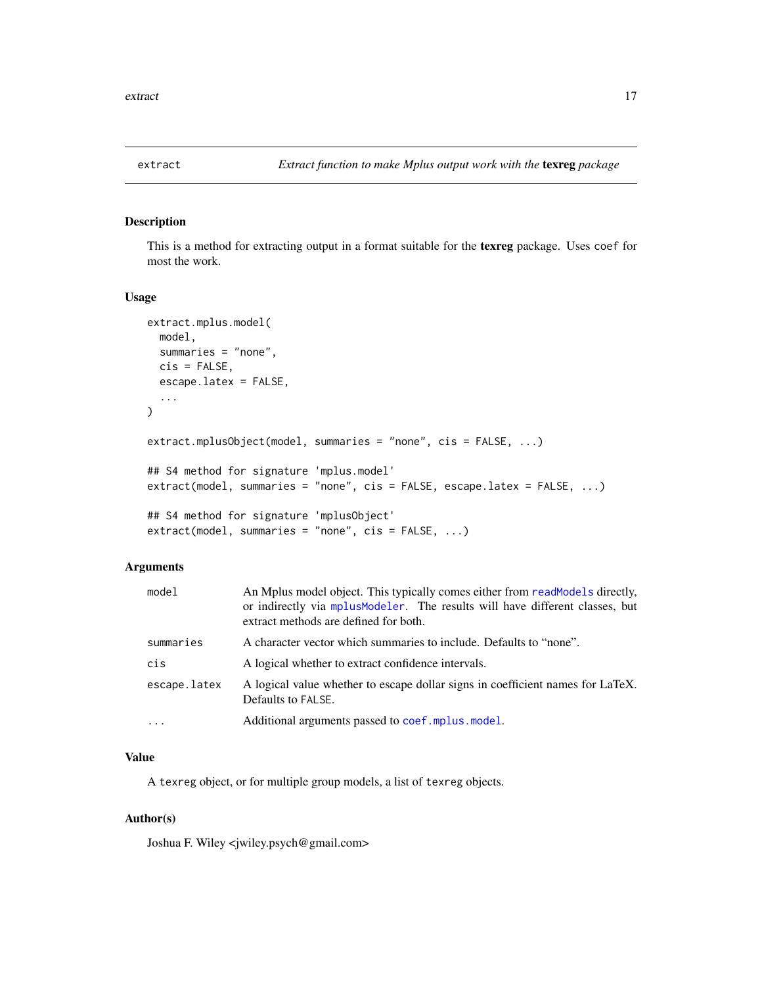<span id="page-16-1"></span><span id="page-16-0"></span>

# Description

This is a method for extracting output in a format suitable for the texreg package. Uses coef for most the work.

#### Usage

```
extract.mplus.model(
 model,
  summaries = "none",
  cis = FALSE,escape.latex = FALSE,
  ...
\mathcal{L}extract.mplusObject(model, summaries = "none", cis = FALSE, ...)
## S4 method for signature 'mplus.model'
extract(model, summaries = "none", cis = FALSE, escape.latex = FALSE, ...)
## S4 method for signature 'mplusObject'
extract(model, summaries = "none", cis = FALSE, ...)
```
# Arguments

| model        | An Mplus model object. This typically comes either from readModels directly,<br>or indirectly via mplus Modeler. The results will have different classes, but<br>extract methods are defined for both. |
|--------------|--------------------------------------------------------------------------------------------------------------------------------------------------------------------------------------------------------|
| summaries    | A character vector which summaries to include. Defaults to "none".                                                                                                                                     |
| cis          | A logical whether to extract confidence intervals.                                                                                                                                                     |
| escape.latex | A logical value whether to escape dollar signs in coefficient names for LaTeX.<br>Defaults to FALSE.                                                                                                   |
| $\cdot$      | Additional arguments passed to coef . mplus . model.                                                                                                                                                   |

# Value

A texreg object, or for multiple group models, a list of texreg objects.

#### Author(s)

Joshua F. Wiley <jwiley.psych@gmail.com>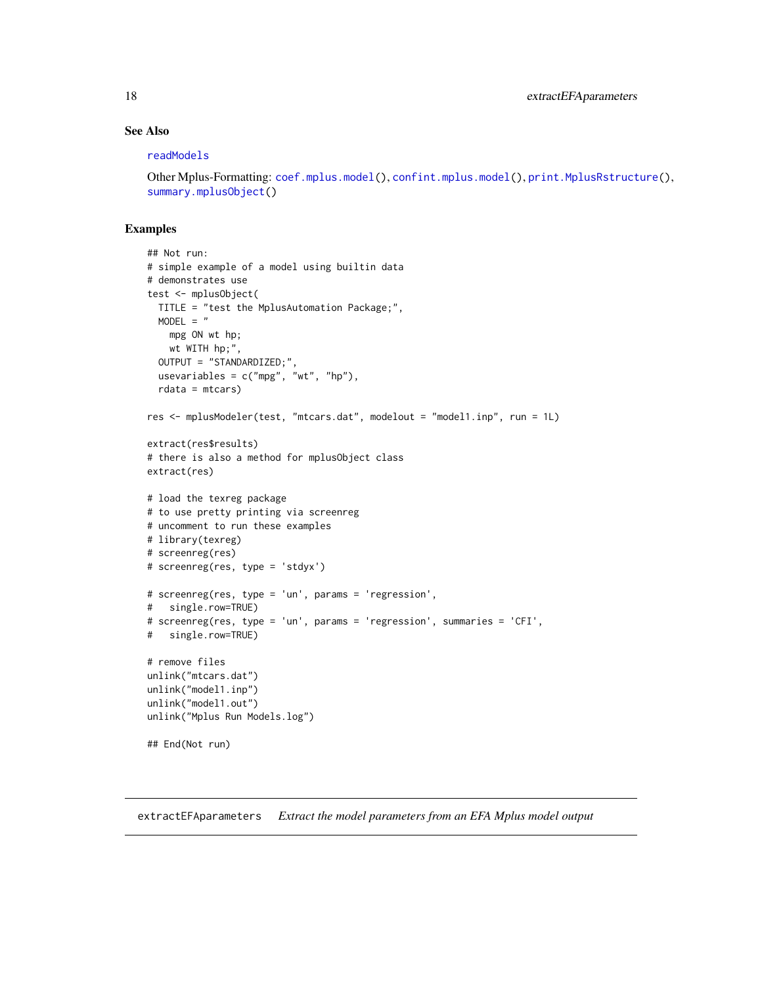#### See Also

#### [readModels](#page-70-1)

Other Mplus-Formatting: [coef.mplus.model\(](#page-5-1)), [confint.mplus.model\(](#page-8-1)), [print.MplusRstructure\(](#page-69-1)), [summary.mplusObject\(](#page-78-1))

#### Examples

```
## Not run:
# simple example of a model using builtin data
# demonstrates use
test <- mplusObject(
 TITLE = "test the MplusAutomation Package;",
  MODEL = "mpg ON wt hp;
   wt WITH hp;",
  OUTPUT = "STANDARDIZED;",
  usevariables = c("mpg", "wt", "hp"),
  rdata = mtcars)
res <- mplusModeler(test, "mtcars.dat", modelout = "model1.inp", run = 1L)
extract(res$results)
# there is also a method for mplusObject class
extract(res)
# load the texreg package
# to use pretty printing via screenreg
# uncomment to run these examples
# library(texreg)
# screenreg(res)
# screenreg(res, type = 'stdyx')
# screenreg(res, type = 'un', params = 'regression',
# single.row=TRUE)
# screenreg(res, type = 'un', params = 'regression', summaries = 'CFI',
# single.row=TRUE)
# remove files
unlink("mtcars.dat")
unlink("model1.inp")
unlink("model1.out")
unlink("Mplus Run Models.log")
## End(Not run)
```
extractEFAparameters *Extract the model parameters from an EFA Mplus model output*

<span id="page-17-0"></span>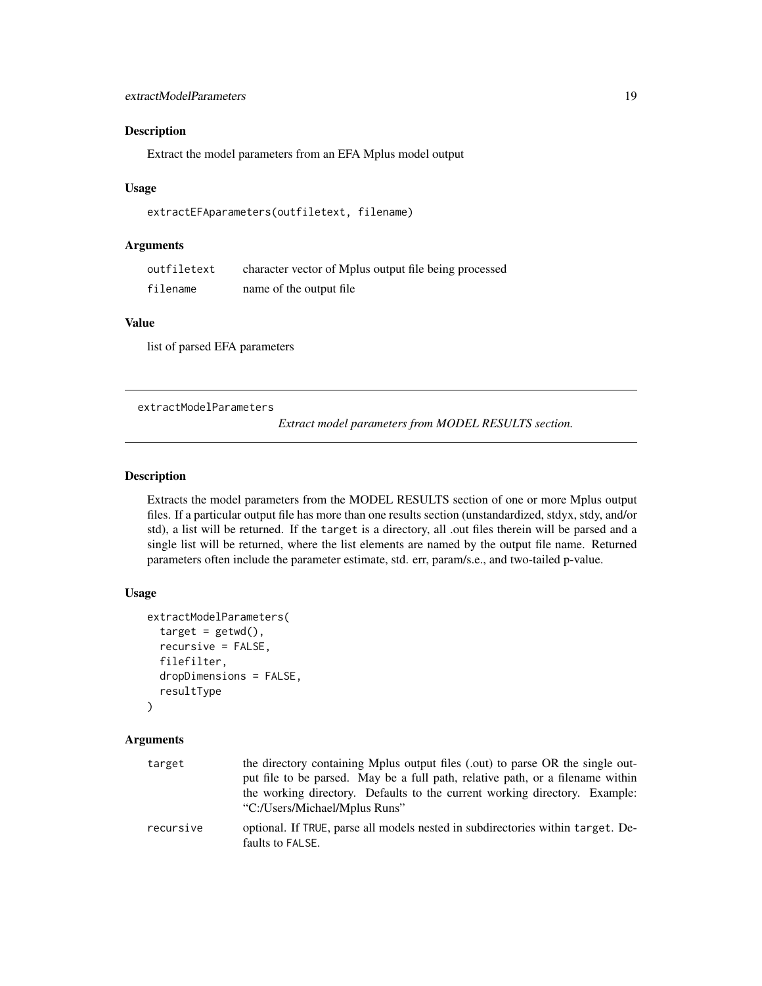# <span id="page-18-0"></span>Description

Extract the model parameters from an EFA Mplus model output

#### Usage

```
extractEFAparameters(outfiletext, filename)
```
# Arguments

| outfiletext | character vector of Mplus output file being processed |
|-------------|-------------------------------------------------------|
| filename    | name of the output file.                              |

# Value

list of parsed EFA parameters

<span id="page-18-1"></span>extractModelParameters

*Extract model parameters from MODEL RESULTS section.*

#### Description

Extracts the model parameters from the MODEL RESULTS section of one or more Mplus output files. If a particular output file has more than one results section (unstandardized, stdyx, stdy, and/or std), a list will be returned. If the target is a directory, all .out files therein will be parsed and a single list will be returned, where the list elements are named by the output file name. Returned parameters often include the parameter estimate, std. err, param/s.e., and two-tailed p-value.

#### Usage

```
extractModelParameters(
  target = getwd(),
  recursive = FALSE,
  filefilter,
  dropDimensions = FALSE,
  resultType
)
```
# Arguments

| target    | the directory containing Mplus output files (.out) to parse OR the single out-<br>put file to be parsed. May be a full path, relative path, or a filename within<br>the working directory. Defaults to the current working directory. Example:<br>"C:/Users/Michael/Mplus Runs" |
|-----------|---------------------------------------------------------------------------------------------------------------------------------------------------------------------------------------------------------------------------------------------------------------------------------|
| recursive | optional. If TRUE, parse all models nested in subdirectories within target. De-<br>faults to FALSE.                                                                                                                                                                             |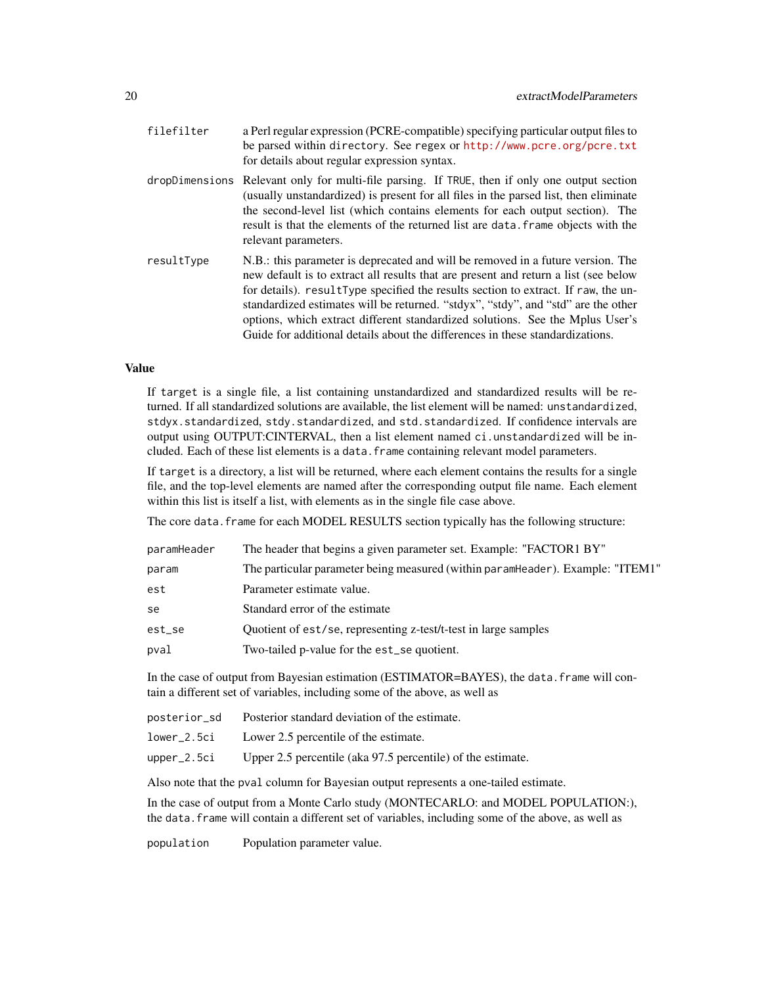filefilter a Perl regular expression (PCRE-compatible) specifying particular output files to be parsed within directory. See regex or <http://www.pcre.org/pcre.txt> for details about regular expression syntax. dropDimensions Relevant only for multi-file parsing. If TRUE, then if only one output section (usually unstandardized) is present for all files in the parsed list, then eliminate the second-level list (which contains elements for each output section). The result is that the elements of the returned list are data. frame objects with the relevant parameters. resultType N.B.: this parameter is deprecated and will be removed in a future version. The new default is to extract all results that are present and return a list (see below for details). resultType specified the results section to extract. If raw, the unstandardized estimates will be returned. "stdyx", "stdy", and "std" are the other options, which extract different standardized solutions. See the Mplus User's Guide for additional details about the differences in these standardizations.

# Value

If target is a single file, a list containing unstandardized and standardized results will be returned. If all standardized solutions are available, the list element will be named: unstandardized, stdyx.standardized, stdy.standardized, and std.standardized. If confidence intervals are output using OUTPUT:CINTERVAL, then a list element named ci.unstandardized will be included. Each of these list elements is a data.frame containing relevant model parameters.

If target is a directory, a list will be returned, where each element contains the results for a single file, and the top-level elements are named after the corresponding output file name. Each element within this list is itself a list, with elements as in the single file case above.

The core data. frame for each MODEL RESULTS section typically has the following structure:

| paramHeader | The header that begins a given parameter set. Example: "FACTOR1 BY"            |
|-------------|--------------------------------------------------------------------------------|
| param       | The particular parameter being measured (within paramHeader). Example: "ITEM1" |
| est         | Parameter estimate value.                                                      |
| se          | Standard error of the estimate                                                 |
| est_se      | Quotient of est/se, representing z-test/t-test in large samples                |
| pval        | Two-tailed p-value for the est_se quotient.                                    |
|             |                                                                                |

In the case of output from Bayesian estimation (ESTIMATOR=BAYES), the data.frame will contain a different set of variables, including some of the above, as well as

| posterior_sd | Posterior standard deviation of the estimate.               |
|--------------|-------------------------------------------------------------|
| lower 2.5ci  | Lower 2.5 percentile of the estimate.                       |
| upper_2.5ci  | Upper 2.5 percentile (aka 97.5 percentile) of the estimate. |

Also note that the pval column for Bayesian output represents a one-tailed estimate.

In the case of output from a Monte Carlo study (MONTECARLO: and MODEL POPULATION:), the data.frame will contain a different set of variables, including some of the above, as well as

population Population parameter value.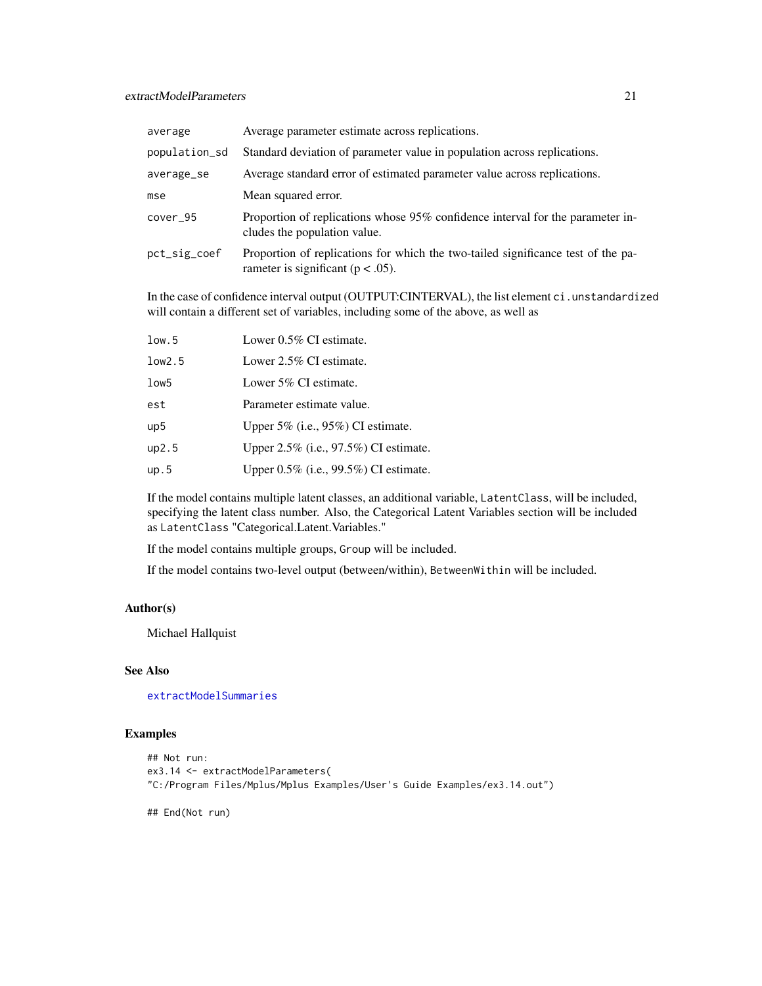# extractModelParameters 21

| average       | Average parameter estimate across replications.                                                                           |
|---------------|---------------------------------------------------------------------------------------------------------------------------|
| population_sd | Standard deviation of parameter value in population across replications.                                                  |
| average_se    | Average standard error of estimated parameter value across replications.                                                  |
| mse           | Mean squared error.                                                                                                       |
| $cover_95$    | Proportion of replications whose 95% confidence interval for the parameter in-<br>cludes the population value.            |
| pct_sig_coef  | Proportion of replications for which the two-tailed significance test of the pa-<br>rameter is significant ( $p < .05$ ). |

In the case of confidence interval output (OUTPUT:CINTERVAL), the list element ci.unstandardized will contain a different set of variables, including some of the above, as well as

| low.5           | Lower $0.5\%$ CI estimate.               |
|-----------------|------------------------------------------|
| low2.5          | Lower 2.5% CI estimate.                  |
| low5            | Lower 5% CI estimate.                    |
| est             | Parameter estimate value.                |
| up <sub>5</sub> | Upper $5\%$ (i.e., $95\%$ ) CI estimate. |
| up2.5           | Upper 2.5% (i.e., 97.5%) CI estimate.    |
| up.5            | Upper 0.5% (i.e., 99.5%) CI estimate.    |

If the model contains multiple latent classes, an additional variable, LatentClass, will be included, specifying the latent class number. Also, the Categorical Latent Variables section will be included as LatentClass "Categorical.Latent.Variables."

If the model contains multiple groups, Group will be included.

If the model contains two-level output (between/within), BetweenWithin will be included.

# Author(s)

Michael Hallquist

# See Also

[extractModelSummaries](#page-21-1)

# Examples

```
## Not run:
ex3.14 <- extractModelParameters(
"C:/Program Files/Mplus/Mplus Examples/User's Guide Examples/ex3.14.out")
```
## End(Not run)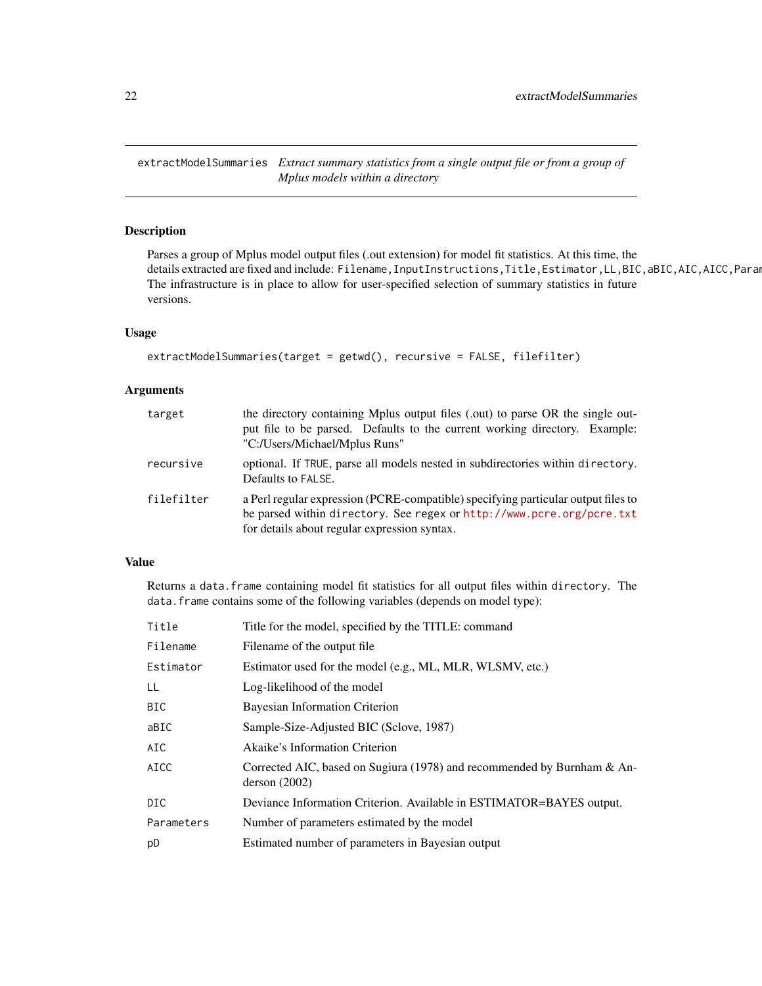<span id="page-21-1"></span><span id="page-21-0"></span>extractModelSummaries *Extract summary statistics from a single output file or from a group of Mplus models within a directory*

# Description

Parses a group of Mplus model output files (.out extension) for model fit statistics. At this time, the details extracted are fixed and include: Filename, InputInstructions, Title, Estimator, LL, BIC, aBIC, AIC, AICC, Para The infrastructure is in place to allow for user-specified selection of summary statistics in future versions.

# Usage

```
extractModelSummaries(target = getwd(), recursive = FALSE, filefilter)
```
# Arguments

| target     | the directory containing Mplus output files (.out) to parse OR the single out-<br>put file to be parsed. Defaults to the current working directory. Example:<br>"C:/Users/Michael/Mplus Runs"              |
|------------|------------------------------------------------------------------------------------------------------------------------------------------------------------------------------------------------------------|
| recursive  | optional. If TRUE, parse all models nested in subdirectories within directory.<br>Defaults to FALSE.                                                                                                       |
| filefilter | a Perl regular expression (PCRE-compatible) specifying particular output files to<br>be parsed within directory. See regex or http://www.pcre.org/pcre.txt<br>for details about regular expression syntax. |

# Value

Returns a data. frame containing model fit statistics for all output files within directory. The data.frame contains some of the following variables (depends on model type):

| Title       | Title for the model, specified by the TITLE: command                                     |
|-------------|------------------------------------------------------------------------------------------|
| Filename    | Filename of the output file.                                                             |
| Estimator   | Estimator used for the model (e.g., ML, MLR, WLSMV, etc.)                                |
| LL          | Log-likelihood of the model                                                              |
| BIC         | Bayesian Information Criterion                                                           |
| aBIC        | Sample-Size-Adjusted BIC (Sclove, 1987)                                                  |
| AIC         | Akaike's Information Criterion                                                           |
| <b>AICC</b> | Corrected AIC, based on Sugiura (1978) and recommended by Burnham & An-<br>derson (2002) |
| DIC.        | Deviance Information Criterion. Available in ESTIMATOR=BAYES output.                     |
| Parameters  | Number of parameters estimated by the model                                              |
| pD          | Estimated number of parameters in Bayesian output                                        |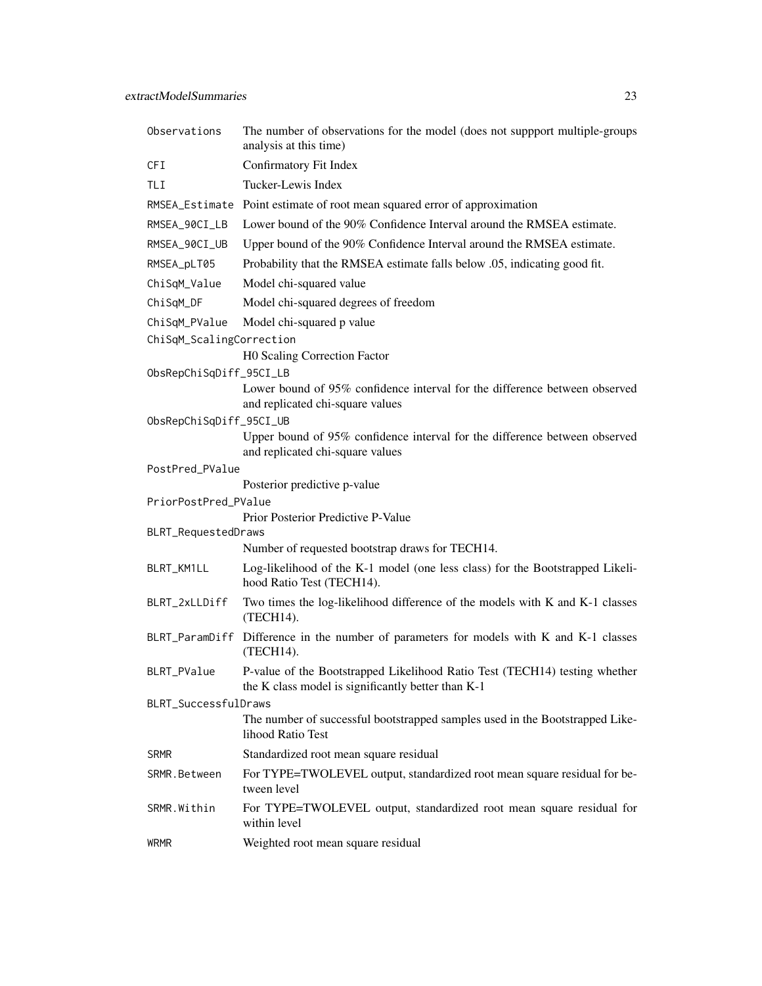| Observations             | The number of observations for the model (does not suppport multiple-groups<br>analysis at this time)                            |
|--------------------------|----------------------------------------------------------------------------------------------------------------------------------|
| <b>CFI</b>               | Confirmatory Fit Index                                                                                                           |
| TLI                      | Tucker-Lewis Index                                                                                                               |
|                          | RMSEA_Estimate Point estimate of root mean squared error of approximation                                                        |
| RMSEA_90CI_LB            | Lower bound of the 90% Confidence Interval around the RMSEA estimate.                                                            |
| RMSEA_90CI_UB            | Upper bound of the 90% Confidence Interval around the RMSEA estimate.                                                            |
| RMSEA_pLT05              | Probability that the RMSEA estimate falls below .05, indicating good fit.                                                        |
| ChiSqM_Value             | Model chi-squared value                                                                                                          |
| ChiSqM_DF                | Model chi-squared degrees of freedom                                                                                             |
| ChiSqM_PValue            | Model chi-squared p value                                                                                                        |
| ChiSqM_ScalingCorrection |                                                                                                                                  |
|                          | H0 Scaling Correction Factor                                                                                                     |
| ObsRepChiSqDiff_95CI_LB  |                                                                                                                                  |
|                          | Lower bound of 95% confidence interval for the difference between observed<br>and replicated chi-square values                   |
| ObsRepChiSqDiff_95CI_UB  |                                                                                                                                  |
|                          | Upper bound of 95% confidence interval for the difference between observed<br>and replicated chi-square values                   |
| PostPred_PValue          |                                                                                                                                  |
|                          | Posterior predictive p-value                                                                                                     |
| PriorPostPred_PValue     |                                                                                                                                  |
| BLRT_RequestedDraws      | Prior Posterior Predictive P-Value                                                                                               |
|                          | Number of requested bootstrap draws for TECH14.                                                                                  |
| BLRT_KM1LL               | Log-likelihood of the K-1 model (one less class) for the Bootstrapped Likeli-<br>hood Ratio Test (TECH14).                       |
| BLRT_2xLLDiff            | Two times the log-likelihood difference of the models with K and K-1 classes<br>(TECH14).                                        |
|                          | BLRT_ParamDiff Difference in the number of parameters for models with K and K-1 classes<br>(TECH14).                             |
| BLRT_PValue              | P-value of the Bootstrapped Likelihood Ratio Test (TECH14) testing whether<br>the K class model is significantly better than K-1 |
| BLRT_SuccessfulDraws     |                                                                                                                                  |
|                          | The number of successful bootstrapped samples used in the Bootstrapped Like-<br>lihood Ratio Test                                |
| <b>SRMR</b>              | Standardized root mean square residual                                                                                           |
| SRMR.Between             | For TYPE=TWOLEVEL output, standardized root mean square residual for be-<br>tween level                                          |
| SRMR.Within              | For TYPE=TWOLEVEL output, standardized root mean square residual for<br>within level                                             |
| <b>WRMR</b>              | Weighted root mean square residual                                                                                               |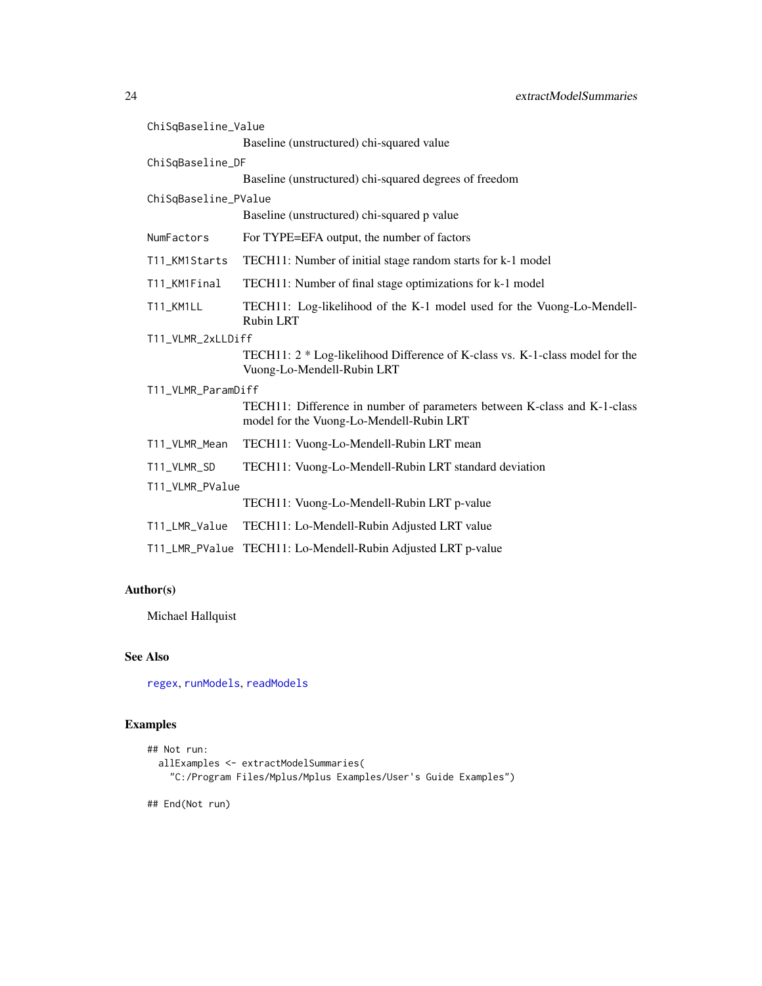| ChiSqBaseline_Value  |                                                                                                                      |  |
|----------------------|----------------------------------------------------------------------------------------------------------------------|--|
|                      | Baseline (unstructured) chi-squared value                                                                            |  |
| ChiSqBaseline_DF     |                                                                                                                      |  |
|                      | Baseline (unstructured) chi-squared degrees of freedom                                                               |  |
| ChiSqBaseline_PValue |                                                                                                                      |  |
|                      | Baseline (unstructured) chi-squared p value                                                                          |  |
| NumFactors           | For TYPE=EFA output, the number of factors                                                                           |  |
| T11_KM1Starts        | TECH11: Number of initial stage random starts for k-1 model                                                          |  |
| T11_KM1Final         | TECH11: Number of final stage optimizations for k-1 model                                                            |  |
| T11_KM1LL            | TECH11: Log-likelihood of the K-1 model used for the Vuong-Lo-Mendell-<br><b>Rubin LRT</b>                           |  |
| T11_VLMR_2xLLDiff    |                                                                                                                      |  |
|                      | TECH11: 2 * Log-likelihood Difference of K-class vs. K-1-class model for the<br>Vuong-Lo-Mendell-Rubin LRT           |  |
| T11_VLMR_ParamDiff   |                                                                                                                      |  |
|                      | TECH11: Difference in number of parameters between K-class and K-1-class<br>model for the Vuong-Lo-Mendell-Rubin LRT |  |
| T11_VLMR_Mean        | TECH11: Vuong-Lo-Mendell-Rubin LRT mean                                                                              |  |
| T11_VLMR_SD          | TECH11: Vuong-Lo-Mendell-Rubin LRT standard deviation                                                                |  |
| T11_VLMR_PValue      |                                                                                                                      |  |
|                      | TECH11: Vuong-Lo-Mendell-Rubin LRT p-value                                                                           |  |
| T11_LMR_Value        | TECH11: Lo-Mendell-Rubin Adjusted LRT value                                                                          |  |
|                      | T11_LMR_PValue TECH11: Lo-Mendell-Rubin Adjusted LRT p-value                                                         |  |

# Author(s)

Michael Hallquist

# See Also

[regex](#page-0-0), [runModels](#page-73-1), [readModels](#page-70-1)

# Examples

```
## Not run:
 allExamples <- extractModelSummaries(
   "C:/Program Files/Mplus/Mplus Examples/User's Guide Examples")
```
## End(Not run)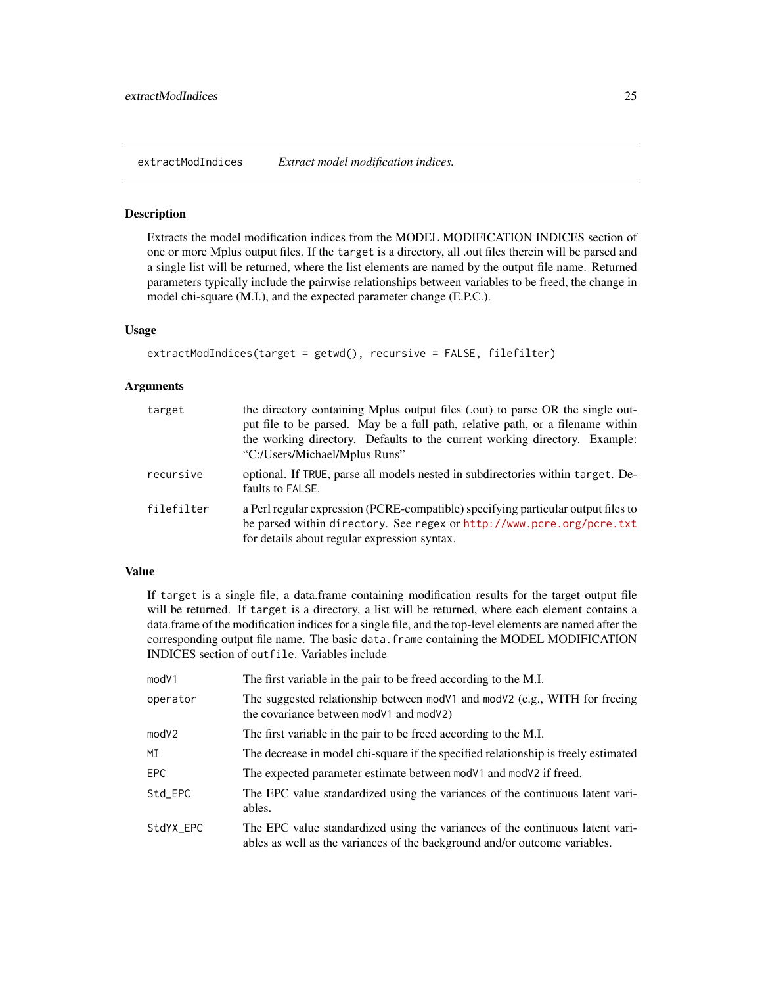<span id="page-24-0"></span>extractModIndices *Extract model modification indices.*

# Description

Extracts the model modification indices from the MODEL MODIFICATION INDICES section of one or more Mplus output files. If the target is a directory, all .out files therein will be parsed and a single list will be returned, where the list elements are named by the output file name. Returned parameters typically include the pairwise relationships between variables to be freed, the change in model chi-square (M.I.), and the expected parameter change (E.P.C.).

# Usage

```
extractModIndices(target = getwd(), recursive = FALSE, filefilter)
```
#### Arguments

| target     | the directory containing Mplus output files (.out) to parse OR the single out-<br>put file to be parsed. May be a full path, relative path, or a filename within<br>the working directory. Defaults to the current working directory. Example:<br>"C:/Users/Michael/Mplus Runs" |
|------------|---------------------------------------------------------------------------------------------------------------------------------------------------------------------------------------------------------------------------------------------------------------------------------|
| recursive  | optional. If TRUE, parse all models nested in subdirectories within target. De-<br>faults to FALSE.                                                                                                                                                                             |
| filefilter | a Perl regular expression (PCRE-compatible) specifying particular output files to<br>be parsed within directory. See regex or http://www.pcre.org/pcre.txt<br>for details about regular expression syntax.                                                                      |

#### Value

If target is a single file, a data.frame containing modification results for the target output file will be returned. If target is a directory, a list will be returned, where each element contains a data.frame of the modification indices for a single file, and the top-level elements are named after the corresponding output file name. The basic data. frame containing the MODEL MODIFICATION INDICES section of outfile. Variables include

| mod <sub>V1</sub> | The first variable in the pair to be freed according to the M.I.                                                                                            |
|-------------------|-------------------------------------------------------------------------------------------------------------------------------------------------------------|
| operator          | The suggested relationship between mod $V1$ and mod $V2$ (e.g., WITH for freeing<br>the covariance between mod V1 and mod V2)                               |
| mod <sub>V2</sub> | The first variable in the pair to be freed according to the M.I.                                                                                            |
| ΜI                | The decrease in model chi-square if the specified relationship is freely estimated                                                                          |
| <b>EPC</b>        | The expected parameter estimate between mod V1 and mod V2 if freed.                                                                                         |
| Std_EPC           | The EPC value standardized using the variances of the continuous latent vari-<br>ables.                                                                     |
| StdYX_EPC         | The EPC value standardized using the variances of the continuous latent vari-<br>ables as well as the variances of the background and/or outcome variables. |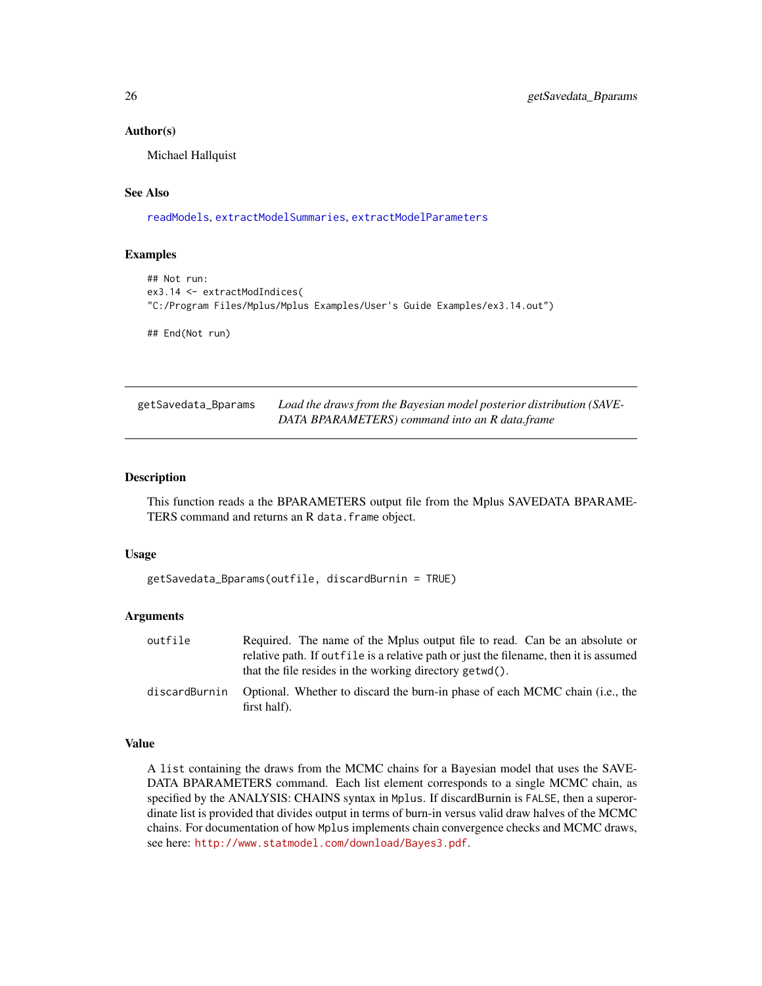#### Author(s)

Michael Hallquist

# See Also

[readModels](#page-70-1), [extractModelSummaries](#page-21-1), [extractModelParameters](#page-18-1)

# Examples

```
## Not run:
ex3.14 <- extractModIndices(
"C:/Program Files/Mplus/Mplus Examples/User's Guide Examples/ex3.14.out")
```
## End(Not run)

| getSavedata_Bparams | Load the draws from the Bayesian model posterior distribution (SAVE- |
|---------------------|----------------------------------------------------------------------|
|                     | DATA BPARAMETERS) command into an R data.frame                       |

# Description

This function reads a the BPARAMETERS output file from the Mplus SAVEDATA BPARAME-TERS command and returns an R data.frame object.

### Usage

```
getSavedata_Bparams(outfile, discardBurnin = TRUE)
```
# Arguments

| outfile       | Required. The name of the Mplus output file to read. Can be an absolute or                   |
|---------------|----------------------------------------------------------------------------------------------|
|               | relative path. If outfile is a relative path or just the filename, then it is assumed        |
|               | that the file resides in the working directory getwd().                                      |
| discardBurnin | Optional. Whether to discard the burn-in phase of each MCMC chain (i.e., the<br>first half). |

# Value

A list containing the draws from the MCMC chains for a Bayesian model that uses the SAVE-DATA BPARAMETERS command. Each list element corresponds to a single MCMC chain, as specified by the ANALYSIS: CHAINS syntax in Mplus. If discardBurnin is FALSE, then a superordinate list is provided that divides output in terms of burn-in versus valid draw halves of the MCMC chains. For documentation of how Mplus implements chain convergence checks and MCMC draws, see here: <http://www.statmodel.com/download/Bayes3.pdf>.

<span id="page-25-0"></span>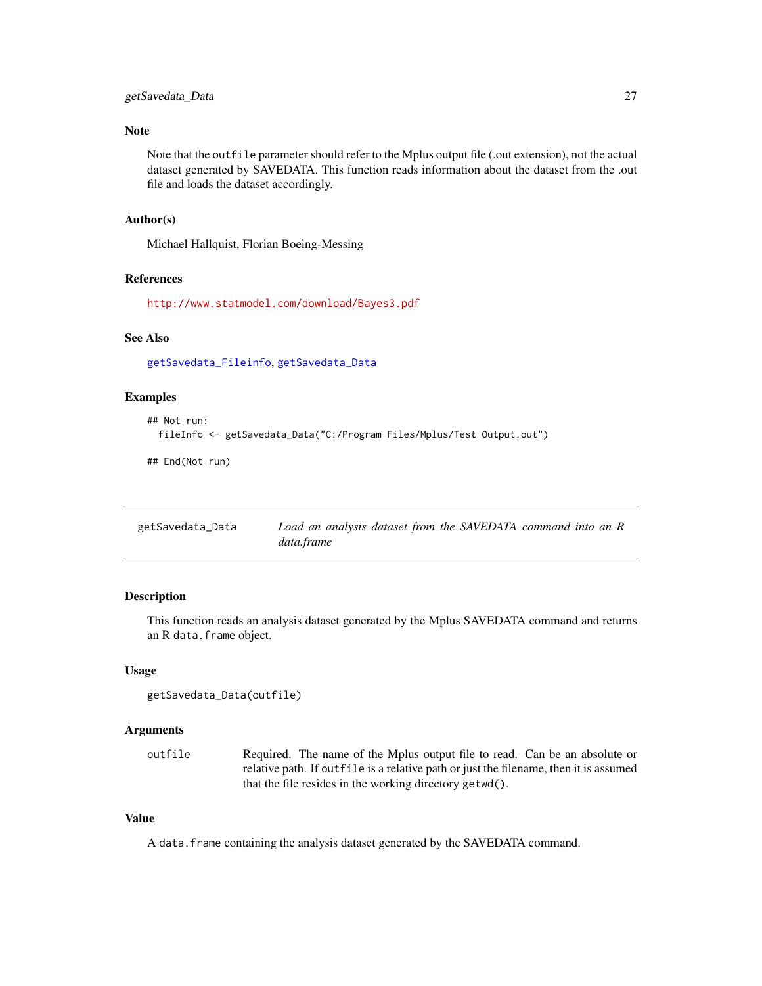# <span id="page-26-0"></span>Note

Note that the outfile parameter should refer to the Mplus output file (.out extension), not the actual dataset generated by SAVEDATA. This function reads information about the dataset from the .out file and loads the dataset accordingly.

#### Author(s)

Michael Hallquist, Florian Boeing-Messing

#### References

<http://www.statmodel.com/download/Bayes3.pdf>

# See Also

[getSavedata\\_Fileinfo](#page-27-1), [getSavedata\\_Data](#page-26-1)

# Examples

```
## Not run:
 fileInfo <- getSavedata_Data("C:/Program Files/Mplus/Test Output.out")
```
## End(Not run)

<span id="page-26-1"></span>

| getSavedata_Data | Load an analysis dataset from the SAVEDATA command into an R |
|------------------|--------------------------------------------------------------|
|                  | data.frame                                                   |

# Description

This function reads an analysis dataset generated by the Mplus SAVEDATA command and returns an R data.frame object.

#### Usage

```
getSavedata_Data(outfile)
```
# Arguments

outfile Required. The name of the Mplus output file to read. Can be an absolute or relative path. If outfile is a relative path or just the filename, then it is assumed that the file resides in the working directory getwd().

#### Value

A data.frame containing the analysis dataset generated by the SAVEDATA command.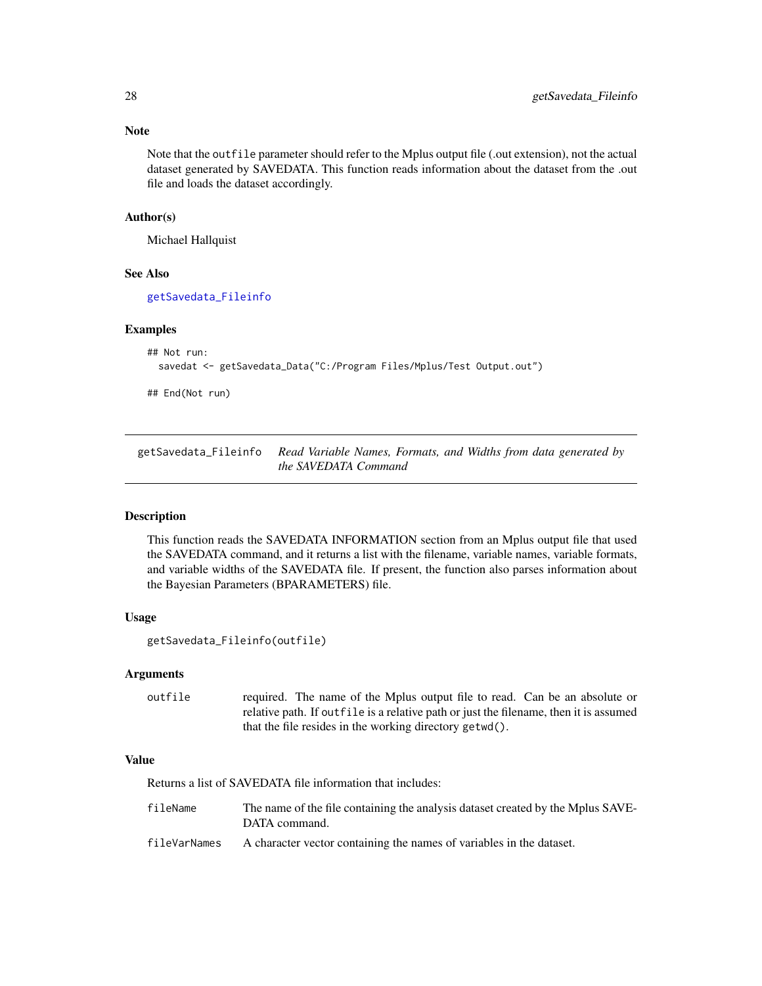Note that the outfile parameter should refer to the Mplus output file (.out extension), not the actual dataset generated by SAVEDATA. This function reads information about the dataset from the .out file and loads the dataset accordingly.

#### Author(s)

Michael Hallquist

# See Also

[getSavedata\\_Fileinfo](#page-27-1)

#### Examples

```
## Not run:
 savedat <- getSavedata_Data("C:/Program Files/Mplus/Test Output.out")
```
## End(Not run)

<span id="page-27-1"></span>getSavedata\_Fileinfo *Read Variable Names, Formats, and Widths from data generated by the SAVEDATA Command*

#### Description

This function reads the SAVEDATA INFORMATION section from an Mplus output file that used the SAVEDATA command, and it returns a list with the filename, variable names, variable formats, and variable widths of the SAVEDATA file. If present, the function also parses information about the Bayesian Parameters (BPARAMETERS) file.

#### Usage

```
getSavedata_Fileinfo(outfile)
```
#### Arguments

outfile required. The name of the Mplus output file to read. Can be an absolute or relative path. If outfile is a relative path or just the filename, then it is assumed that the file resides in the working directory getwd().

# Value

Returns a list of SAVEDATA file information that includes:

| fileName     | The name of the file containing the analysis dataset created by the Mplus SAVE-<br>DATA command. |
|--------------|--------------------------------------------------------------------------------------------------|
| fileVarNames | A character vector containing the names of variables in the dataset.                             |

<span id="page-27-0"></span>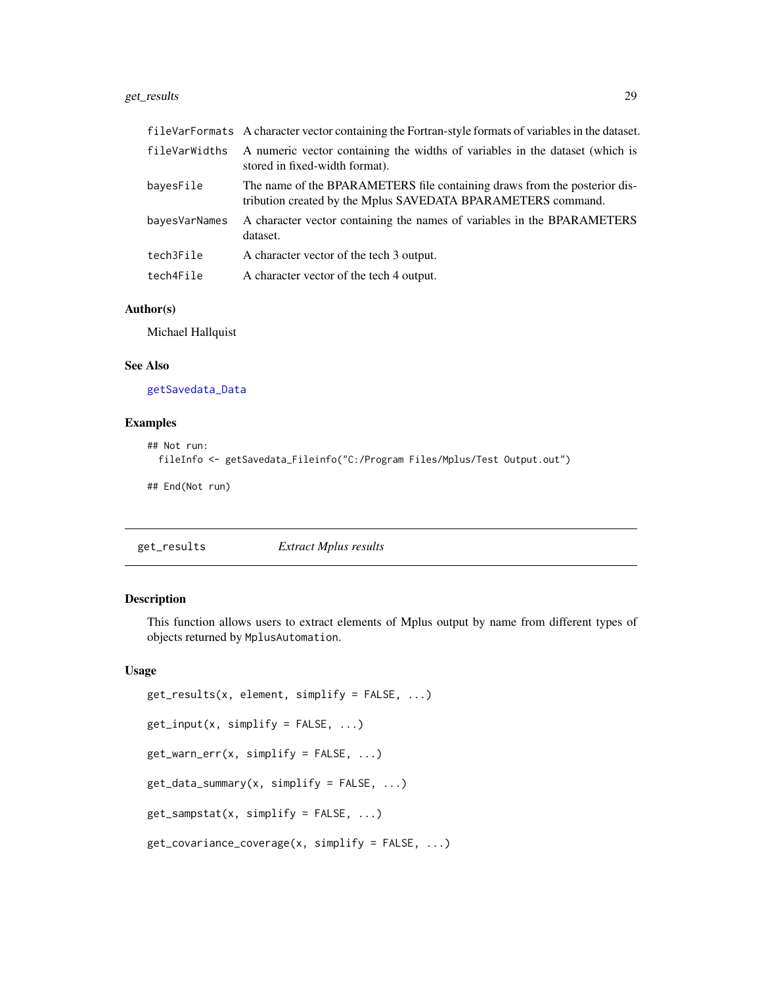# <span id="page-28-0"></span>get\_results 29

|               | fileVarFormats A character vector containing the Fortran-style formats of variables in the dataset.                                       |
|---------------|-------------------------------------------------------------------------------------------------------------------------------------------|
| fileVarWidths | A numeric vector containing the widths of variables in the dataset (which is<br>stored in fixed-width format).                            |
| bayesFile     | The name of the BPARAMETERS file containing draws from the posterior dis-<br>tribution created by the Mplus SAVEDATA BPARAMETERS command. |
| bayesVarNames | A character vector containing the names of variables in the BPARAMETERS<br>dataset.                                                       |
| tech3File     | A character vector of the tech 3 output.                                                                                                  |
| tech4File     | A character vector of the tech 4 output.                                                                                                  |

# Author(s)

Michael Hallquist

# See Also

[getSavedata\\_Data](#page-26-1)

# Examples

```
## Not run:
 fileInfo <- getSavedata_Fileinfo("C:/Program Files/Mplus/Test Output.out")
## End(Not run)
```
get\_results *Extract Mplus results*

# Description

This function allows users to extract elements of Mplus output by name from different types of objects returned by MplusAutomation.

# Usage

```
get_results(x, element, simplify = FALSE, ...)
get\_input(x, simplify = FALSE, ...)get\_warm\_err(x, simplify = FALSE, ...)get\_data\_summary(x, simplify = FALSE, ...)get\_samplest(x, simplify = FALSE, ...)
get\_covariance\_coverage(x, simplify = FALSE, ...)
```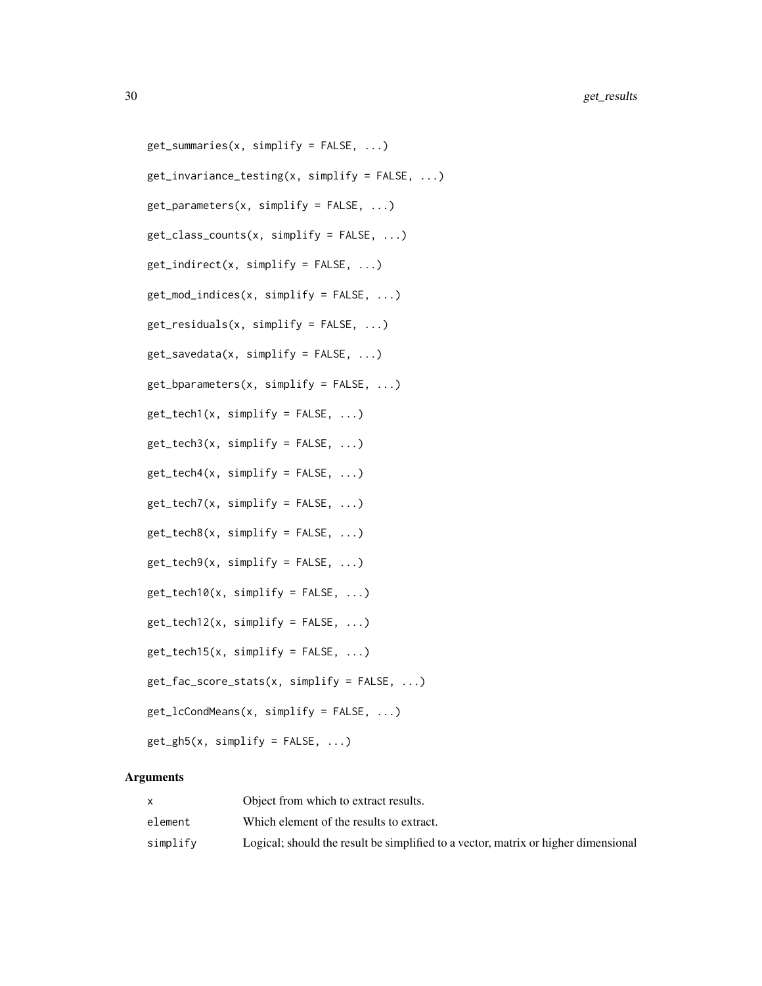```
get\_summaries(x, simplify = FALSE, ...)get_invariance_testing(x, simplify = FALSE, ...)
get\_parameters(x, simplify = FALSE, ...)get\_class\_counts(x, simplify = FALSE, ...)get\_indirect(x, simplify = FALSE, ...)get\_mod\_indices(x, simplify = FALSE, ...)get\_residuals(x, simplify = FALSE, ...)get_savedata(x, simplify = FALSE, \ldots)
get\_bparameters(x, simplify = FALSE, ...)get\_tech1(x, simplify = FALSE, ...)get\_tech3(x, simplify = FALSE, ...)get\_tech4(x, simplify = FALSE, ...)get\_tech7(x, simplify = FALSE, ...)get\_tech8(x, simplify = FALSE, ...)get\_tech9(x, simplify = FALSE, ...)get\_tech10(x, simplify = FALSE, ...)get\_tech12(x, simplify = FALSE, ...)get\_tech15(x, simplify = FALSE, ...)get_fac_score_stats(x, simplify = FALSE, ...)
get_lcCondMeans(x, simplify = FALSE, ...)
get_gh5(x, simplify = FALSE, ...)
```
#### Arguments

|          | Object from which to extract results.                                              |
|----------|------------------------------------------------------------------------------------|
| element  | Which element of the results to extract.                                           |
| simplify | Logical; should the result be simplified to a vector, matrix or higher dimensional |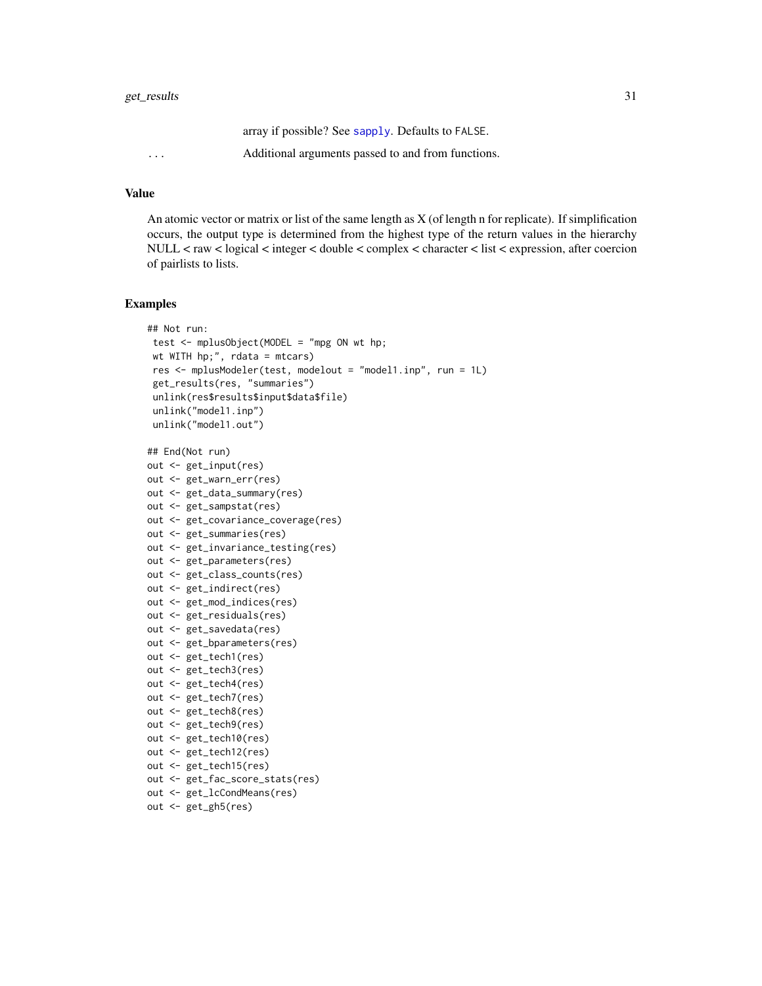array if possible? See [sapply](#page-0-0). Defaults to FALSE.

... Additional arguments passed to and from functions.

#### Value

An atomic vector or matrix or list of the same length as X (of length n for replicate). If simplification occurs, the output type is determined from the highest type of the return values in the hierarchy  $NULL < raw <$  logical  $\lt$  integer  $\lt$  double  $\lt$  complex  $\lt$  character  $\lt$  list  $\lt$  expression, after coercion of pairlists to lists.

#### Examples

```
## Not run:
 test <- mplusObject(MODEL = "mpg ON wt hp;
 wt WITH hp;", rdata = mtcars)
 res <- mplusModeler(test, modelout = "model1.inp", run = 1L)
 get_results(res, "summaries")
 unlink(res$results$input$data$file)
 unlink("model1.inp")
 unlink("model1.out")
## End(Not run)
out <- get_input(res)
out <- get_warn_err(res)
out <- get_data_summary(res)
out <- get_sampstat(res)
out <- get_covariance_coverage(res)
out <- get_summaries(res)
out <- get_invariance_testing(res)
out <- get_parameters(res)
out <- get_class_counts(res)
out <- get_indirect(res)
out <- get_mod_indices(res)
out <- get_residuals(res)
out <- get_savedata(res)
out <- get_bparameters(res)
out <- get_tech1(res)
out <- get_tech3(res)
out <- get_tech4(res)
out <- get_tech7(res)
out <- get_tech8(res)
out <- get_tech9(res)
out <- get_tech10(res)
out <- get_tech12(res)
out <- get_tech15(res)
out <- get_fac_score_stats(res)
out <- get_lcCondMeans(res)
out <- get_gh5(res)
```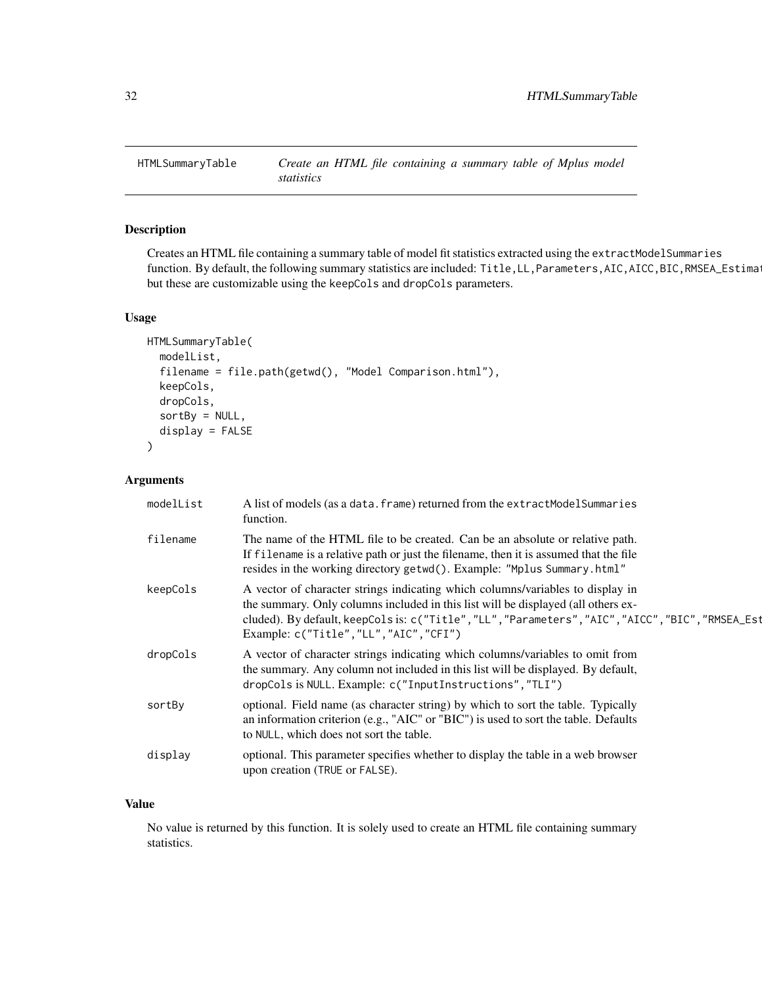<span id="page-31-1"></span><span id="page-31-0"></span>

# Description

Creates an HTML file containing a summary table of model fit statistics extracted using the extractModelSummaries function. By default, the following summary statistics are included: Title,LL,Parameters,AIC,AICC,BIC,RMSEA\_Estimate but these are customizable using the keepCols and dropCols parameters.

#### Usage

```
HTMLSummaryTable(
  modelList,
  filename = file.path(getwd(), "Model Comparison.html"),
  keepCols,
  dropCols,
  sortBy = NULL,display = FALSE
)
```
# Arguments

| modelList | A list of models (as a data. frame) returned from the extractModelSummaries<br>function.                                                                                                                                                                                                                            |
|-----------|---------------------------------------------------------------------------------------------------------------------------------------------------------------------------------------------------------------------------------------------------------------------------------------------------------------------|
| filename  | The name of the HTML file to be created. Can be an absolute or relative path.<br>If filename is a relative path or just the filename, then it is assumed that the file<br>resides in the working directory getwd(). Example: "Mplus Summary.html"                                                                   |
| keepCols  | A vector of character strings indicating which columns/variables to display in<br>the summary. Only columns included in this list will be displayed (all others ex-<br>cluded). By default, keepCols is: c("Title", "LL", "Parameters", "AIC", "AICC", "BIC", "RMSEA_Est<br>Example: c("Title", "LL", "AIC", "CFI") |
| dropCols  | A vector of character strings indicating which columns/variables to omit from<br>the summary. Any column not included in this list will be displayed. By default,<br>dropCols is NULL. Example: c("InputInstructions", "TLI")                                                                                       |
| sortBy    | optional. Field name (as character string) by which to sort the table. Typically<br>an information criterion (e.g., "AIC" or "BIC") is used to sort the table. Defaults<br>to NULL, which does not sort the table.                                                                                                  |
| display   | optional. This parameter specifies whether to display the table in a web browser<br>upon creation (TRUE or FALSE).                                                                                                                                                                                                  |

# Value

No value is returned by this function. It is solely used to create an HTML file containing summary statistics.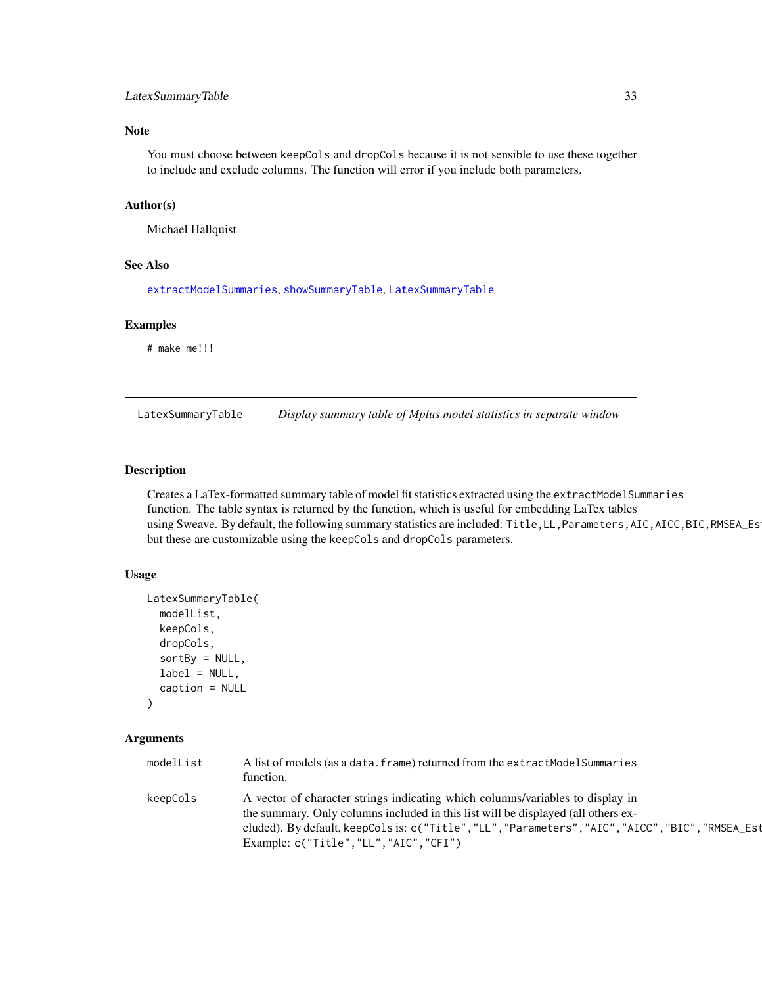# <span id="page-32-0"></span>LatexSummaryTable 33

# Note

You must choose between keepCols and dropCols because it is not sensible to use these together to include and exclude columns. The function will error if you include both parameters.

# Author(s)

Michael Hallquist

#### See Also

[extractModelSummaries](#page-21-1), [showSummaryTable](#page-76-1), [LatexSummaryTable](#page-32-1)

#### Examples

# make me!!!

<span id="page-32-1"></span>LatexSummaryTable *Display summary table of Mplus model statistics in separate window*

#### Description

Creates a LaTex-formatted summary table of model fit statistics extracted using the extractModelSummaries function. The table syntax is returned by the function, which is useful for embedding LaTex tables using Sweave. By default, the following summary statistics are included: Title,LL,Parameters,AIC,AICC,BIC,RMSEA\_Es but these are customizable using the keepCols and dropCols parameters.

# Usage

```
LatexSummaryTable(
  modelList,
  keepCols,
  dropCols,
  sortBy = NULL,
  label = NULL,caption = NULL
)
```
# Arguments

| modelList | A list of models (as a data. frame) returned from the extractModelSummaries<br>function.                                                                                                                                                                                 |
|-----------|--------------------------------------------------------------------------------------------------------------------------------------------------------------------------------------------------------------------------------------------------------------------------|
| keepCols  | A vector of character strings indicating which columns/variables to display in<br>the summary. Only columns included in this list will be displayed (all others ex-<br>cluded). By default, keepCols is: c("Title", "LL", "Parameters", "AIC", "AICC", "BIC", "RMSEA_Est |
|           | Example: $c("Title", "LL", "AIC", "CFI")$                                                                                                                                                                                                                                |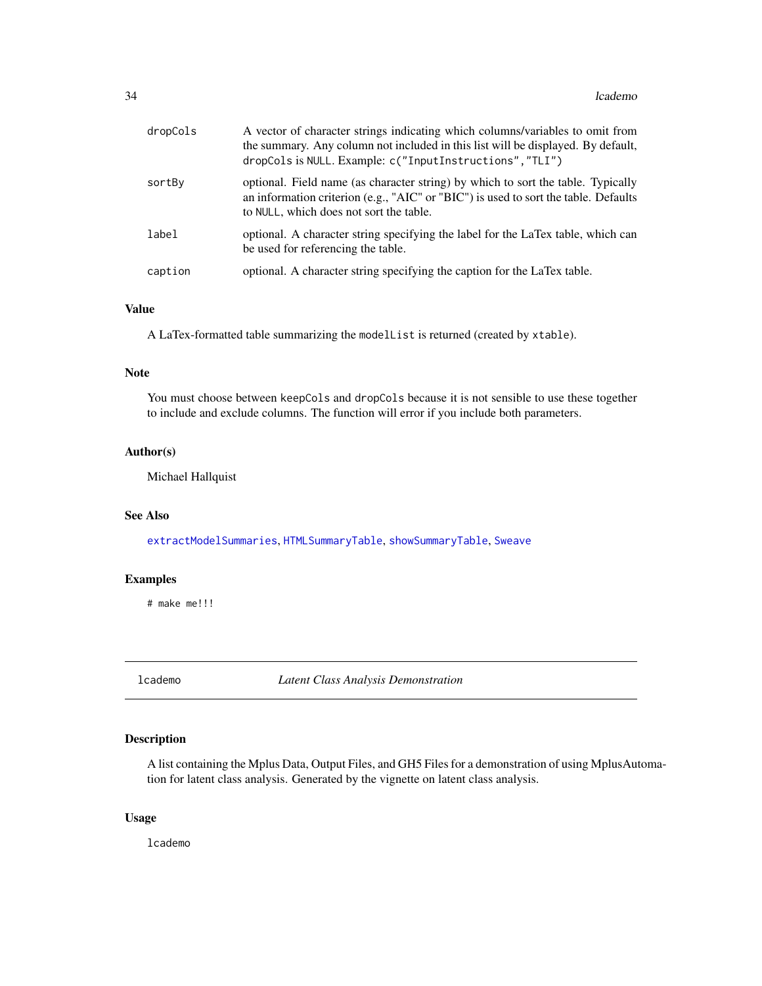<span id="page-33-0"></span>

| dropCols | A vector of character strings indicating which columns/variables to omit from<br>the summary. Any column not included in this list will be displayed. By default,<br>dropCols is NULL. Example: c("InputInstructions", "TLI") |
|----------|-------------------------------------------------------------------------------------------------------------------------------------------------------------------------------------------------------------------------------|
| sortBy   | optional. Field name (as character string) by which to sort the table. Typically<br>an information criterion (e.g., "AIC" or "BIC") is used to sort the table. Defaults<br>to NULL, which does not sort the table.            |
| label    | optional. A character string specifying the label for the LaTex table, which can<br>be used for referencing the table.                                                                                                        |
| caption  | optional. A character string specifying the caption for the LaTex table.                                                                                                                                                      |

# Value

A LaTex-formatted table summarizing the modelList is returned (created by xtable).

# Note

You must choose between keepCols and dropCols because it is not sensible to use these together to include and exclude columns. The function will error if you include both parameters.

# Author(s)

Michael Hallquist

#### See Also

[extractModelSummaries](#page-21-1), [HTMLSummaryTable](#page-31-1), [showSummaryTable](#page-76-1), [Sweave](#page-0-0)

# Examples

# make me!!!

lcademo *Latent Class Analysis Demonstration*

# Description

A list containing the Mplus Data, Output Files, and GH5 Files for a demonstration of using MplusAutomation for latent class analysis. Generated by the vignette on latent class analysis.

#### Usage

lcademo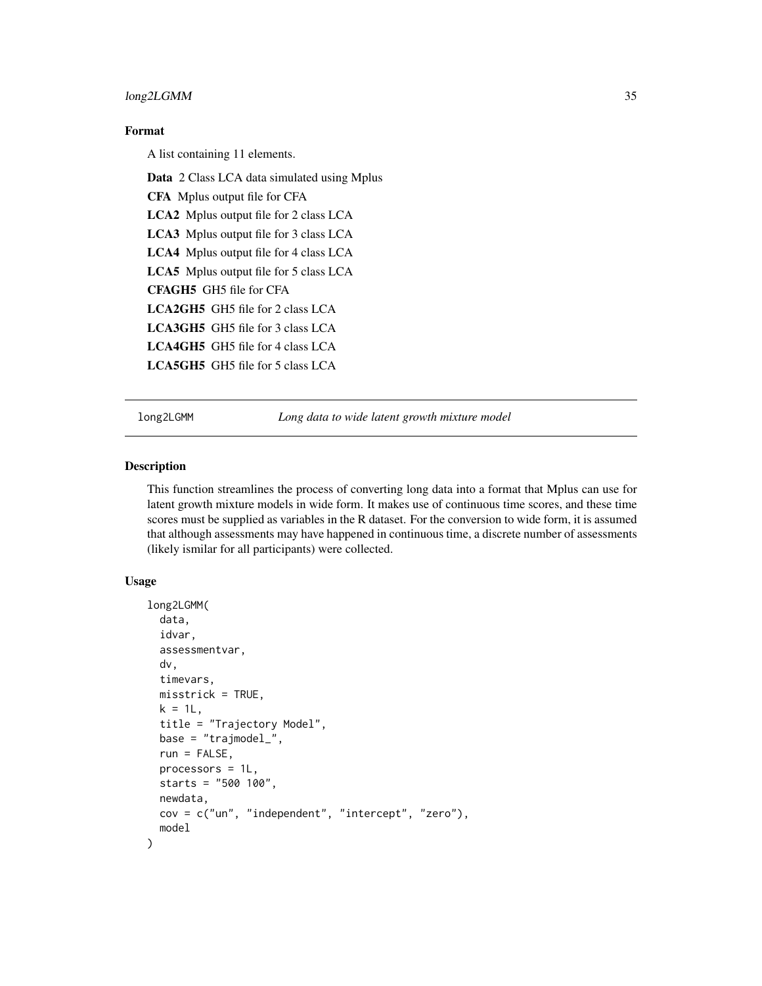# <span id="page-34-0"></span>long2LGMM 35

# Format

A list containing 11 elements.

Data 2 Class LCA data simulated using Mplus CFA Mplus output file for CFA LCA2 Mplus output file for 2 class LCA LCA3 Mplus output file for 3 class LCA LCA4 Mplus output file for 4 class LCA LCA5 Mplus output file for 5 class LCA CFAGH5 GH5 file for CFA LCA2GH5 GH5 file for 2 class LCA LCA3GH5 GH5 file for 3 class LCA LCA4GH5 GH5 file for 4 class LCA LCA5GH5 GH5 file for 5 class LCA

long2LGMM *Long data to wide latent growth mixture model*

#### Description

This function streamlines the process of converting long data into a format that Mplus can use for latent growth mixture models in wide form. It makes use of continuous time scores, and these time scores must be supplied as variables in the R dataset. For the conversion to wide form, it is assumed that although assessments may have happened in continuous time, a discrete number of assessments (likely ismilar for all participants) were collected.

#### Usage

```
long2LGMM(
  data,
  idvar,
  assessmentvar,
  dv,
  timevars,
 misstrick = TRUE,
 k = 1L,
  title = "Trajectory Model",
 base = "trajmodel_",
  run = FALSE,
  processors = 1L,
  starts = "500 100",
  newdata,
  cov = c("un", "independent", "intercept", "zero"),
  model
)
```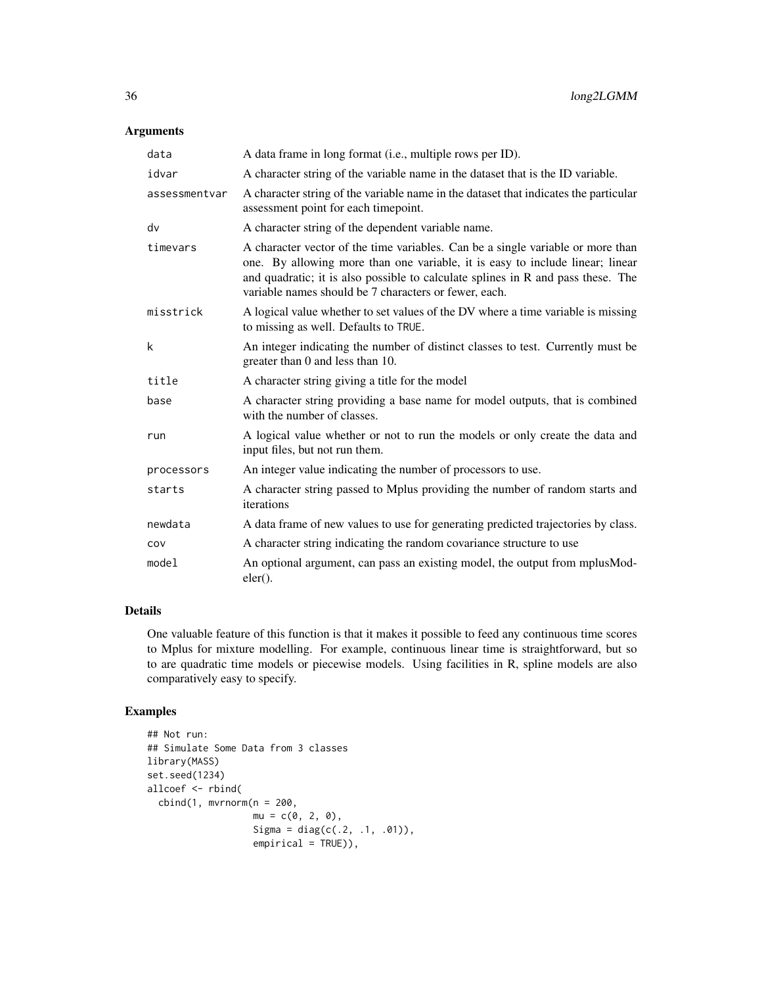# Arguments

| data          | A data frame in long format (i.e., multiple rows per ID).                                                                                                                                                                                                                                                     |
|---------------|---------------------------------------------------------------------------------------------------------------------------------------------------------------------------------------------------------------------------------------------------------------------------------------------------------------|
| idvar         | A character string of the variable name in the dataset that is the ID variable.                                                                                                                                                                                                                               |
| assessmentvar | A character string of the variable name in the dataset that indicates the particular<br>assessment point for each timepoint.                                                                                                                                                                                  |
| dv            | A character string of the dependent variable name.                                                                                                                                                                                                                                                            |
| timevars      | A character vector of the time variables. Can be a single variable or more than<br>one. By allowing more than one variable, it is easy to include linear; linear<br>and quadratic; it is also possible to calculate splines in R and pass these. The<br>variable names should be 7 characters or fewer, each. |
| misstrick     | A logical value whether to set values of the DV where a time variable is missing<br>to missing as well. Defaults to TRUE.                                                                                                                                                                                     |
| k             | An integer indicating the number of distinct classes to test. Currently must be<br>greater than 0 and less than 10.                                                                                                                                                                                           |
| title         | A character string giving a title for the model                                                                                                                                                                                                                                                               |
| base          | A character string providing a base name for model outputs, that is combined<br>with the number of classes.                                                                                                                                                                                                   |
| run           | A logical value whether or not to run the models or only create the data and<br>input files, but not run them.                                                                                                                                                                                                |
| processors    | An integer value indicating the number of processors to use.                                                                                                                                                                                                                                                  |
| starts        | A character string passed to Mplus providing the number of random starts and<br>iterations                                                                                                                                                                                                                    |
| newdata       | A data frame of new values to use for generating predicted trajectories by class.                                                                                                                                                                                                                             |
| COV           | A character string indicating the random covariance structure to use                                                                                                                                                                                                                                          |
| model         | An optional argument, can pass an existing model, the output from mplusMod-<br>$eler()$ .                                                                                                                                                                                                                     |

#### Details

One valuable feature of this function is that it makes it possible to feed any continuous time scores to Mplus for mixture modelling. For example, continuous linear time is straightforward, but so to are quadratic time models or piecewise models. Using facilities in R, spline models are also comparatively easy to specify.

# Examples

```
## Not run:
## Simulate Some Data from 3 classes
library(MASS)
set.seed(1234)
allcoef <- rbind(
  cbind(1, mvrnorm(n = 200,mu = c(0, 2, 0),Sigma = diag(c(.2, .1, .01)),empirical = TRUE)),
```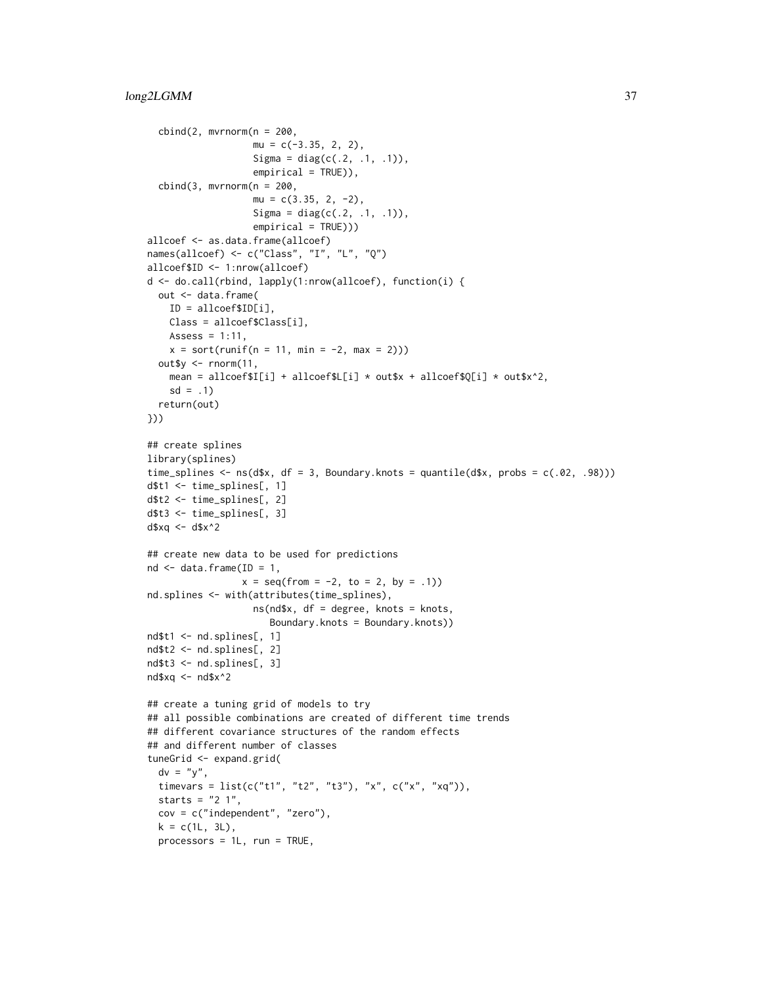```
cbind(2, mvrnorm(n = 200,mu = c(-3.35, 2, 2),
                   Sigma = diag(c(.2, .1, .1)),empirical = TRUE)),
  cbind(3, mvrnorm(n = 200,mu = c(3.35, 2, -2),
                   Sigma = diag(c(.2, .1, .1)),empirical = TRUE)))
allcoef <- as.data.frame(allcoef)
names(allcoef) <- c("Class", "I", "L", "Q")
allcoef$ID <- 1:nrow(allcoef)
d <- do.call(rbind, lapply(1:nrow(allcoef), function(i) {
  out <- data.frame(
    ID = allcoef$ID[i],
   Class = allcoef$Class[i],
   Assess = 1:11,
   x = sort(runif(n = 11, min = -2, max = 2)))out y \le -r norm (11,mean = allcoef$I[i] + allcoef$L[i] * out$x + allcoef$Q[i] * out$x^2,
   sd = .1return(out)
}))
## create splines
library(splines)
time_splines \leq ns(d$x, df = 3, Boundary.knots = quantile(d$x, probs = c(.02, .98)))
d$t1 <- time_splines[, 1]
d$t2 <- time_splines[, 2]
d$t3 <- time_splines[, 3]
d$xq <- d$x^2
## create new data to be used for predictions
nd \leq data.frame(ID = 1,
                 x = seq(from = -2, to = 2, by = .1)nd.splines <- with(attributes(time_splines),
                   ns(nd$x, df = degree, knots = knots,
                      Boundary.knots = Boundary.knots))
nd$t1 <- nd.splines[, 1]
nd$t2 <- nd.splines[, 2]
nd$t3 <- nd.splines[, 3]
nd$xq <- nd$x^2
## create a tuning grid of models to try
## all possible combinations are created of different time trends
## different covariance structures of the random effects
## and different number of classes
tuneGrid <- expand.grid(
  dv = "y",timevars = list(c("t1", "t2", "t3"), "x", c("x", "xq")),
  starts = "2 1".cov = c("independent", "zero"),
  k = c(1L, 3L),processors = 1L, run = TRUE,
```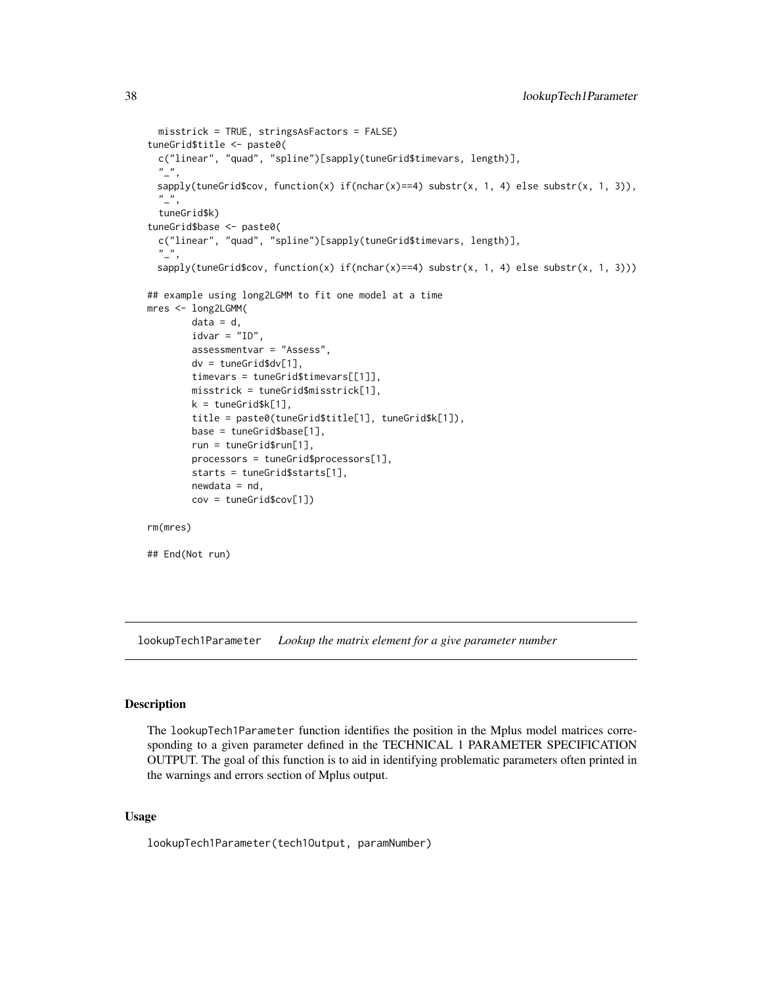```
misstrick = TRUE, stringsAsFactors = FALSE)
tuneGrid$title <- paste0(
 c("linear", "quad", "spline")[sapply(tuneGrid$timevars, length)],
  \binom{n}{r}sapply(tuneGrid$cov, function(x) if(nchar(x)==4) substr(x, 1, 4) else substr(x, 1, 3)),
  \binom{n}{-n}tuneGrid$k)
tuneGrid$base <- paste0(
 c("linear", "quad", "spline")[sapply(tuneGrid$timevars, length)],
 \frac{n}{2},
 sapply(tuneGrid$cov, function(x) if(nchar(x)==4) substr(x, 1, 4) else substr(x, 1, 3)))
## example using long2LGMM to fit one model at a time
mres <- long2LGMM(
        data = d,
        idvar = "ID",
        assessmentvar = "Assess",
        dv = tuneGrid$dv[1],
        timevars = tuneGrid$timevars[[1]],
        misstrick = tuneGrid$misstrick[1],
        k = tuneGrid$k[1],
        title = paste0(tuneGrid$title[1], tuneGrid$k[1]),
        base = tuneGrid$base[1],
        run = tuneGrid$run[1],
        processors = tuneGrid$processors[1],
        starts = tuneGrid$starts[1],
        newdata = nd,
        cov = tuneGrid$cov[1])
rm(mres)
## End(Not run)
```
lookupTech1Parameter *Lookup the matrix element for a give parameter number*

# Description

The lookupTech1Parameter function identifies the position in the Mplus model matrices corresponding to a given parameter defined in the TECHNICAL 1 PARAMETER SPECIFICATION OUTPUT. The goal of this function is to aid in identifying problematic parameters often printed in the warnings and errors section of Mplus output.

# Usage

lookupTech1Parameter(tech1Output, paramNumber)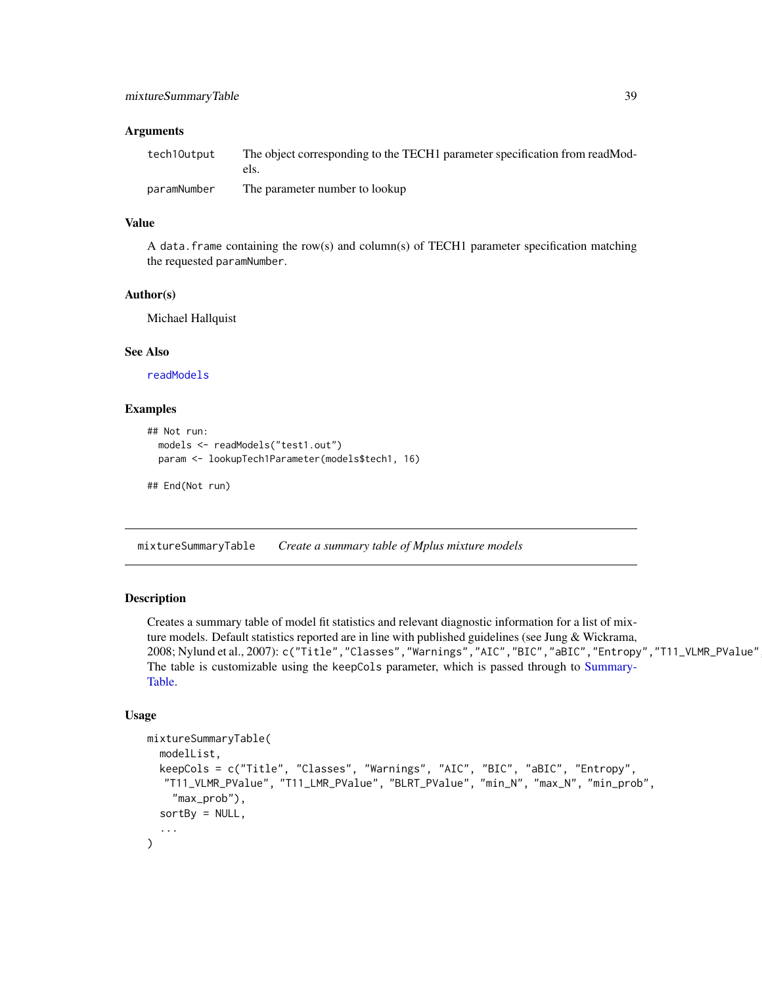#### **Arguments**

| tech10utput | The object corresponding to the TECH1 parameter specification from readMod-<br>els. |
|-------------|-------------------------------------------------------------------------------------|
| paramNumber | The parameter number to lookup                                                      |

#### Value

A data.frame containing the row(s) and column(s) of TECH1 parameter specification matching the requested paramNumber.

# Author(s)

Michael Hallquist

#### See Also

[readModels](#page-70-0)

# Examples

```
## Not run:
 models <- readModels("test1.out")
 param <- lookupTech1Parameter(models$tech1, 16)
```
## End(Not run)

mixtureSummaryTable *Create a summary table of Mplus mixture models*

#### Description

Creates a summary table of model fit statistics and relevant diagnostic information for a list of mixture models. Default statistics reported are in line with published guidelines (see Jung & Wickrama, 2008; Nylund et al., 2007): c("Title", "Classes", "Warnings", "AIC", "BIC", "aBIC", "Entropy", "T11\_VLMR\_PValue" The table is customizable using the keepCols parameter, which is passed through to [Summary-](#page-79-0)[Table.](#page-79-0)

# Usage

```
mixtureSummaryTable(
  modelList,
  keepCols = c("Title", "Classes", "Warnings", "AIC", "BIC", "aBIC", "Entropy",
  "T11_VLMR_PValue", "T11_LMR_PValue", "BLRT_PValue", "min_N", "max_N", "min_prob",
    "max_prob"),
  sortBy = NULL,...
)
```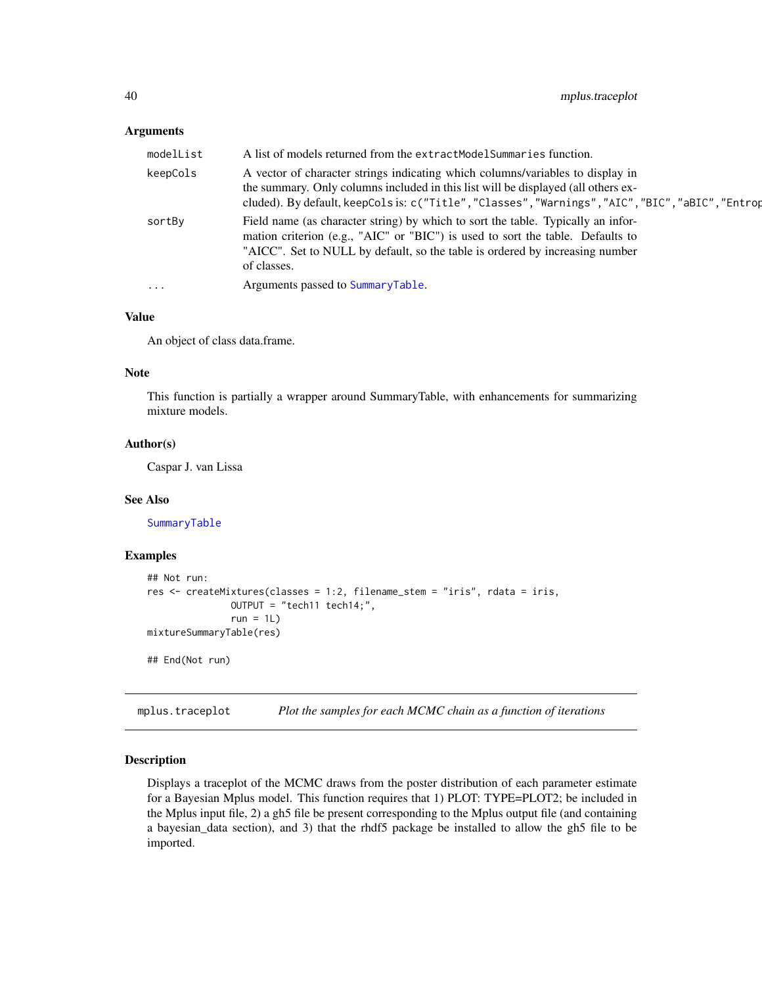# **Arguments**

| modelList | A list of models returned from the extractModelSummaries function.                                                                                                                                                                                                       |
|-----------|--------------------------------------------------------------------------------------------------------------------------------------------------------------------------------------------------------------------------------------------------------------------------|
| keepCols  | A vector of character strings indicating which columns/variables to display in<br>the summary. Only columns included in this list will be displayed (all others ex-<br>cluded). By default, keepCols is: c("Title", "Classes", "Warnings", "AIC", "BIC", "aBIC", "Entrop |
| sortBy    | Field name (as character string) by which to sort the table. Typically an infor-<br>mation criterion (e.g., "AIC" or "BIC") is used to sort the table. Defaults to<br>"AICC". Set to NULL by default, so the table is ordered by increasing number<br>of classes.        |
| $\cdots$  | Arguments passed to SummaryTable.                                                                                                                                                                                                                                        |

# Value

An object of class data.frame.

#### Note

This function is partially a wrapper around SummaryTable, with enhancements for summarizing mixture models.

# Author(s)

Caspar J. van Lissa

#### See Also

[SummaryTable](#page-79-0)

#### Examples

```
## Not run:
res <- createMixtures(classes = 1:2, filename_stem = "iris", rdata = iris,
               OUTPUT = "tech11 tech14;",
               run = 1L)
mixtureSummaryTable(res)
## End(Not run)
```
mplus.traceplot *Plot the samples for each MCMC chain as a function of iterations*

# Description

Displays a traceplot of the MCMC draws from the poster distribution of each parameter estimate for a Bayesian Mplus model. This function requires that 1) PLOT: TYPE=PLOT2; be included in the Mplus input file, 2) a gh5 file be present corresponding to the Mplus output file (and containing a bayesian\_data section), and 3) that the rhdf5 package be installed to allow the gh5 file to be imported.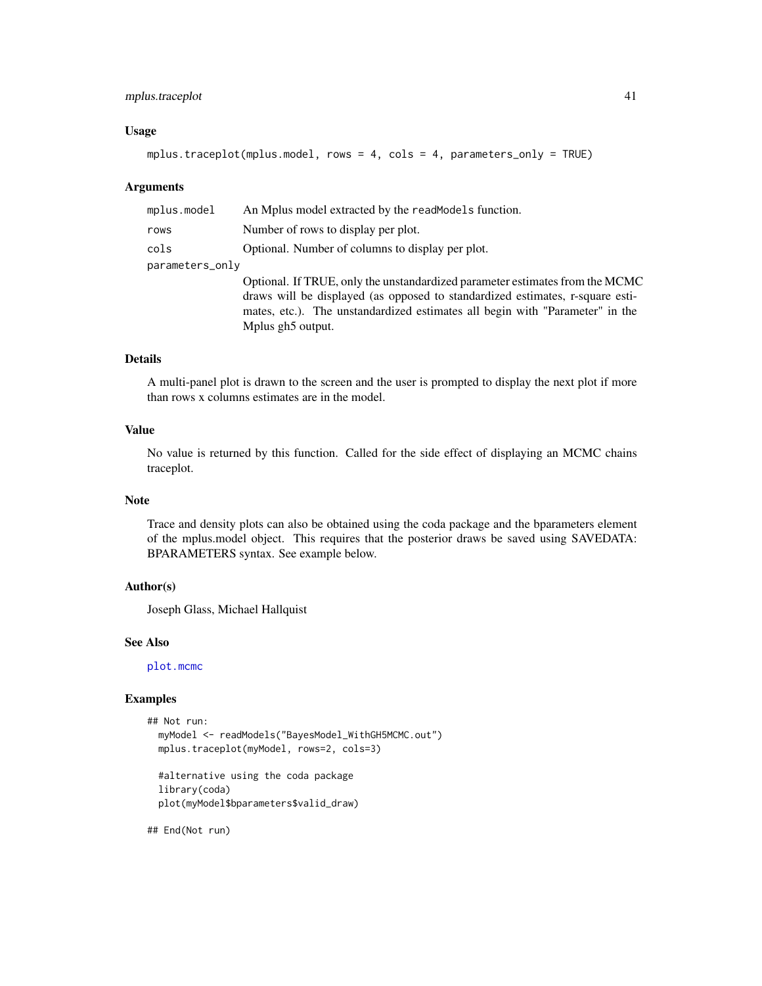# mplus.traceplot 41

#### Usage

```
mplus.traceplot(mplus.model, rows = 4, cols = 4, parameters_only = TRUE)
```
#### **Arguments**

| mplus.model     | An Mplus model extracted by the read Models function.                                                                                                                                                                                                              |  |  |
|-----------------|--------------------------------------------------------------------------------------------------------------------------------------------------------------------------------------------------------------------------------------------------------------------|--|--|
| rows            | Number of rows to display per plot.                                                                                                                                                                                                                                |  |  |
| cols            | Optional. Number of columns to display per plot.                                                                                                                                                                                                                   |  |  |
| parameters_only |                                                                                                                                                                                                                                                                    |  |  |
|                 | Optional. If TRUE, only the unstandardized parameter estimates from the MCMC<br>draws will be displayed (as opposed to standardized estimates, r-square esti-<br>mates, etc.). The unstandardized estimates all begin with "Parameter" in the<br>Mplus gh5 output. |  |  |

# Details

A multi-panel plot is drawn to the screen and the user is prompted to display the next plot if more than rows x columns estimates are in the model.

# Value

No value is returned by this function. Called for the side effect of displaying an MCMC chains traceplot.

# Note

Trace and density plots can also be obtained using the coda package and the bparameters element of the mplus.model object. This requires that the posterior draws be saved using SAVEDATA: BPARAMETERS syntax. See example below.

#### Author(s)

Joseph Glass, Michael Hallquist

# See Also

[plot.mcmc](#page-0-0)

# Examples

```
## Not run:
 myModel <- readModels("BayesModel_WithGH5MCMC.out")
 mplus.traceplot(myModel, rows=2, cols=3)
 #alternative using the coda package
 library(coda)
 plot(myModel$bparameters$valid_draw)
```
## End(Not run)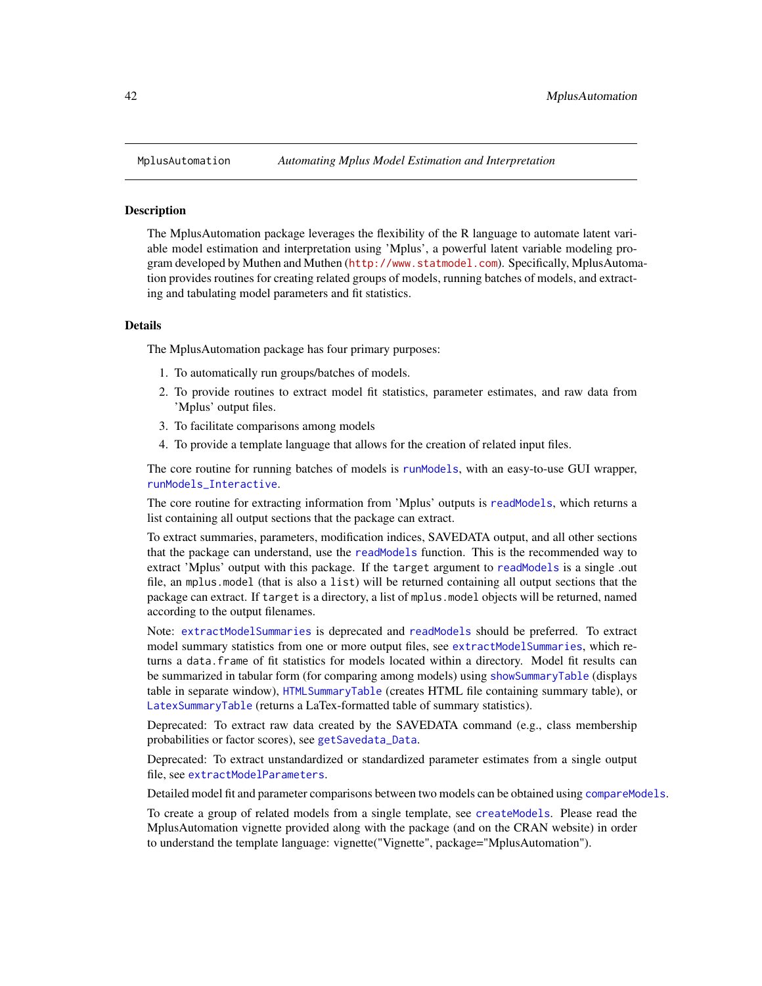#### Description

The MplusAutomation package leverages the flexibility of the R language to automate latent variable model estimation and interpretation using 'Mplus', a powerful latent variable modeling program developed by Muthen and Muthen (<http://www.statmodel.com>). Specifically, MplusAutomation provides routines for creating related groups of models, running batches of models, and extracting and tabulating model parameters and fit statistics.

#### Details

The MplusAutomation package has four primary purposes:

- 1. To automatically run groups/batches of models.
- 2. To provide routines to extract model fit statistics, parameter estimates, and raw data from 'Mplus' output files.
- 3. To facilitate comparisons among models
- 4. To provide a template language that allows for the creation of related input files.

The core routine for running batches of models is [runModels](#page-73-0), with an easy-to-use GUI wrapper, [runModels\\_Interactive](#page-74-0).

The core routine for extracting information from 'Mplus' outputs is [readModels](#page-70-0), which returns a list containing all output sections that the package can extract.

To extract summaries, parameters, modification indices, SAVEDATA output, and all other sections that the package can understand, use the [readModels](#page-70-0) function. This is the recommended way to extract 'Mplus' output with this package. If the target argument to [readModels](#page-70-0) is a single .out file, an mplus.model (that is also a list) will be returned containing all output sections that the package can extract. If target is a directory, a list of mplus.model objects will be returned, named according to the output filenames.

Note: [extractModelSummaries](#page-21-0) is deprecated and [readModels](#page-70-0) should be preferred. To extract model summary statistics from one or more output files, see [extractModelSummaries](#page-21-0), which returns a data.frame of fit statistics for models located within a directory. Model fit results can be summarized in tabular form (for comparing among models) using [showSummaryTable](#page-76-0) (displays table in separate window), [HTMLSummaryTable](#page-31-0) (creates HTML file containing summary table), or [LatexSummaryTable](#page-32-0) (returns a LaTex-formatted table of summary statistics).

Deprecated: To extract raw data created by the SAVEDATA command (e.g., class membership probabilities or factor scores), see [getSavedata\\_Data](#page-26-0).

Deprecated: To extract unstandardized or standardized parameter estimates from a single output file, see [extractModelParameters](#page-18-0).

Detailed model fit and parameter comparisons between two models can be obtained using [compareModels](#page-6-0).

To create a group of related models from a single template, see [createModels](#page-12-0). Please read the MplusAutomation vignette provided along with the package (and on the CRAN website) in order to understand the template language: vignette("Vignette", package="MplusAutomation").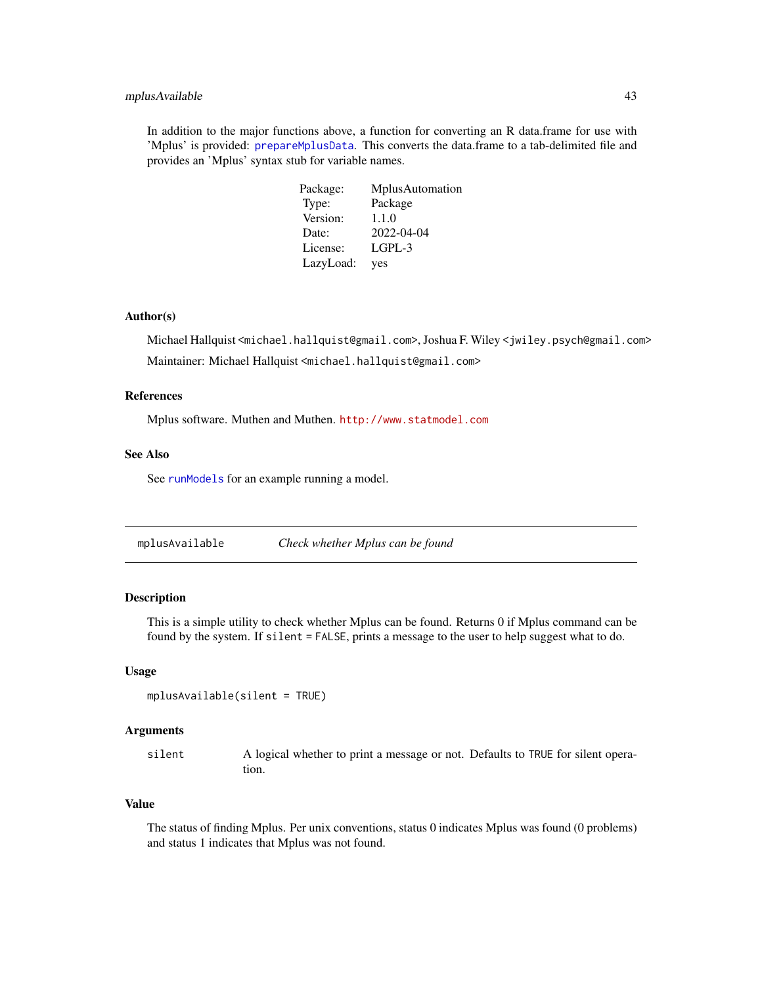# mplusAvailable 43

In addition to the major functions above, a function for converting an R data.frame for use with 'Mplus' is provided: [prepareMplusData](#page-65-0). This converts the data.frame to a tab-delimited file and provides an 'Mplus' syntax stub for variable names.

| Package:  | MplusAutomation |
|-----------|-----------------|
| Type:     | Package         |
| Version:  | 1.1.0           |
| Date:     | 2022-04-04      |
| License:  | LGPL-3          |
| LazyLoad: | yes             |

# Author(s)

Michael Hallquist <michael.hallquist@gmail.com>, Joshua F. Wiley <jwiley.psych@gmail.com> Maintainer: Michael Hallquist <michael.hallquist@gmail.com>

#### References

Mplus software. Muthen and Muthen. <http://www.statmodel.com>

# See Also

See [runModels](#page-73-0) for an example running a model.

mplusAvailable *Check whether Mplus can be found*

#### Description

This is a simple utility to check whether Mplus can be found. Returns 0 if Mplus command can be found by the system. If silent = FALSE, prints a message to the user to help suggest what to do.

#### Usage

```
mplusAvailable(silent = TRUE)
```
#### Arguments

silent A logical whether to print a message or not. Defaults to TRUE for silent operation.

#### Value

The status of finding Mplus. Per unix conventions, status 0 indicates Mplus was found (0 problems) and status 1 indicates that Mplus was not found.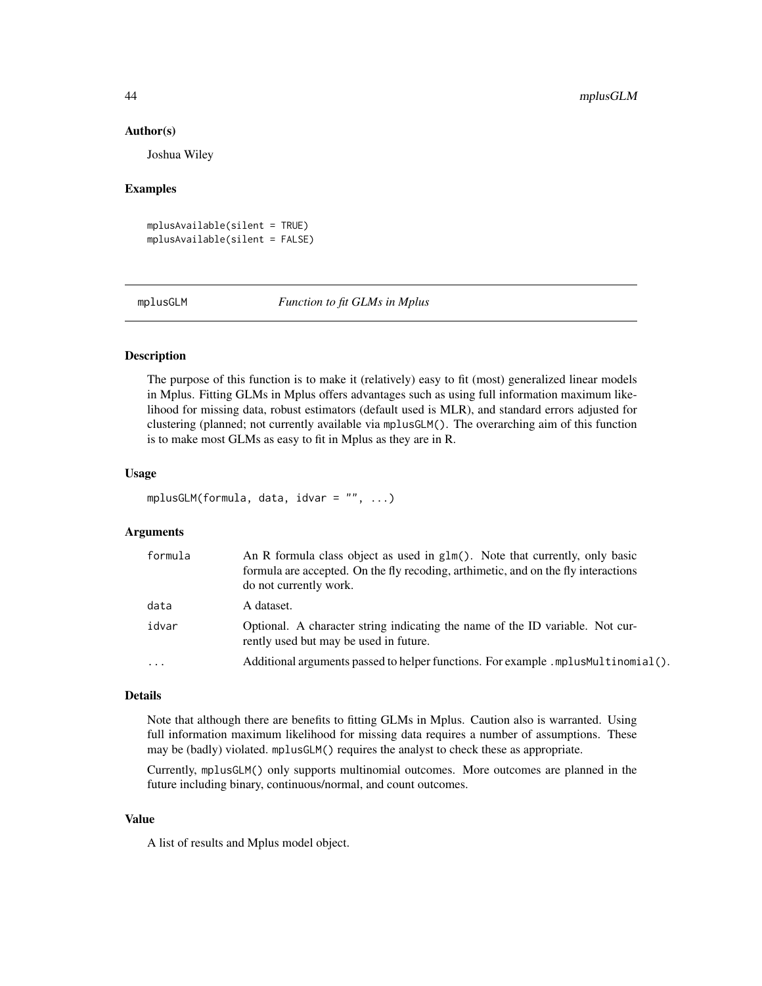#### Author(s)

Joshua Wiley

# Examples

```
mplusAvailable(silent = TRUE)
mplusAvailable(silent = FALSE)
```
mplusGLM *Function to fit GLMs in Mplus*

# Description

The purpose of this function is to make it (relatively) easy to fit (most) generalized linear models in Mplus. Fitting GLMs in Mplus offers advantages such as using full information maximum likelihood for missing data, robust estimators (default used is MLR), and standard errors adjusted for clustering (planned; not currently available via mplusGLM(). The overarching aim of this function is to make most GLMs as easy to fit in Mplus as they are in R.

# Usage

```
mplusGLM(formula, data, idvar = "", ...)
```
#### Arguments

| formula   | An R formula class object as used in glm(). Note that currently, only basic<br>formula are accepted. On the fly recoding, arthimetic, and on the fly interactions<br>do not currently work. |
|-----------|---------------------------------------------------------------------------------------------------------------------------------------------------------------------------------------------|
| data      | A dataset.                                                                                                                                                                                  |
| idvar     | Optional. A character string indicating the name of the ID variable. Not cur-<br>rently used but may be used in future.                                                                     |
| $\ddotsc$ | Additional arguments passed to helper functions. For example . mplus Multinomial ().                                                                                                        |

#### Details

Note that although there are benefits to fitting GLMs in Mplus. Caution also is warranted. Using full information maximum likelihood for missing data requires a number of assumptions. These may be (badly) violated. mplusGLM() requires the analyst to check these as appropriate.

Currently, mplusGLM() only supports multinomial outcomes. More outcomes are planned in the future including binary, continuous/normal, and count outcomes.

#### Value

A list of results and Mplus model object.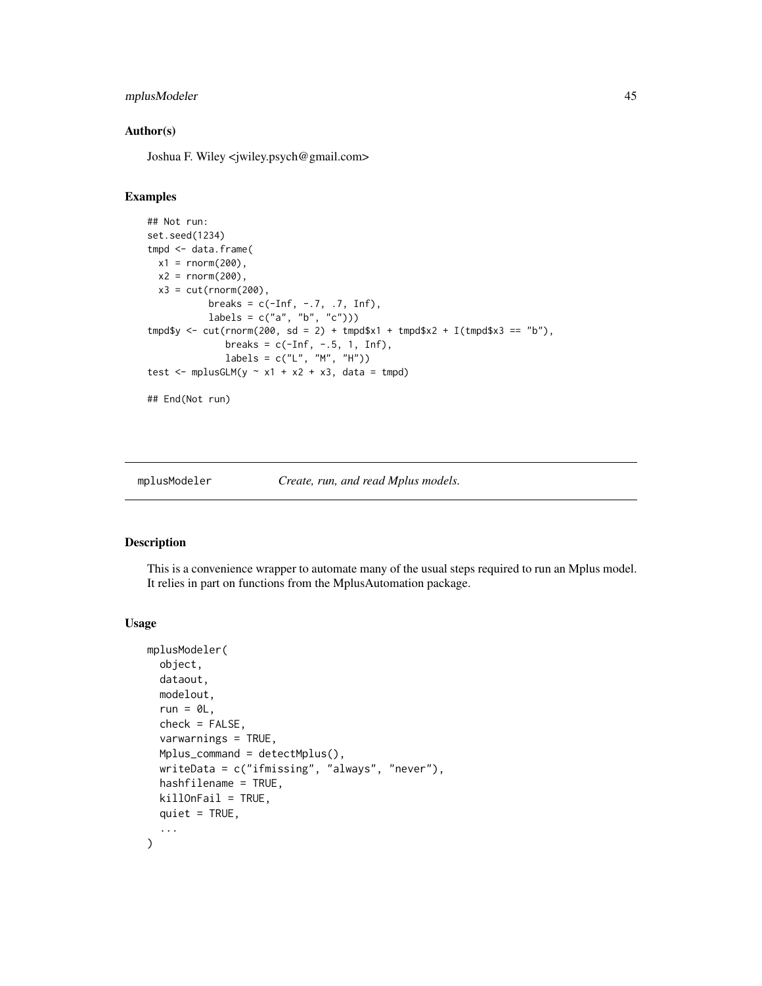# mplusModeler 45

#### Author(s)

Joshua F. Wiley <jwiley.psych@gmail.com>

#### Examples

```
## Not run:
set.seed(1234)
tmpd <- data.frame(
 x1 = rnorm(200),
 x2 = rnorm(200),
 x3 = cut(rnorm(200),breaks = c(-Inf, -.7, .7, Inf),
          labels = c("a", "b", "c"))tmpd$y <- cut(rnorm(200, sd = 2) + tmpd$x1 + tmpd$x2 + I(tmpd$x3 == "b"),
             breaks = c(-Inf, -.5, 1, Inf),
             labels = c("L", "M", "H")test <- mplusGLM(y \sim x1 + x2 + x3, data = tmpd)
## End(Not run)
```
<span id="page-44-0"></span>

# mplusModeler *Create, run, and read Mplus models.*

### Description

This is a convenience wrapper to automate many of the usual steps required to run an Mplus model. It relies in part on functions from the MplusAutomation package.

#### Usage

```
mplusModeler(
  object,
  dataout,
 modelout,
  run = \thetaL,
  check = FALSE,varwarnings = TRUE,
 Mplus_command = detectMplus(),
  writeData = c("ifmissing", "always", "never"),
  hashfilename = TRUE,
 killOnFail = TRUE,
  quiet = TRUE,
  ...
)
```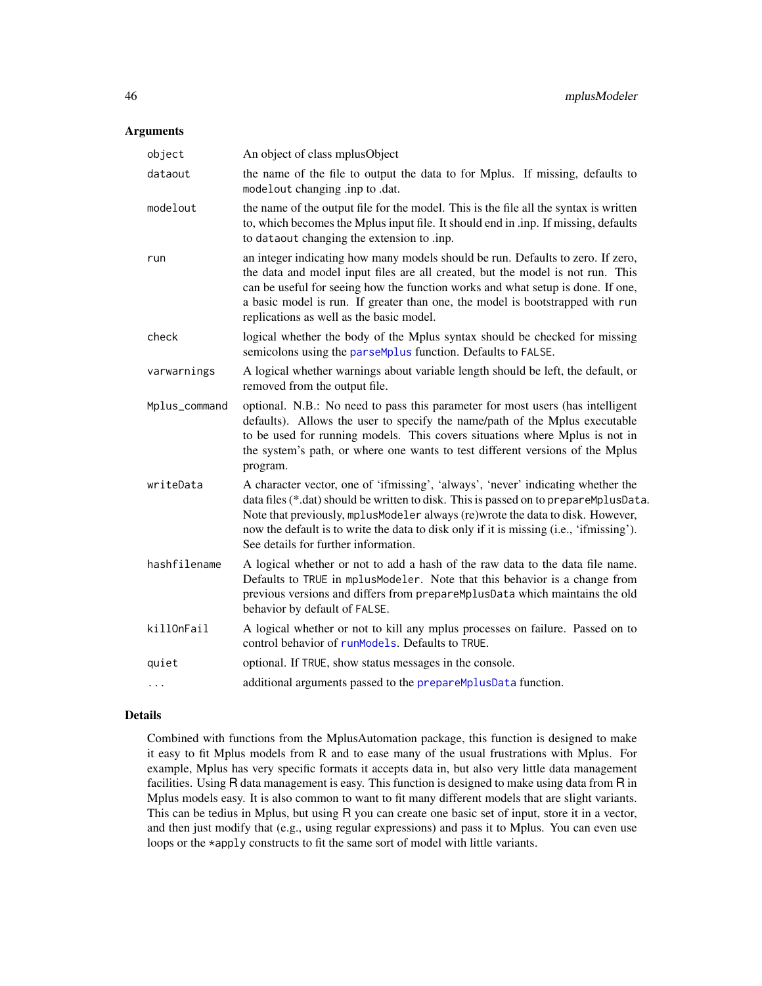# Arguments

| object        | An object of class mplusObject                                                                                                                                                                                                                                                                                                                                                                |  |  |
|---------------|-----------------------------------------------------------------------------------------------------------------------------------------------------------------------------------------------------------------------------------------------------------------------------------------------------------------------------------------------------------------------------------------------|--|--|
| dataout       | the name of the file to output the data to for Mplus. If missing, defaults to<br>modelout changing .inp to .dat.                                                                                                                                                                                                                                                                              |  |  |
| modelout      | the name of the output file for the model. This is the file all the syntax is written<br>to, which becomes the Mplus input file. It should end in .inp. If missing, defaults<br>to dataout changing the extension to .inp.                                                                                                                                                                    |  |  |
| run           | an integer indicating how many models should be run. Defaults to zero. If zero,<br>the data and model input files are all created, but the model is not run. This<br>can be useful for seeing how the function works and what setup is done. If one,<br>a basic model is run. If greater than one, the model is bootstrapped with run<br>replications as well as the basic model.             |  |  |
| check         | logical whether the body of the Mplus syntax should be checked for missing<br>semicolons using the parseMplus function. Defaults to FALSE.                                                                                                                                                                                                                                                    |  |  |
| varwarnings   | A logical whether warnings about variable length should be left, the default, or<br>removed from the output file.                                                                                                                                                                                                                                                                             |  |  |
| Mplus_command | optional. N.B.: No need to pass this parameter for most users (has intelligent<br>defaults). Allows the user to specify the name/path of the Mplus executable<br>to be used for running models. This covers situations where Mplus is not in<br>the system's path, or where one wants to test different versions of the Mplus<br>program.                                                     |  |  |
| writeData     | A character vector, one of 'ifmissing', 'always', 'never' indicating whether the<br>data files (*.dat) should be written to disk. This is passed on to prepareMplusData.<br>Note that previously, mplusModeler always (re)wrote the data to disk. However,<br>now the default is to write the data to disk only if it is missing (i.e., 'ifmissing').<br>See details for further information. |  |  |
| hashfilename  | A logical whether or not to add a hash of the raw data to the data file name.<br>Defaults to TRUE in mplusModeler. Note that this behavior is a change from<br>previous versions and differs from prepareMplusData which maintains the old<br>behavior by default of FALSE.                                                                                                                   |  |  |
| killOnFail    | A logical whether or not to kill any mplus processes on failure. Passed on to<br>control behavior of runModels. Defaults to TRUE.                                                                                                                                                                                                                                                             |  |  |
| quiet         | optional. If TRUE, show status messages in the console.                                                                                                                                                                                                                                                                                                                                       |  |  |
| $\cdots$      | additional arguments passed to the prepareMplusData function.                                                                                                                                                                                                                                                                                                                                 |  |  |

#### Details

Combined with functions from the MplusAutomation package, this function is designed to make it easy to fit Mplus models from R and to ease many of the usual frustrations with Mplus. For example, Mplus has very specific formats it accepts data in, but also very little data management facilities. Using R data management is easy. This function is designed to make using data from R in Mplus models easy. It is also common to want to fit many different models that are slight variants. This can be tedius in Mplus, but using R you can create one basic set of input, store it in a vector, and then just modify that (e.g., using regular expressions) and pass it to Mplus. You can even use loops or the \*apply constructs to fit the same sort of model with little variants.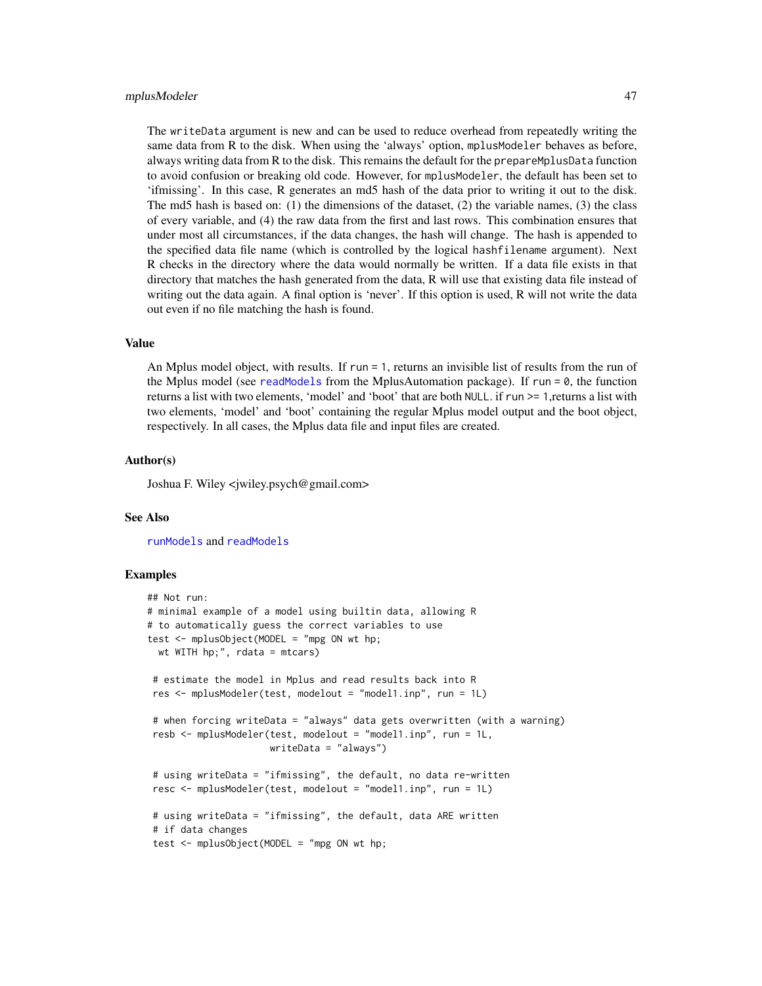#### mplusModeler 47

The writeData argument is new and can be used to reduce overhead from repeatedly writing the same data from R to the disk. When using the 'always' option, mplusModeler behaves as before, always writing data from R to the disk. This remains the default for the prepareMplusData function to avoid confusion or breaking old code. However, for mplusModeler, the default has been set to 'ifmissing'. In this case, R generates an md5 hash of the data prior to writing it out to the disk. The md5 hash is based on: (1) the dimensions of the dataset, (2) the variable names, (3) the class of every variable, and (4) the raw data from the first and last rows. This combination ensures that under most all circumstances, if the data changes, the hash will change. The hash is appended to the specified data file name (which is controlled by the logical hashfilename argument). Next R checks in the directory where the data would normally be written. If a data file exists in that directory that matches the hash generated from the data, R will use that existing data file instead of writing out the data again. A final option is 'never'. If this option is used, R will not write the data out even if no file matching the hash is found.

# Value

An Mplus model object, with results. If run = 1, returns an invisible list of results from the run of the Mplus model (see [readModels](#page-70-0) from the MplusAutomation package). If run =  $\theta$ , the function returns a list with two elements, 'model' and 'boot' that are both NULL. if run >= 1,returns a list with two elements, 'model' and 'boot' containing the regular Mplus model output and the boot object, respectively. In all cases, the Mplus data file and input files are created.

# Author(s)

Joshua F. Wiley <jwiley.psych@gmail.com>

#### See Also

[runModels](#page-73-0) and [readModels](#page-70-0)

```
## Not run:
# minimal example of a model using builtin data, allowing R
# to automatically guess the correct variables to use
test <- mplusObject(MODEL = "mpg ON wt hp;
 wt WITH hp;", rdata = mtcars)
 # estimate the model in Mplus and read results back into R
 res <- mplusModeler(test, modelout = "model1.inp", run = 1L)
 # when forcing writeData = "always" data gets overwritten (with a warning)
 resb <- mplusModeler(test, modelout = "model1.inp", run = 1L,
                      writeData = "always")
 # using writeData = "ifmissing", the default, no data re-written
 resc <- mplusModeler(test, modelout = "model1.inp", run = 1L)
 # using writeData = "ifmissing", the default, data ARE written
 # if data changes
 test <- mplusObject(MODEL = "mpg ON wt hp;
```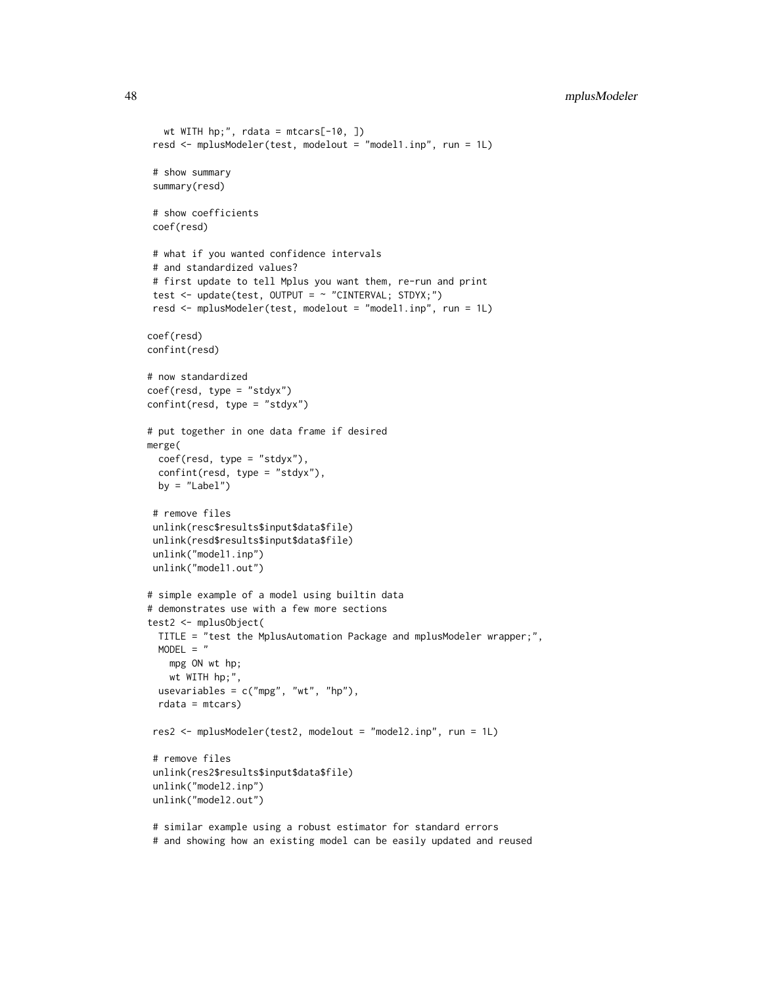48 mplusModeler

```
wt WITH hp;", rdata = mtcars[-10, ])
resd <- mplusModeler(test, modelout = "model1.inp", run = 1L)
 # show summary
 summary(resd)
 # show coefficients
coef(resd)
# what if you wanted confidence intervals
# and standardized values?
# first update to tell Mplus you want them, re-run and print
test <- update(test, OUTPUT = \sim "CINTERVAL; STDYX;")
resd <- mplusModeler(test, modelout = "model1.inp", run = 1L)
coef(resd)
confint(resd)
# now standardized
coef(resd, type = "stdyx")
confint(resd, type = "stdyx")
# put together in one data frame if desired
merge(
 coef(resd, type = "stdyx"),
 confint(resd, type = "stdyx"),
 by = "Label")
 # remove files
 unlink(resc$results$input$data$file)
unlink(resd$results$input$data$file)
unlink("model1.inp")
unlink("model1.out")
# simple example of a model using builtin data
# demonstrates use with a few more sections
test2 <- mplusObject(
 TITLE = "test the MplusAutomation Package and mplusModeler wrapper;",
 MODEL = "mpg ON wt hp;
   wt WITH hp;",
 usevariables = c("mpg", "wt", "hp"),
 rdata = mtcars)
res2 <- mplusModeler(test2, modelout = "model2.inp", run = 1L)
 # remove files
unlink(res2$results$input$data$file)
unlink("model2.inp")
unlink("model2.out")
```
# similar example using a robust estimator for standard errors # and showing how an existing model can be easily updated and reused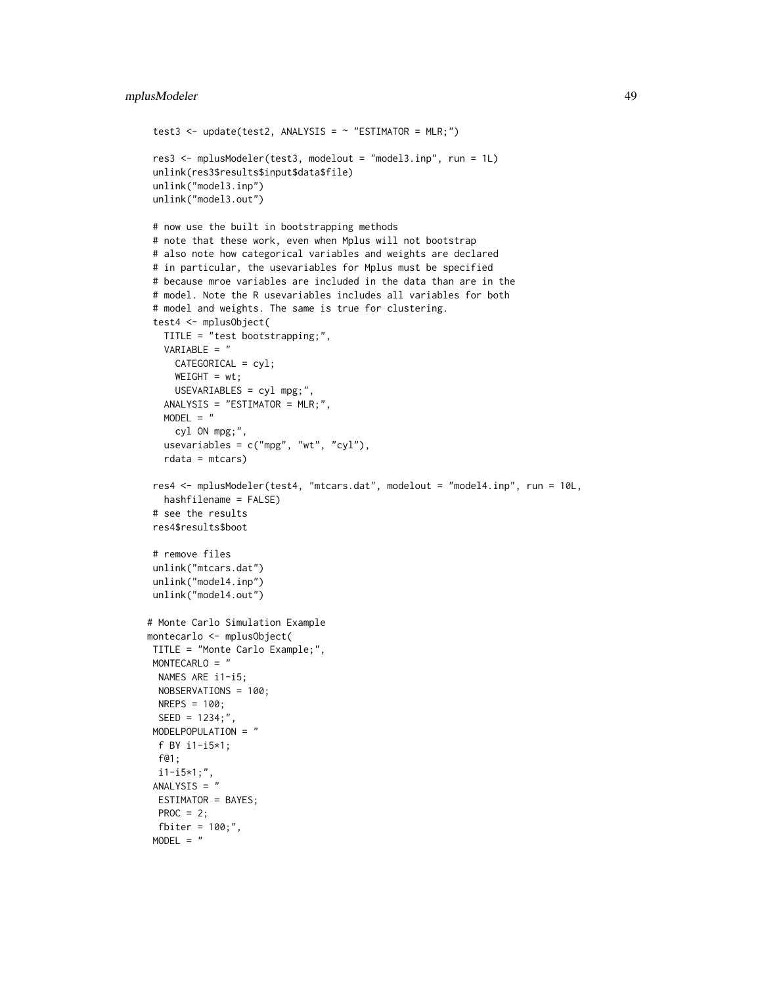```
test3 <- update(test2, ANALYSIS = \sim "ESTIMATOR = MLR;")
res3 <- mplusModeler(test3, modelout = "model3.inp", run = 1L)
unlink(res3$results$input$data$file)
unlink("model3.inp")
unlink("model3.out")
# now use the built in bootstrapping methods
# note that these work, even when Mplus will not bootstrap
# also note how categorical variables and weights are declared
# in particular, the usevariables for Mplus must be specified
# because mroe variables are included in the data than are in the
# model. Note the R usevariables includes all variables for both
# model and weights. The same is true for clustering.
test4 <- mplusObject(
  TITLE = "test bootstrapping;",
  VARIABLE = "
    CATEGORICAL = cyl;
    WEIGHT = wt;USEVARIABLES = cyl mpg;",
  ANALYSIS = "ESTIMATOR = MLR;",
  MODEL = "cyl ON mpg;",
  usevariables = c("mpg", "wt", "cyl"),
  rdata = mtcars)
res4 <- mplusModeler(test4, "mtcars.dat", modelout = "model4.inp", run = 10L,
  hashfilename = FALSE)
# see the results
res4$results$boot
# remove files
unlink("mtcars.dat")
unlink("model4.inp")
unlink("model4.out")
# Monte Carlo Simulation Example
montecarlo <- mplusObject(
TITLE = "Monte Carlo Example;",
MONTECARLO = "
 NAMES ARE i1-i5;
 NOBSERVATIONS = 100;
 NREPS = 100;
 SEED = 1234;''MODELPOPULATION = "
 f BY i1-i5*1;
 f@1;
 i1-i5*1;",
ANALYSIS = "
 ESTIMATOR = BAYES;
 PROC = 2;fbiter = 100;",
MODEL = "
```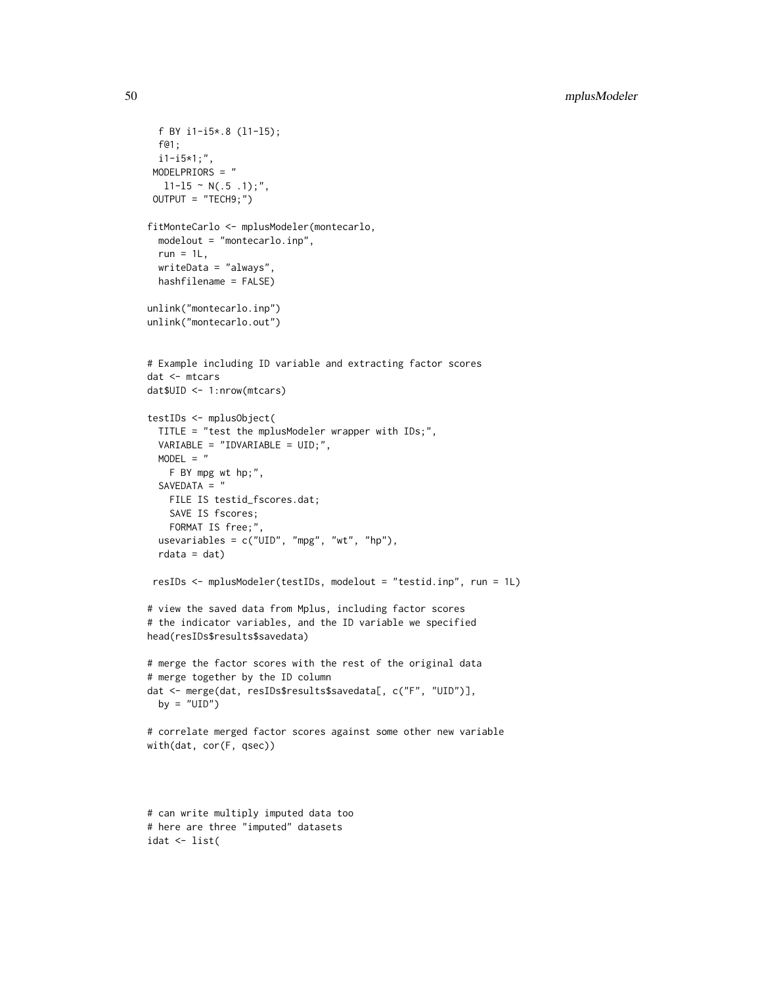```
f BY i1-i5*.8 (l1-l5);
  f@1;
 i1-i5*1;",
 MODELPRIORS = "
  11-15 ~ N(.5 .1);",
 OUTPUT = "TECH9;")
fitMonteCarlo <- mplusModeler(montecarlo,
  modelout = "montecarlo.inp",
  run = 1L,
  writeData = "always",
  hashfilename = FALSE)
unlink("montecarlo.inp")
unlink("montecarlo.out")
# Example including ID variable and extracting factor scores
dat <- mtcars
dat$UID <- 1:nrow(mtcars)
testIDs <- mplusObject(
  TITLE = "test the mplusModeler wrapper with IDs;",
  VARIABLE = "IDVARIABLE = UID;",
 MODEL = "F BY mpg wt hp;",
  SAVEDATA = "
   FILE IS testid_fscores.dat;
   SAVE IS fscores;
   FORMAT IS free;",
  usevariables = c("UID", "mpg", "wt", "hp"),
  rdata = dat)
 resIDs <- mplusModeler(testIDs, modelout = "testid.inp", run = 1L)
# view the saved data from Mplus, including factor scores
# the indicator variables, and the ID variable we specified
head(resIDs$results$savedata)
# merge the factor scores with the rest of the original data
# merge together by the ID column
dat <- merge(dat, resIDs$results$savedata[, c("F", "UID")],
 by = "UID")
# correlate merged factor scores against some other new variable
with(dat, cor(F, qsec))
```
# can write multiply imputed data too # here are three "imputed" datasets idat <- list(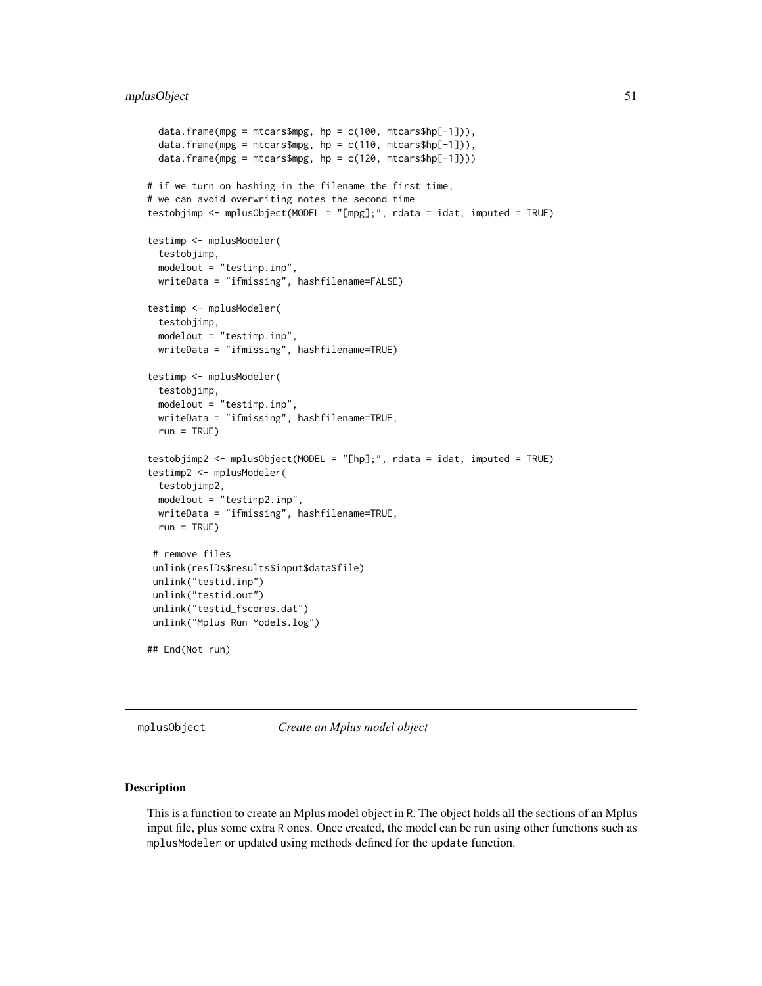# mplusObject 51

```
data.frame(mpg = mtcars$mpg, hp = c(100, \text{mtcars}$hp[-1])),
 data.frame(mpg = mtcars$mpg, hp = c(110, mtcars$hp[-1])),
 data.frame(mpg = mtcars$mpg, hp = c(120, mtcars$hp[-1])))
# if we turn on hashing in the filename the first time,
# we can avoid overwriting notes the second time
testobjimp <- mplusObject(MODEL = "[mpg];", rdata = idat, imputed = TRUE)
testimp <- mplusModeler(
 testobjimp,
 modelout = "testimp.inp",
 writeData = "ifmissing", hashfilename=FALSE)
testimp <- mplusModeler(
 testobjimp,
 modelout = "testimp.inp",
 writeData = "ifmissing", hashfilename=TRUE)
testimp <- mplusModeler(
 testobjimp,
 modelout = "testimp.inp",
 writeData = "ifmissing", hashfilename=TRUE,
 run = TRUE)
testobjimp2 <- mplusObject(MODEL = "[hp];", rdata = idat, imputed = TRUE)
testimp2 <- mplusModeler(
 testobjimp2,
 modelout = "testimp2.inp",
 writeData = "ifmissing", hashfilename=TRUE,
 run = TRUE)
 # remove files
unlink(resIDs$results$input$data$file)
unlink("testid.inp")
unlink("testid.out")
unlink("testid_fscores.dat")
unlink("Mplus Run Models.log")
## End(Not run)
```
mplusObject *Create an Mplus model object*

#### Description

This is a function to create an Mplus model object in R. The object holds all the sections of an Mplus input file, plus some extra R ones. Once created, the model can be run using other functions such as mplusModeler or updated using methods defined for the update function.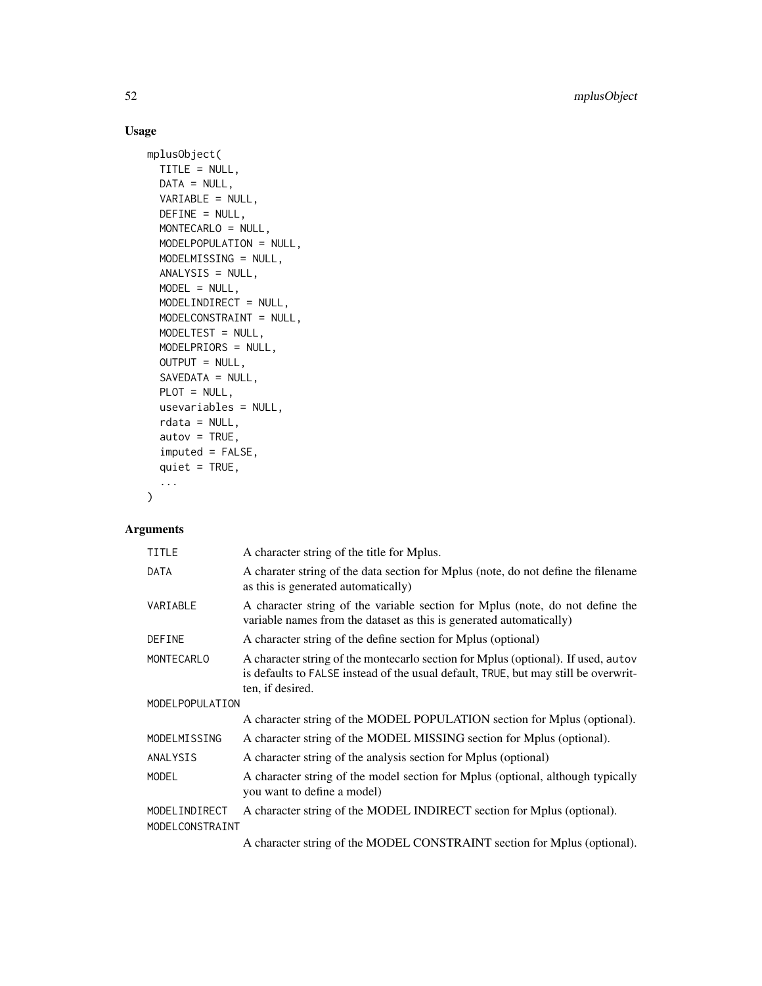# Usage

```
mplusObject(
 TITLE = NULL,
 DATA = NULL,
 VARIABLE = NULL,
 DEFINE = NULL,
 MONTECARLO = NULL,
 MODELPOPULATION = NULL,
 MODELMISSING = NULL,
 ANALYSIS = NULL,
 MODEL = NULL,MODELINDIRECT = NULL,
 MODELCONSTRAINT = NULL,
 MODELTEST = NULL,
 MODELPRIORS = NULL,
 OUTPUT = NULL,
  SAVEDATA = NULL,
 PLOT = NULL,
 usevariables = NULL,
 rdata = NULL,
  autov = TRUE,imputed = FALSE,
 quiet = TRUE,
  ...
\mathcal{L}
```
# Arguments

| <b>TITLE</b>      | A character string of the title for Mplus.                                                                                                                                                   |
|-------------------|----------------------------------------------------------------------------------------------------------------------------------------------------------------------------------------------|
| <b>DATA</b>       | A charater string of the data section for Mplus (note, do not define the filename<br>as this is generated automatically)                                                                     |
| VARIABLE          | A character string of the variable section for Mplus (note, do not define the<br>variable names from the dataset as this is generated automatically)                                         |
| DEFINE            | A character string of the define section for Mplus (optional)                                                                                                                                |
| <b>MONTECARLO</b> | A character string of the montecarlo section for Mplus (optional). If used, autov<br>is defaults to FALSE instead of the usual default, TRUE, but may still be overwrit-<br>ten, if desired. |
| MODELPOPULATION   |                                                                                                                                                                                              |
|                   | A character string of the MODEL POPULATION section for Mplus (optional).                                                                                                                     |
| MODELMISSING      | A character string of the MODEL MISSING section for Mplus (optional).                                                                                                                        |
| ANALYSIS          | A character string of the analysis section for Mplus (optional)                                                                                                                              |
| <b>MODEL</b>      | A character string of the model section for Mplus (optional, although typically<br>you want to define a model)                                                                               |
| MODELINDIRECT     | A character string of the MODEL INDIRECT section for Mplus (optional).                                                                                                                       |
| MODELCONSTRAINT   |                                                                                                                                                                                              |
|                   | A character string of the MODEL CONSTRAINT section for Mplus (optional).                                                                                                                     |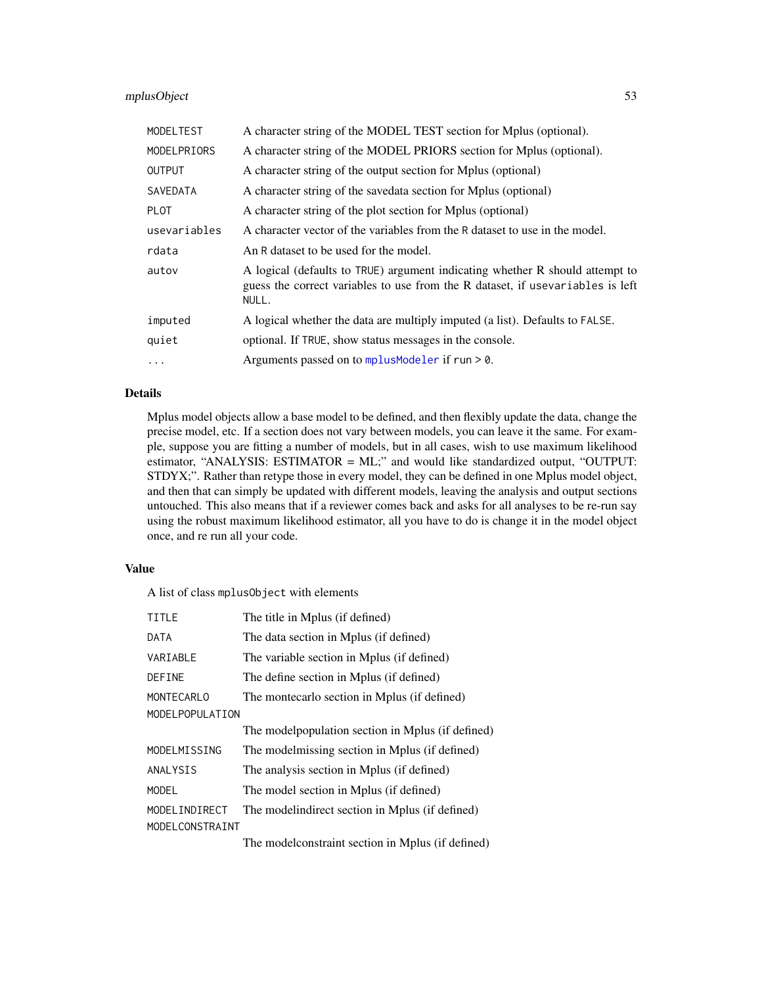# mplusObject 53

| MODELTEST     | A character string of the MODEL TEST section for Mplus (optional).                                                                                                      |
|---------------|-------------------------------------------------------------------------------------------------------------------------------------------------------------------------|
| MODELPRIORS   | A character string of the MODEL PRIORS section for Mplus (optional).                                                                                                    |
| <b>OUTPUT</b> | A character string of the output section for Mplus (optional)                                                                                                           |
| SAVEDATA      | A character string of the savedata section for Mplus (optional)                                                                                                         |
| <b>PLOT</b>   | A character string of the plot section for Mplus (optional)                                                                                                             |
| usevariables  | A character vector of the variables from the R dataset to use in the model.                                                                                             |
| rdata         | An R dataset to be used for the model.                                                                                                                                  |
| autov         | A logical (defaults to TRUE) argument indicating whether R should attempt to<br>guess the correct variables to use from the R dataset, if usevariables is left<br>NULL. |
| imputed       | A logical whether the data are multiply imputed (a list). Defaults to FALSE.                                                                                            |
| quiet         | optional. If TRUE, show status messages in the console.                                                                                                                 |
| $\cdots$      | Arguments passed on to $mplusModeler$ if run $> 0$ .                                                                                                                    |

# Details

Mplus model objects allow a base model to be defined, and then flexibly update the data, change the precise model, etc. If a section does not vary between models, you can leave it the same. For example, suppose you are fitting a number of models, but in all cases, wish to use maximum likelihood estimator, "ANALYSIS: ESTIMATOR = ML;" and would like standardized output, "OUTPUT: STDYX;". Rather than retype those in every model, they can be defined in one Mplus model object, and then that can simply be updated with different models, leaving the analysis and output sections untouched. This also means that if a reviewer comes back and asks for all analyses to be re-run say using the robust maximum likelihood estimator, all you have to do is change it in the model object once, and re run all your code.

# Value

A list of class mplusObject with elements

| <b>TITLE</b>      | The title in Mplus (if defined)                    |  |  |
|-------------------|----------------------------------------------------|--|--|
| DATA              | The data section in Mplus (if defined)             |  |  |
| VARIABLE          | The variable section in Mplus (if defined)         |  |  |
| <b>DEFINE</b>     | The define section in Mplus (if defined)           |  |  |
| <b>MONTECARLO</b> | The montecarlo section in Mplus (if defined)       |  |  |
| MODELPOPULATION   |                                                    |  |  |
|                   | The model population section in Mplus (if defined) |  |  |
| MODELMISSING      | The modelmissing section in Mplus (if defined)     |  |  |
| ANALYSIS          | The analysis section in Mplus (if defined)         |  |  |
| MODEL             | The model section in Mplus (if defined)            |  |  |
| MODELINDIRECT     | The model indirect section in Mplus (if defined)   |  |  |
| MODELCONSTRAINT   |                                                    |  |  |
|                   | The model constraint section in Mplus (if defined) |  |  |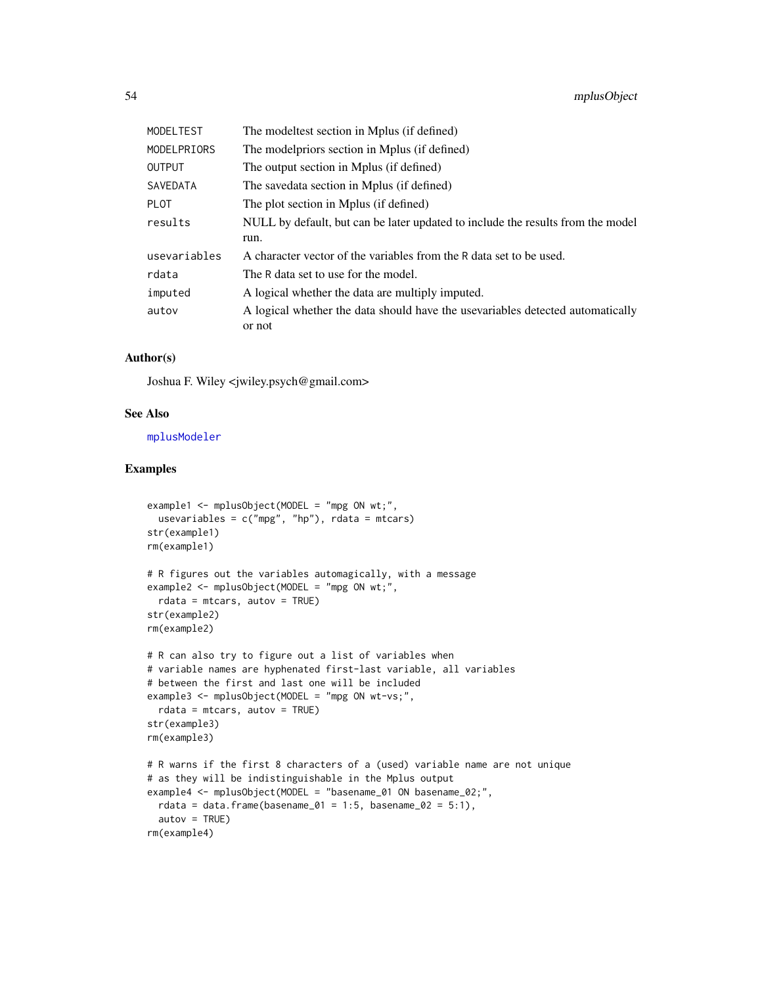| MODELTEST    | The modeltest section in Mplus (if defined)                                     |
|--------------|---------------------------------------------------------------------------------|
| MODELPRIORS  | The modelpriors section in Mplus (if defined)                                   |
| OUTPUT       | The output section in Mplus (if defined)                                        |
| SAVEDATA     | The savedata section in Mplus (if defined)                                      |
| PLOT         | The plot section in Mplus (if defined)                                          |
| results      | NULL by default, but can be later updated to include the results from the model |
|              | run.                                                                            |
| usevariables | A character vector of the variables from the R data set to be used.             |
| rdata        | The R data set to use for the model.                                            |
| imputed      | A logical whether the data are multiply imputed.                                |
| autov        | A logical whether the data should have the usevariables detected automatically  |
|              | or not                                                                          |

#### Author(s)

Joshua F. Wiley <jwiley.psych@gmail.com>

#### See Also

[mplusModeler](#page-44-0)

```
example1 <- mplusObject(MODEL = "mpg ON wt;",
  usevariables = c("mpg", "hp"), rdata = mtcars)
str(example1)
rm(example1)
# R figures out the variables automagically, with a message
example2 <- mplusObject(MODEL = "mpg ON wt;",
  rdata = mtcars, autov = TRUE)str(example2)
rm(example2)
# R can also try to figure out a list of variables when
# variable names are hyphenated first-last variable, all variables
# between the first and last one will be included
example3 <- mplusObject(MODEL = "mpg ON wt-vs;",
  rdata = mtcars, autov = TRUE)str(example3)
rm(example3)
# R warns if the first 8 characters of a (used) variable name are not unique
# as they will be indistinguishable in the Mplus output
example4 <- mplusObject(MODEL = "basename_01 ON basename_02;",
  rdata = data.frame(basename_01 = 1:5, basename_02 = 5:1),
  autov = TRUE)rm(example4)
```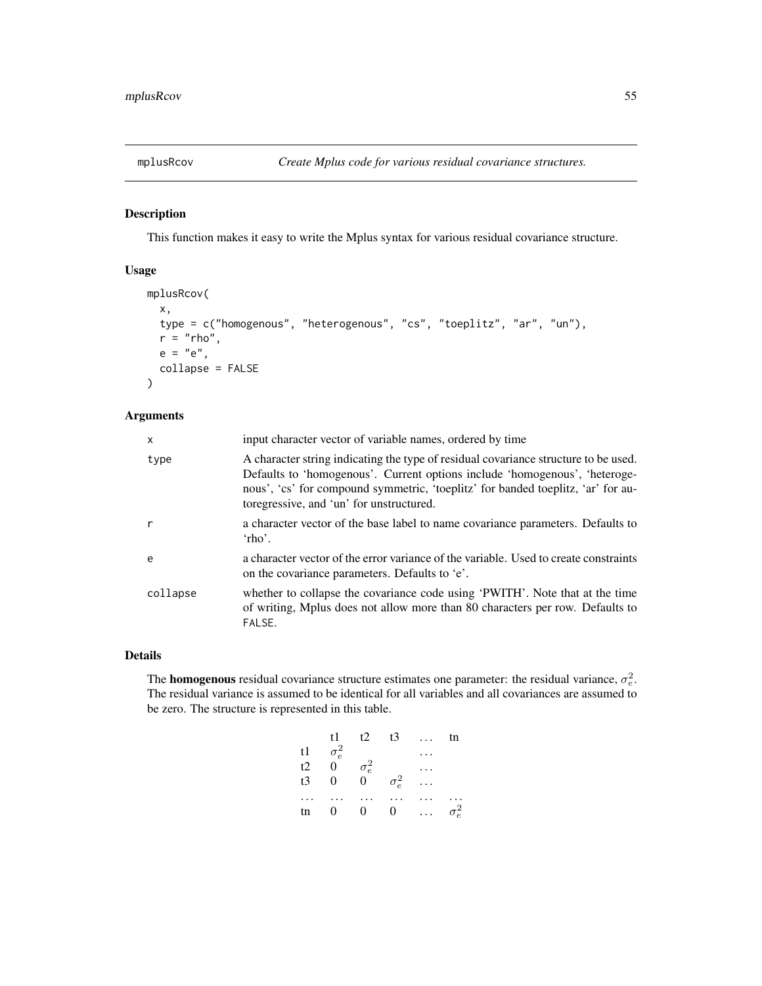# Description

This function makes it easy to write the Mplus syntax for various residual covariance structure.

### Usage

```
mplusRcov(
  x,
  type = c("homogenous", "heterogenous", "cs", "toeplitz", "ar", "un"),
  r = "rho",e = "e",collapse = FALSE
\mathcal{L}
```
#### Arguments

| $\mathsf{x}$ | input character vector of variable names, ordered by time                                                                                                                                                                                                                                         |
|--------------|---------------------------------------------------------------------------------------------------------------------------------------------------------------------------------------------------------------------------------------------------------------------------------------------------|
| type         | A character string indicating the type of residual covariance structure to be used.<br>Defaults to 'homogenous'. Current options include 'homogenous', 'heteroge-<br>nous', 'cs' for compound symmetric, 'toeplitz' for banded toeplitz, 'ar' for au-<br>toregressive, and 'un' for unstructured. |
| r            | a character vector of the base label to name covariance parameters. Defaults to<br>$'$ rho'.                                                                                                                                                                                                      |
| e            | a character vector of the error variance of the variable. Used to create constraints<br>on the covariance parameters. Defaults to 'e'.                                                                                                                                                            |
| collapse     | whether to collapse the covariance code using 'PWITH'. Note that at the time<br>of writing, Mplus does not allow more than 80 characters per row. Defaults to<br>FALSE.                                                                                                                           |

### Details

The **homogenous** residual covariance structure estimates one parameter: the residual variance,  $\sigma_e^2$ . The residual variance is assumed to be identical for all variables and all covariances are assumed to be zero. The structure is represented in this table.

|    | t1 -           | t2             |              | $t3 \ldots$ | tn           |
|----|----------------|----------------|--------------|-------------|--------------|
| t1 | $\sigma_e^2$   |                |              |             |              |
| t2 | $\mathbf{0}$   | $\sigma_e^2$   |              |             |              |
| t3 | $\overline{0}$ | $\overline{0}$ | $\sigma_e^2$ |             |              |
|    |                |                |              |             |              |
| tn | $\overline{0}$ | $\overline{0}$ | 0            |             | $\sigma_e^2$ |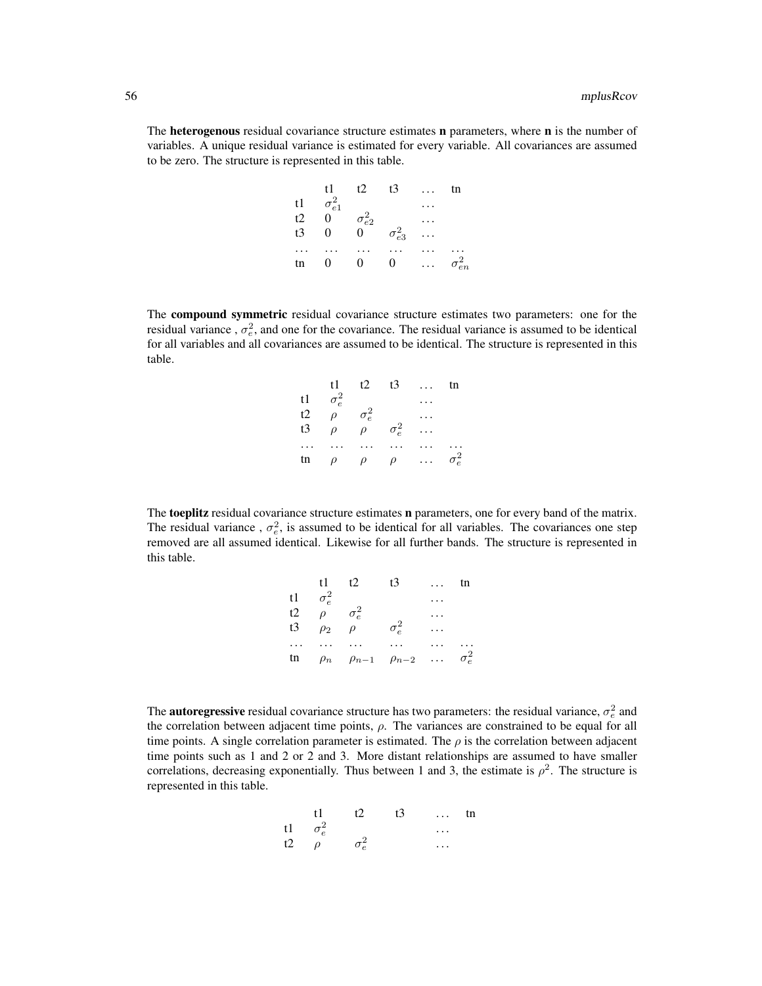The **heterogenous** residual covariance structure estimates  $\bf{n}$  parameters, where  $\bf{n}$  is the number of variables. A unique residual variance is estimated for every variable. All covariances are assumed to be zero. The structure is represented in this table.

|                      | t1              | t2              | t3              | tn              |
|----------------------|-----------------|-----------------|-----------------|-----------------|
| t1                   | $\sigma_{e1}^2$ |                 |                 |                 |
| t2                   | $\overline{0}$  | $\sigma_{e2}^2$ |                 |                 |
| t3                   | 0               | 0               | $\sigma_{e3}^2$ |                 |
| $\ddot{\phantom{0}}$ |                 |                 |                 |                 |
| tn                   | $\Omega$        | $\Omega$        | $_{0}$          | $\sigma_{en}^2$ |

The compound symmetric residual covariance structure estimates two parameters: one for the residual variance,  $\sigma_e^2$ , and one for the covariance. The residual variance is assumed to be identical for all variables and all covariances are assumed to be identical. The structure is represented in this table.

|    | t1           | t2           | t3           | $\cdots$ | tn           |
|----|--------------|--------------|--------------|----------|--------------|
| t1 | $\sigma_e^2$ |              |              |          |              |
| t2 | $\rho$       | $\sigma_e^2$ |              |          |              |
| t3 | $\rho$       | $\rho$       | $\sigma_e^2$ |          |              |
|    |              |              |              |          |              |
| tn | $\rho$       | $\rho$       | $\rho$       | .        | $\sigma_e^2$ |

The toeplitz residual covariance structure estimates n parameters, one for every band of the matrix. The residual variance,  $\sigma_e^2$ , is assumed to be identical for all variables. The covariances one step removed are all assumed identical. Likewise for all further bands. The structure is represented in this table.

|          | t1.          | t2                                 | ť3           | $\cdots$ | tn           |
|----------|--------------|------------------------------------|--------------|----------|--------------|
| t1       | $\sigma_e^2$ |                                    |              |          |              |
| t2       | $\rho$       | $\sigma_e^2$                       |              |          |              |
| t3       | $\rho_2$     | ρ                                  | $\sigma_e^2$ |          |              |
| $\cdots$ | $\cdot$      |                                    |              |          |              |
| tn       |              | $\rho_n$ $\rho_{n-1}$ $\rho_{n-2}$ |              | $\cdots$ | $\sigma_e^2$ |

The **autoregressive** residual covariance structure has two parameters: the residual variance,  $\sigma_e^2$  and the correlation between adjacent time points,  $\rho$ . The variances are constrained to be equal for all time points. A single correlation parameter is estimated. The  $\rho$  is the correlation between adjacent time points such as 1 and 2 or 2 and 3. More distant relationships are assumed to have smaller correlations, decreasing exponentially. Thus between 1 and 3, the estimate is  $\rho^2$ . The structure is represented in this table.

|                   | t1           | $+2$ | t <sub>3</sub> | $\cdots$  | tn |
|-------------------|--------------|------|----------------|-----------|----|
| t1                | $\sigma_e^2$ |      |                | $\cdots$  |    |
| t2 $\overline{c}$ | $\rho$       |      |                | $\ddotsc$ |    |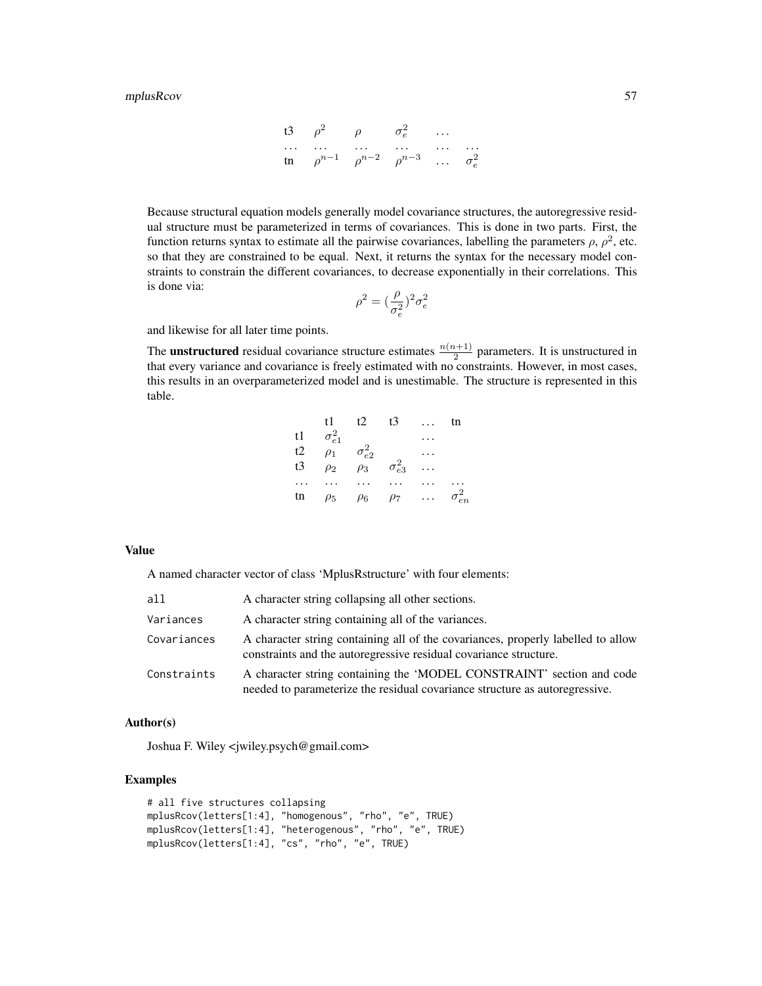t3 
$$
\rho^2
$$
  $\rho$   $\sigma_e^2$  ...  
\n... ... ... ...  
\ntn  $\rho^{n-1}$   $\rho^{n-2}$   $\rho^{n-3}$  ...  $\sigma_e^2$ 

Because structural equation models generally model covariance structures, the autoregressive residual structure must be parameterized in terms of covariances. This is done in two parts. First, the function returns syntax to estimate all the pairwise covariances, labelling the parameters  $\rho$ ,  $\rho^2$ , etc. so that they are constrained to be equal. Next, it returns the syntax for the necessary model constraints to constrain the different covariances, to decrease exponentially in their correlations. This is done via:

$$
\rho^2=(\frac{\rho}{\sigma_e^2})^2\sigma_e^2
$$

and likewise for all later time points.

The **unstructured** residual covariance structure estimates  $\frac{n(n+1)}{2}$  parameters. It is unstructured in that every variance and covariance is freely estimated with no constraints. However, in most cases, this results in an overparameterized model and is unestimable. The structure is represented in this table.

|    | t1              | t2              | t3              | tn              |
|----|-----------------|-----------------|-----------------|-----------------|
| t1 | $\sigma_{e1}^2$ |                 |                 |                 |
| t2 | $\rho_1$        | $\sigma_{e2}^2$ |                 |                 |
| t3 | $\rho_2$        | $\rho_3$        | $\sigma_{e3}^2$ |                 |
|    |                 |                 |                 |                 |
| tn | $\rho_5$        | $\rho_6$        | $\rho_7$        | $\sigma_{en}^2$ |

#### Value

A named character vector of class 'MplusRstructure' with four elements:

| all         | A character string collapsing all other sections.                                                                                                     |
|-------------|-------------------------------------------------------------------------------------------------------------------------------------------------------|
| Variances   | A character string containing all of the variances.                                                                                                   |
| Covariances | A character string containing all of the covariances, properly labelled to allow<br>constraints and the autoregressive residual covariance structure. |
| Constraints | A character string containing the 'MODEL CONSTRAINT' section and code<br>needed to parameterize the residual covariance structure as autoregressive.  |

# Author(s)

Joshua F. Wiley <jwiley.psych@gmail.com>

```
# all five structures collapsing
mplusRcov(letters[1:4], "homogenous", "rho", "e", TRUE)
mplusRcov(letters[1:4], "heterogenous", "rho", "e", TRUE)
mplusRcov(letters[1:4], "cs", "rho", "e", TRUE)
```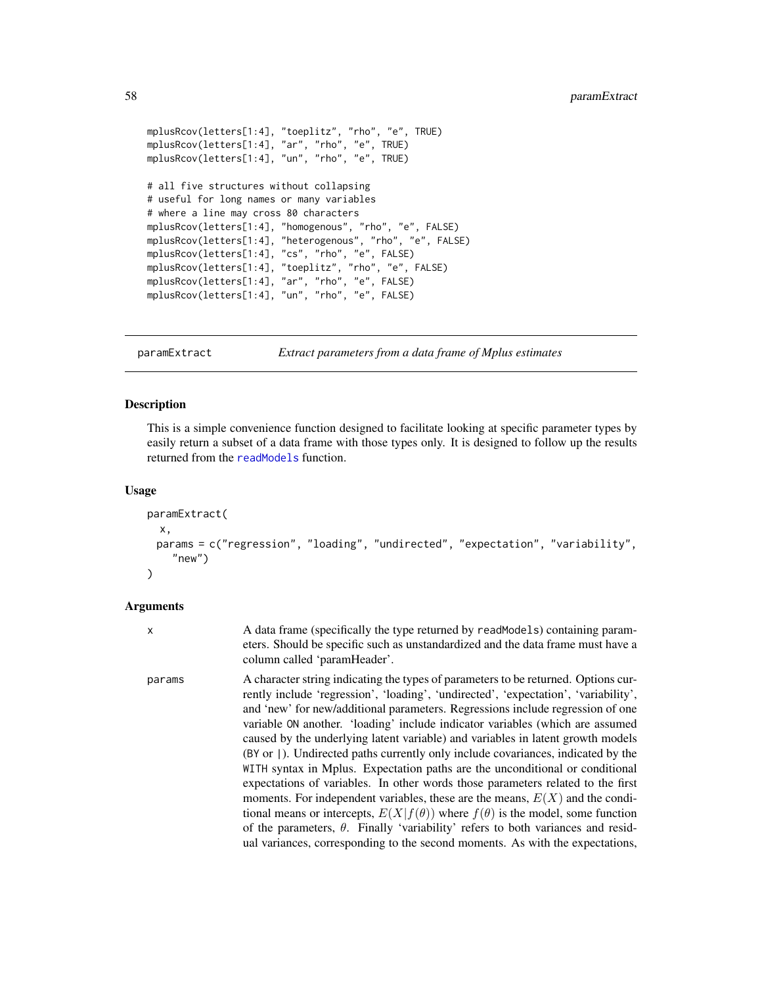```
mplusRcov(letters[1:4], "toeplitz", "rho", "e", TRUE)
mplusRcov(letters[1:4], "ar", "rho", "e", TRUE)
mplusRcov(letters[1:4], "un", "rho", "e", TRUE)
# all five structures without collapsing
# useful for long names or many variables
# where a line may cross 80 characters
mplusRcov(letters[1:4], "homogenous", "rho", "e", FALSE)
mplusRcov(letters[1:4], "heterogenous", "rho", "e", FALSE)
mplusRcov(letters[1:4], "cs", "rho", "e", FALSE)
mplusRcov(letters[1:4], "toeplitz", "rho", "e", FALSE)
mplusRcov(letters[1:4], "ar", "rho", "e", FALSE)
mplusRcov(letters[1:4], "un", "rho", "e", FALSE)
```
paramExtract *Extract parameters from a data frame of Mplus estimates*

# Description

This is a simple convenience function designed to facilitate looking at specific parameter types by easily return a subset of a data frame with those types only. It is designed to follow up the results returned from the [readModels](#page-70-0) function.

#### Usage

```
paramExtract(
  x,
 params = c("regression", "loading", "undirected", "expectation", "variability",
    "new")
```
#### Arguments

 $\mathcal{L}$ 

A data frame (specifically the type returned by readModels) containing parameters. Should be specific such as unstandardized and the data frame must have a column called 'paramHeader'.

```
params A character string indicating the types of parameters to be returned. Options cur-
                  rently include 'regression', 'loading', 'undirected', 'expectation', 'variability',
                   and 'new' for new/additional parameters. Regressions include regression of one
                   variable ON another. 'loading' include indicator variables (which are assumed
                   caused by the underlying latent variable) and variables in latent growth models
                   (BY or |). Undirected paths currently only include covariances, indicated by the
                   WITH syntax in Mplus. Expectation paths are the unconditional or conditional
                   expectations of variables. In other words those parameters related to the first
                   moments. For independent variables, these are the means, E(X) and the condi-
                   tional means or intercepts, E(X|f(\theta)) where f(\theta) is the model, some function
                   of the parameters, \theta. Finally 'variability' refers to both variances and resid-
                   ual variances, corresponding to the second moments. As with the expectations,
```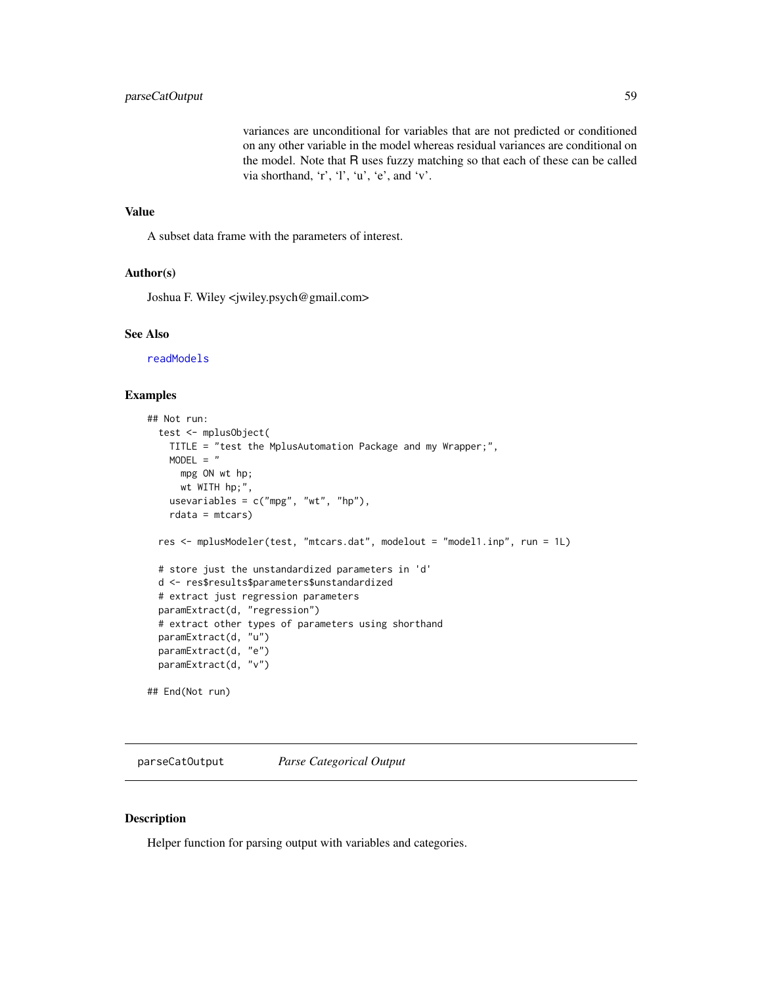variances are unconditional for variables that are not predicted or conditioned on any other variable in the model whereas residual variances are conditional on the model. Note that R uses fuzzy matching so that each of these can be called via shorthand, 'r', 'l', 'u', 'e', and 'v'.

# Value

A subset data frame with the parameters of interest.

# Author(s)

Joshua F. Wiley <jwiley.psych@gmail.com>

#### See Also

[readModels](#page-70-0)

#### Examples

```
## Not run:
 test <- mplusObject(
   TITLE = "test the MplusAutomation Package and my Wrapper;",
   MODEL = "mpg ON wt hp;
     wt WITH hp;",
   usevariables = c("mpg", "wt", "hp"),rdata = mtcars)
 res <- mplusModeler(test, "mtcars.dat", modelout = "model1.inp", run = 1L)
 # store just the unstandardized parameters in 'd'
 d <- res$results$parameters$unstandardized
 # extract just regression parameters
 paramExtract(d, "regression")
 # extract other types of parameters using shorthand
 paramExtract(d, "u")
 paramExtract(d, "e")
 paramExtract(d, "v")
## End(Not run)
```
parseCatOutput *Parse Categorical Output*

#### Description

Helper function for parsing output with variables and categories.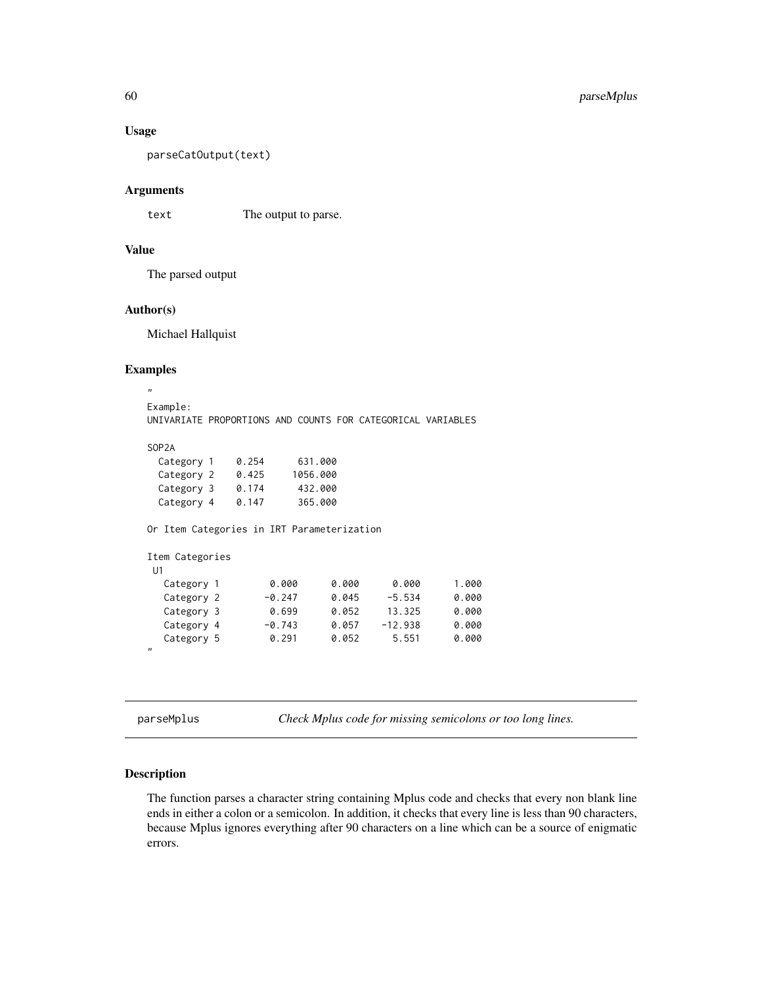#### Usage

parseCatOutput(text)

#### Arguments

text The output to parse.

# Value

The parsed output

# Author(s)

Michael Hallquist

# Examples "

Example: UNIVARIATE PROPORTIONS AND COUNTS FOR CATEGORICAL VARIABLES

#### SOP2A

| Category 1 | 0.254 | 631.000  |
|------------|-------|----------|
| Category 2 | 0.425 | 1056.000 |
| Category 3 | 0.174 | 432.000  |
| Category 4 | 0.147 | 365.000  |

Or Item Categories in IRT Parameterization

```
Item Categories
U1
  Category 1 0.000 0.000 0.000 1.000
  Category 2 -0.247 0.045 -5.534 0.000<br>Category 3 0.699 0.052 13.325 0.000
  Category 3 0.699 0.052 13.325 0.000
  Category 4 -0.743 0.057 -12.938 0.000
  Category 5 0.291 0.052 5.551 0.000
"
```
<span id="page-59-0"></span>parseMplus *Check Mplus code for missing semicolons or too long lines.*

# Description

The function parses a character string containing Mplus code and checks that every non blank line ends in either a colon or a semicolon. In addition, it checks that every line is less than 90 characters, because Mplus ignores everything after 90 characters on a line which can be a source of enigmatic errors.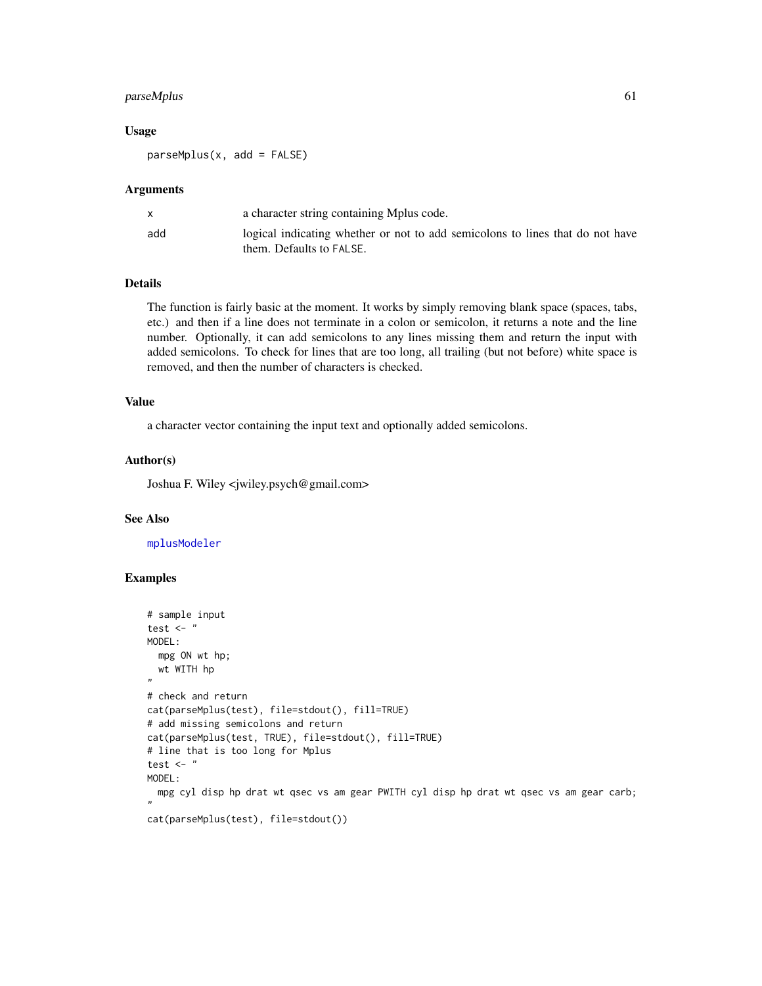# parseMplus 61

#### Usage

parseMplus(x, add = FALSE)

#### Arguments

|     | a character string containing Mplus code.                                                                 |
|-----|-----------------------------------------------------------------------------------------------------------|
| add | logical indicating whether or not to add semicolons to lines that do not have<br>them. Defaults to FALSE. |

# Details

The function is fairly basic at the moment. It works by simply removing blank space (spaces, tabs, etc.) and then if a line does not terminate in a colon or semicolon, it returns a note and the line number. Optionally, it can add semicolons to any lines missing them and return the input with added semicolons. To check for lines that are too long, all trailing (but not before) white space is removed, and then the number of characters is checked.

# Value

a character vector containing the input text and optionally added semicolons.

#### Author(s)

Joshua F. Wiley <jwiley.psych@gmail.com>

# See Also

[mplusModeler](#page-44-0)

```
# sample input
test \leftarrow "
MODEL:
  mpg ON wt hp;
  wt WITH hp
"
# check and return
cat(parseMplus(test), file=stdout(), fill=TRUE)
# add missing semicolons and return
cat(parseMplus(test, TRUE), file=stdout(), fill=TRUE)
# line that is too long for Mplus
test \leftarrow "
MODEL:
 mpg cyl disp hp drat wt qsec vs am gear PWITH cyl disp hp drat wt qsec vs am gear carb;
,,
cat(parseMplus(test), file=stdout())
```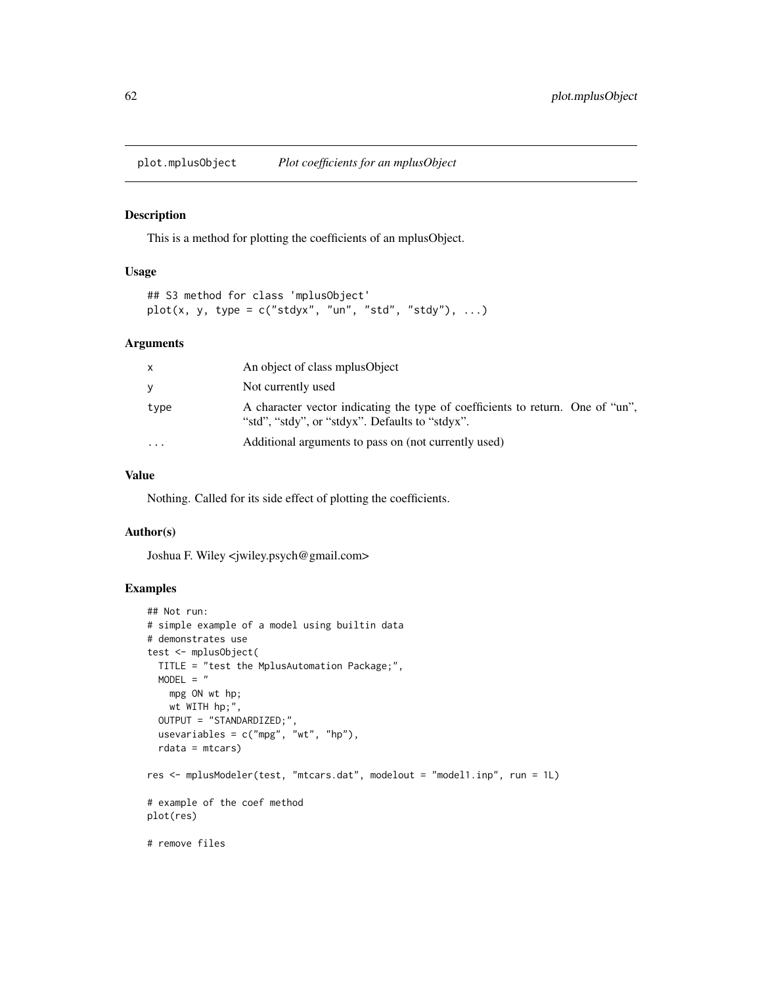plot.mplusObject *Plot coefficients for an mplusObject*

#### Description

This is a method for plotting the coefficients of an mplusObject.

# Usage

```
## S3 method for class 'mplusObject'
plot(x, y, type = c("stdyx", "un", "std", "stdy"), ...)
```
# Arguments

|           | An object of class mplus Object                                                                                                   |
|-----------|-----------------------------------------------------------------------------------------------------------------------------------|
| v         | Not currently used                                                                                                                |
| type      | A character vector indicating the type of coefficients to return. One of "un",<br>"std", "stdy", or "stdyx". Defaults to "stdyx". |
| $\ddotsc$ | Additional arguments to pass on (not currently used)                                                                              |
|           |                                                                                                                                   |

# Value

Nothing. Called for its side effect of plotting the coefficients.

### Author(s)

Joshua F. Wiley <jwiley.psych@gmail.com>

```
## Not run:
# simple example of a model using builtin data
# demonstrates use
test <- mplusObject(
 TITLE = "test the MplusAutomation Package;",
 MODEL = "mpg ON wt hp;
   wt WITH hp;",
  OUTPUT = "STANDARDIZED;",
  usevariables = c("mpg", "wt", "hp"),
  rdata = mtcars)
res <- mplusModeler(test, "mtcars.dat", modelout = "model1.inp", run = 1L)
# example of the coef method
plot(res)
# remove files
```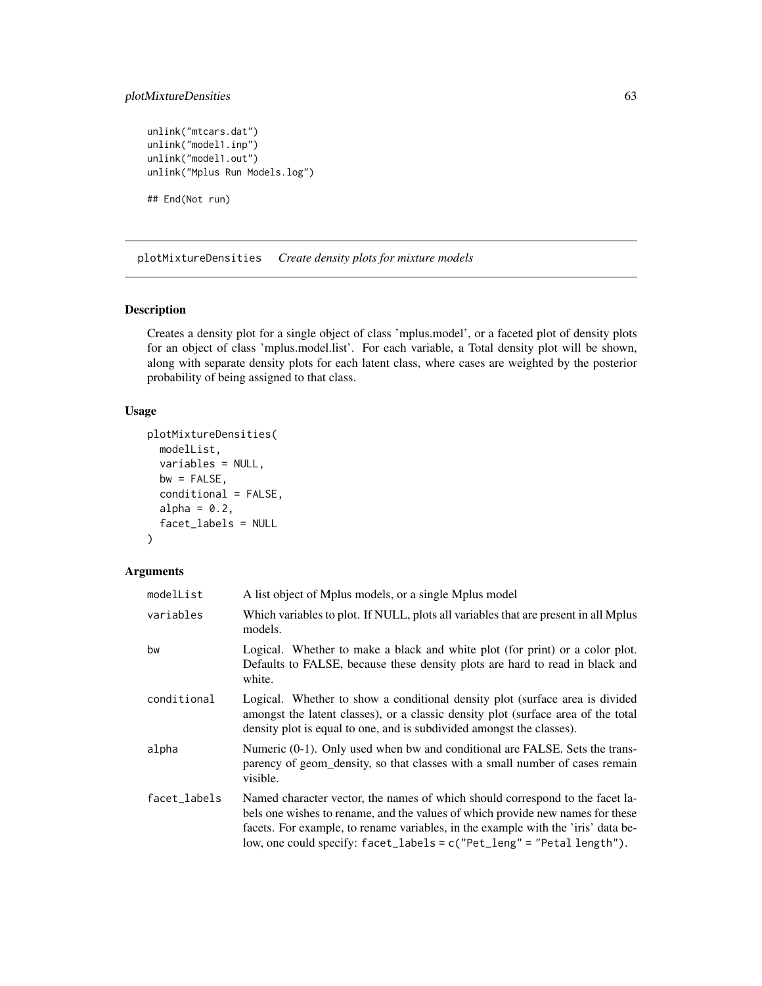# plotMixtureDensities 63

```
unlink("mtcars.dat")
unlink("model1.inp")
unlink("model1.out")
unlink("Mplus Run Models.log")
```
## End(Not run)

plotMixtureDensities *Create density plots for mixture models*

# Description

Creates a density plot for a single object of class 'mplus.model', or a faceted plot of density plots for an object of class 'mplus.model.list'. For each variable, a Total density plot will be shown, along with separate density plots for each latent class, where cases are weighted by the posterior probability of being assigned to that class.

# Usage

```
plotMixtureDensities(
 modelList,
 variables = NULL,
 bw = FALSE,conditional = FALSE,
 alpha = 0.2,
  facet_labels = NULL
)
```
# Arguments

| modelList    | A list object of Mplus models, or a single Mplus model                                                                                                                                                                                                                                                                             |
|--------------|------------------------------------------------------------------------------------------------------------------------------------------------------------------------------------------------------------------------------------------------------------------------------------------------------------------------------------|
| variables    | Which variables to plot. If NULL, plots all variables that are present in all Mplus<br>models.                                                                                                                                                                                                                                     |
| bw           | Logical. Whether to make a black and white plot (for print) or a color plot.<br>Defaults to FALSE, because these density plots are hard to read in black and<br>white.                                                                                                                                                             |
| conditional  | Logical. Whether to show a conditional density plot (surface area is divided<br>amongst the latent classes), or a classic density plot (surface area of the total<br>density plot is equal to one, and is subdivided amongst the classes).                                                                                         |
| alpha        | Numeric (0-1). Only used when bw and conditional are FALSE. Sets the trans-<br>parency of geom_density, so that classes with a small number of cases remain<br>visible.                                                                                                                                                            |
| facet_labels | Named character vector, the names of which should correspond to the facet la-<br>bels one wishes to rename, and the values of which provide new names for these<br>facets. For example, to rename variables, in the example with the 'iris' data be-<br>low, one could specify: $facet_labels = c("Pet_length" = "Petal length").$ |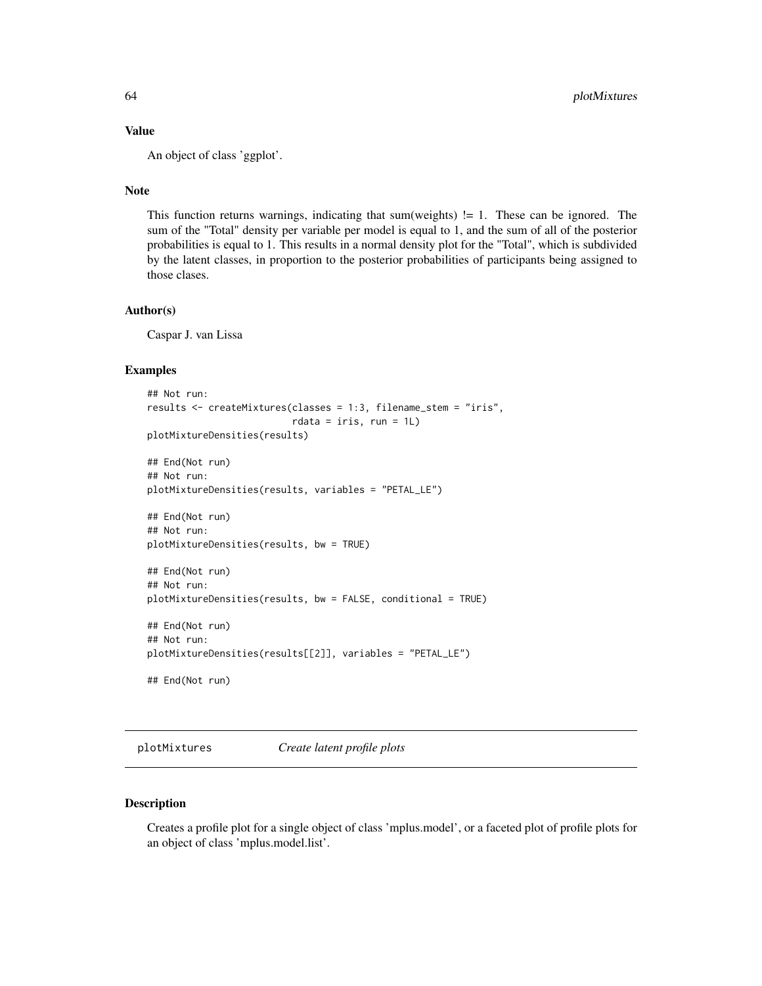# Value

An object of class 'ggplot'.

# Note

This function returns warnings, indicating that sum(weights) != 1. These can be ignored. The sum of the "Total" density per variable per model is equal to 1, and the sum of all of the posterior probabilities is equal to 1. This results in a normal density plot for the "Total", which is subdivided by the latent classes, in proportion to the posterior probabilities of participants being assigned to those clases.

# Author(s)

Caspar J. van Lissa

#### Examples

```
## Not run:
results <- createMixtures(classes = 1:3, filename_stem = "iris",
                          rdata = iris, run = 1L)
plotMixtureDensities(results)
## End(Not run)
## Not run:
plotMixtureDensities(results, variables = "PETAL_LE")
## End(Not run)
## Not run:
plotMixtureDensities(results, bw = TRUE)
## End(Not run)
## Not run:
plotMixtureDensities(results, bw = FALSE, conditional = TRUE)
## End(Not run)
## Not run:
plotMixtureDensities(results[[2]], variables = "PETAL_LE")
## End(Not run)
```
plotMixtures *Create latent profile plots*

#### Description

Creates a profile plot for a single object of class 'mplus.model', or a faceted plot of profile plots for an object of class 'mplus.model.list'.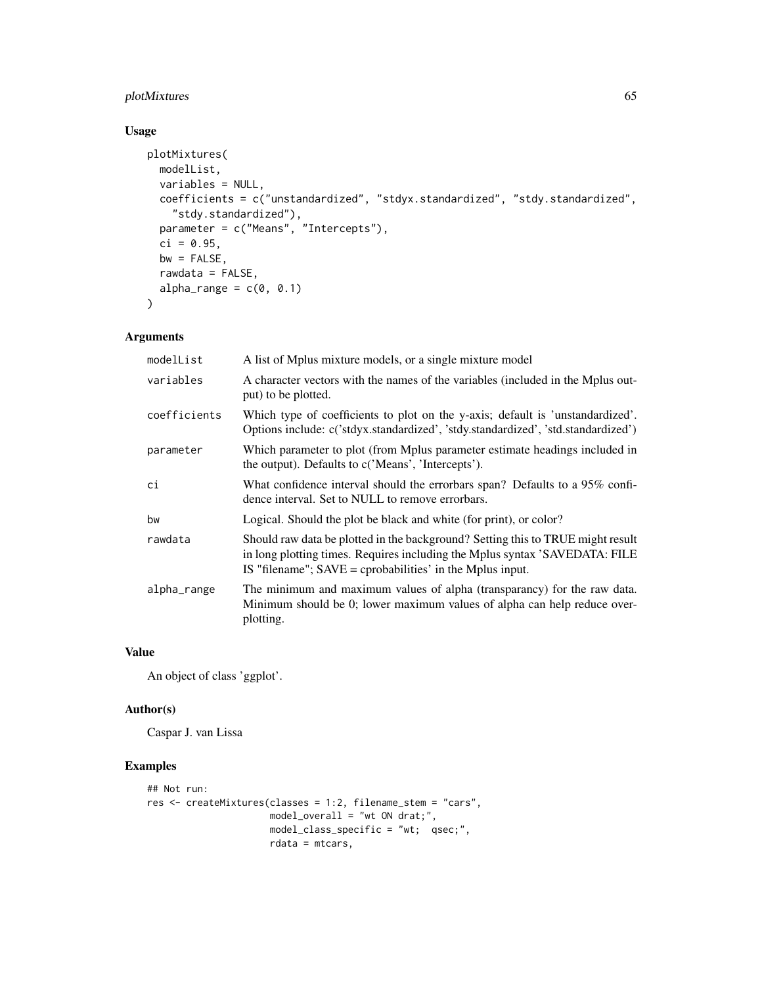# plotMixtures 65

# Usage

```
plotMixtures(
 modelList,
 variables = NULL,
 coefficients = c("unstandardized", "stdyx.standardized", "stdy.standardized",
    "stdy.standardized"),
 parameter = c("Means", "Intercepts"),
  ci = 0.95,bw = FALSE,rawdata = FALSE,
 alpha_range = c(\theta, \theta.1)\mathcal{L}
```
# Arguments

| modelList    | A list of Mplus mixture models, or a single mixture model                                                                                                                                                                     |
|--------------|-------------------------------------------------------------------------------------------------------------------------------------------------------------------------------------------------------------------------------|
| variables    | A character vectors with the names of the variables (included in the Mplus out-<br>put) to be plotted.                                                                                                                        |
| coefficients | Which type of coefficients to plot on the y-axis; default is 'unstandardized'.<br>Options include: c('stdyx.standardized', 'stdy.standardized', 'std.standardized')                                                           |
| parameter    | Which parameter to plot (from Mplus parameter estimate headings included in<br>the output). Defaults to c('Means', 'Intercepts').                                                                                             |
| сi           | What confidence interval should the errorbars span? Defaults to a 95% confi-<br>dence interval. Set to NULL to remove errorbars.                                                                                              |
| bw           | Logical. Should the plot be black and white (for print), or color?                                                                                                                                                            |
| rawdata      | Should raw data be plotted in the background? Setting this to TRUE might result<br>in long plotting times. Requires including the Mplus syntax 'SAVEDATA: FILE<br>IS "filename"; $SAVE =$ cprobabilities' in the Mplus input. |
| alpha_range  | The minimum and maximum values of alpha (transparancy) for the raw data.<br>Minimum should be 0; lower maximum values of alpha can help reduce over-<br>plotting.                                                             |

# Value

An object of class 'ggplot'.

#### Author(s)

Caspar J. van Lissa

```
## Not run:
res <- createMixtures(classes = 1:2, filename_stem = "cars",
                     model_overall = "wt ON drat;",
                     model_class_specific = "wt; qsec;",
                     rdata = mtcars,
```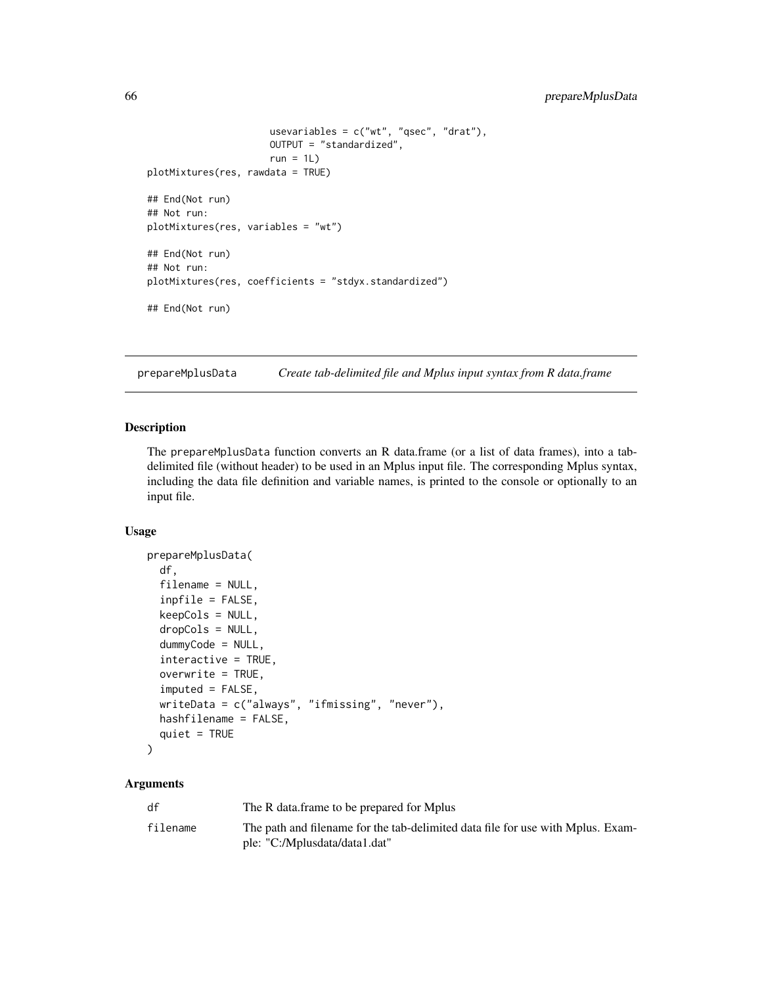```
usevariables = c("wt", "qsec", "drat"),OUTPUT = "standardized",
                      run = 1L)
plotMixtures(res, rawdata = TRUE)
## End(Not run)
## Not run:
plotMixtures(res, variables = "wt")
## End(Not run)
## Not run:
plotMixtures(res, coefficients = "stdyx.standardized")
## End(Not run)
```
<span id="page-65-0"></span>prepareMplusData *Create tab-delimited file and Mplus input syntax from R data.frame*

#### Description

The prepareMplusData function converts an R data.frame (or a list of data frames), into a tabdelimited file (without header) to be used in an Mplus input file. The corresponding Mplus syntax, including the data file definition and variable names, is printed to the console or optionally to an input file.

#### Usage

```
prepareMplusData(
  df,
  filename = NULL,
  inpfile = FALSE,
  keepCols = NULL,
  dropCols = NULL,
  dummyCode = NULL,
  interactive = TRUE,
  overwrite = TRUE,
  imputed = FALSE,
 writeData = c("always", "ifmissing", "never"),
 hashfilename = FALSE,
  quiet = TRUE
)
```
# Arguments

| df       | The R data frame to be prepared for Mplus                                                                        |
|----------|------------------------------------------------------------------------------------------------------------------|
| filename | The path and filename for the tab-delimited data file for use with Mplus. Exam-<br>ple: "C:/Mplusdata/data1.dat" |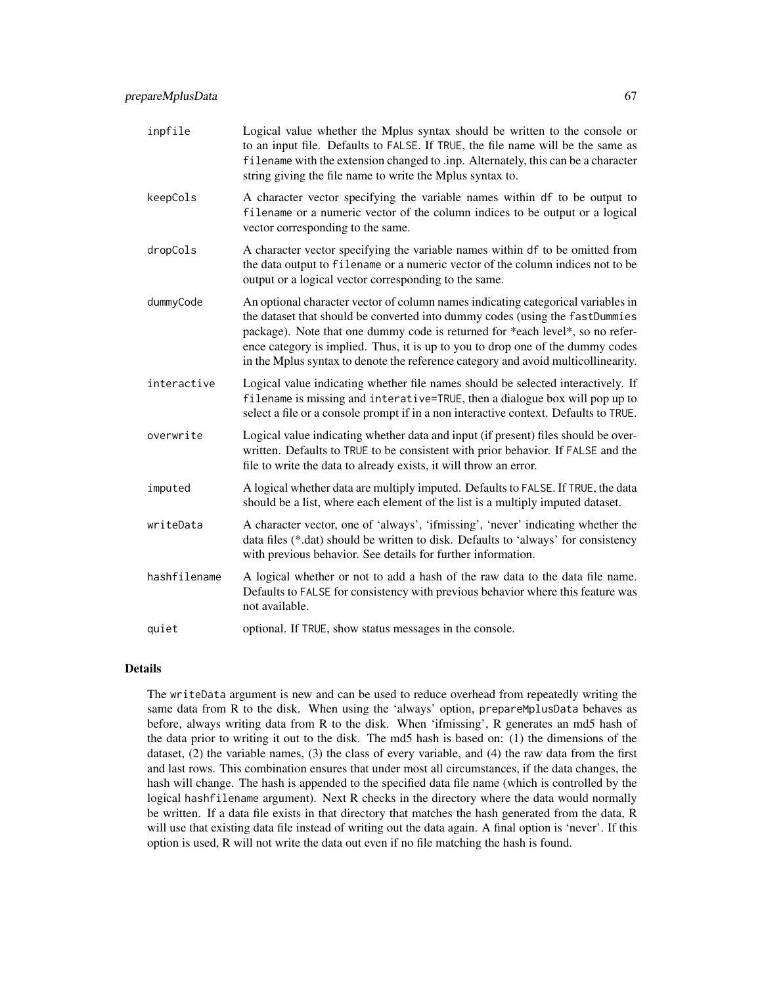| inpfile      | Logical value whether the Mplus syntax should be written to the console or<br>to an input file. Defaults to FALSE. If TRUE, the file name will be the same as<br>filename with the extension changed to .inp. Alternately, this can be a character<br>string giving the file name to write the Mplus syntax to.                                                                                                          |
|--------------|--------------------------------------------------------------------------------------------------------------------------------------------------------------------------------------------------------------------------------------------------------------------------------------------------------------------------------------------------------------------------------------------------------------------------|
| keepCols     | A character vector specifying the variable names within df to be output to<br>filename or a numeric vector of the column indices to be output or a logical<br>vector corresponding to the same.                                                                                                                                                                                                                          |
| dropCols     | A character vector specifying the variable names within df to be omitted from<br>the data output to filename or a numeric vector of the column indices not to be<br>output or a logical vector corresponding to the same.                                                                                                                                                                                                |
| dummyCode    | An optional character vector of column names indicating categorical variables in<br>the dataset that should be converted into dummy codes (using the fastDummies<br>package). Note that one dummy code is returned for *each level*, so no refer-<br>ence category is implied. Thus, it is up to you to drop one of the dummy codes<br>in the Mplus syntax to denote the reference category and avoid multicollinearity. |
| interactive  | Logical value indicating whether file names should be selected interactively. If<br>filename is missing and interative=TRUE, then a dialogue box will pop up to<br>select a file or a console prompt if in a non interactive context. Defaults to TRUE.                                                                                                                                                                  |
| overwrite    | Logical value indicating whether data and input (if present) files should be over-<br>written. Defaults to TRUE to be consistent with prior behavior. If FALSE and the<br>file to write the data to already exists, it will throw an error.                                                                                                                                                                              |
| imputed      | A logical whether data are multiply imputed. Defaults to FALSE. If TRUE, the data<br>should be a list, where each element of the list is a multiply imputed dataset.                                                                                                                                                                                                                                                     |
| writeData    | A character vector, one of 'always', 'ifmissing', 'never' indicating whether the<br>data files (*.dat) should be written to disk. Defaults to 'always' for consistency<br>with previous behavior. See details for further information.                                                                                                                                                                                   |
| hashfilename | A logical whether or not to add a hash of the raw data to the data file name.<br>Defaults to FALSE for consistency with previous behavior where this feature was<br>not available.                                                                                                                                                                                                                                       |
| quiet        | optional. If TRUE, show status messages in the console.                                                                                                                                                                                                                                                                                                                                                                  |

# Details

The writeData argument is new and can be used to reduce overhead from repeatedly writing the same data from R to the disk. When using the 'always' option, prepareMplusData behaves as before, always writing data from R to the disk. When 'ifmissing', R generates an md5 hash of the data prior to writing it out to the disk. The md5 hash is based on: (1) the dimensions of the dataset, (2) the variable names, (3) the class of every variable, and (4) the raw data from the first and last rows. This combination ensures that under most all circumstances, if the data changes, the hash will change. The hash is appended to the specified data file name (which is controlled by the logical hashfilename argument). Next R checks in the directory where the data would normally be written. If a data file exists in that directory that matches the hash generated from the data, R will use that existing data file instead of writing out the data again. A final option is 'never'. If this option is used, R will not write the data out even if no file matching the hash is found.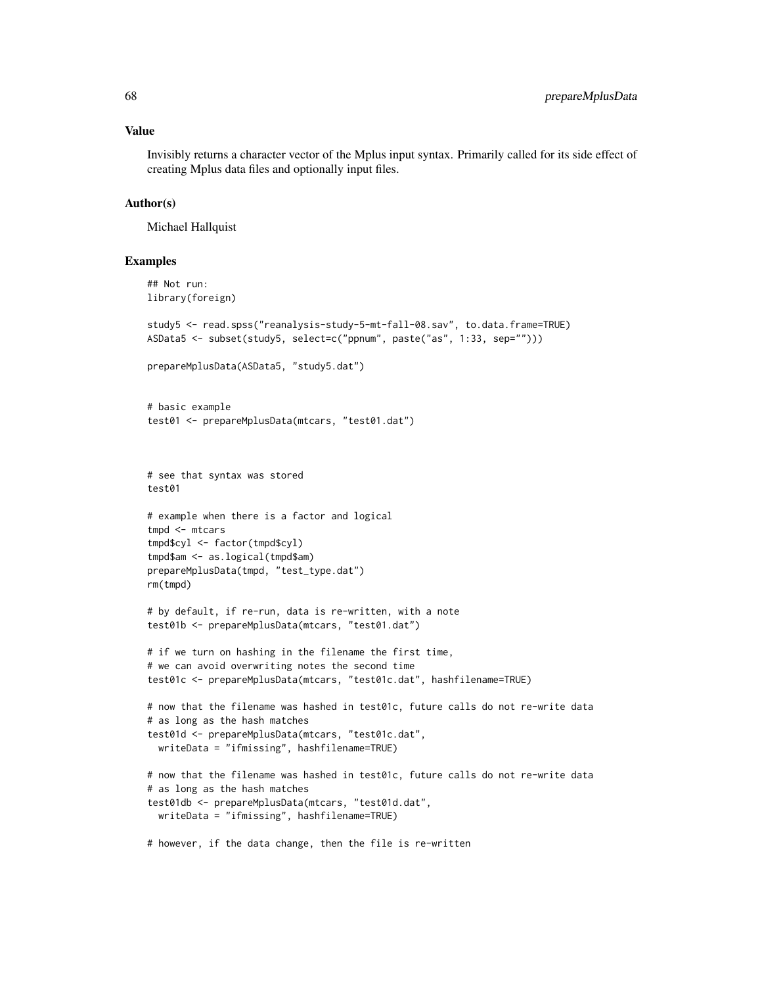Invisibly returns a character vector of the Mplus input syntax. Primarily called for its side effect of creating Mplus data files and optionally input files.

#### Author(s)

Michael Hallquist

```
## Not run:
library(foreign)
study5 <- read.spss("reanalysis-study-5-mt-fall-08.sav", to.data.frame=TRUE)
ASData5 <- subset(study5, select=c("ppnum", paste("as", 1:33, sep="")))
prepareMplusData(ASData5, "study5.dat")
# basic example
test01 <- prepareMplusData(mtcars, "test01.dat")
# see that syntax was stored
test01
# example when there is a factor and logical
tmpd <- mtcars
tmpd$cyl <- factor(tmpd$cyl)
tmpd$am <- as.logical(tmpd$am)
prepareMplusData(tmpd, "test_type.dat")
rm(tmpd)
# by default, if re-run, data is re-written, with a note
test01b <- prepareMplusData(mtcars, "test01.dat")
# if we turn on hashing in the filename the first time,
# we can avoid overwriting notes the second time
test01c <- prepareMplusData(mtcars, "test01c.dat", hashfilename=TRUE)
# now that the filename was hashed in test01c, future calls do not re-write data
# as long as the hash matches
test01d <- prepareMplusData(mtcars, "test01c.dat",
 writeData = "ifmissing", hashfilename=TRUE)
# now that the filename was hashed in test01c, future calls do not re-write data
# as long as the hash matches
test01db <- prepareMplusData(mtcars, "test01d.dat",
 writeData = "ifmissing", hashfilename=TRUE)
# however, if the data change, then the file is re-written
```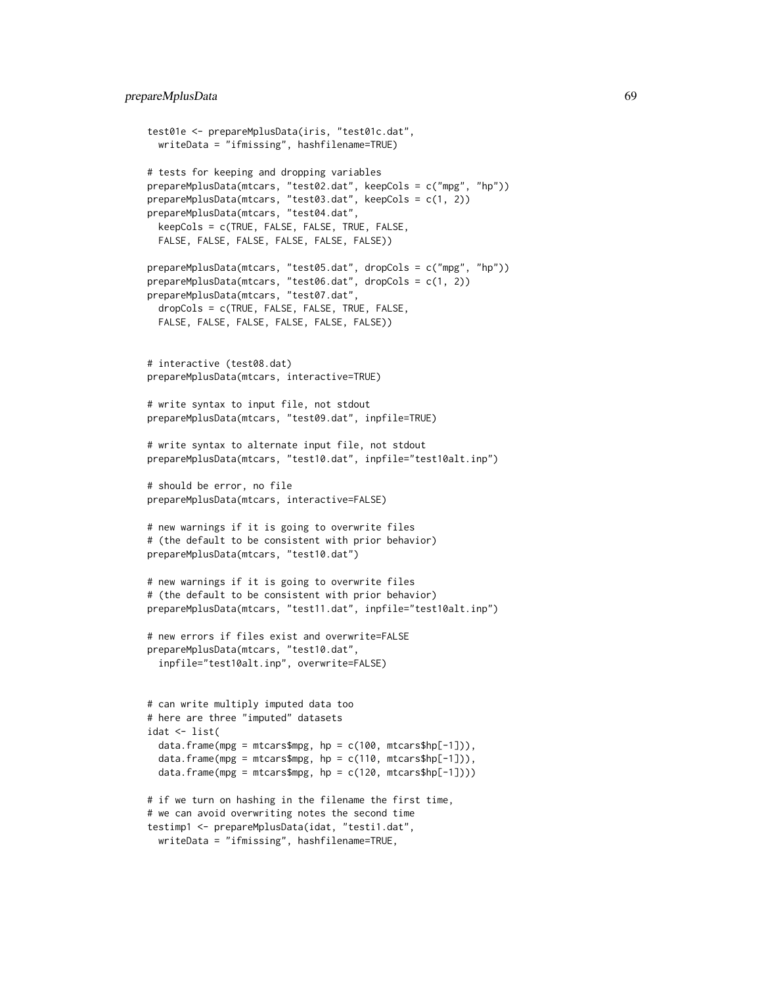```
test01e <- prepareMplusData(iris, "test01c.dat",
 writeData = "ifmissing", hashfilename=TRUE)
# tests for keeping and dropping variables
prepareMplusData(mtcars, "test02.dat", keepCols = c("mpg", "hp"))
prepareMplusData(mtcars, "test03.dat", keepCols = c(1, 2))
prepareMplusData(mtcars, "test04.dat",
 keepCols = c(TRUE, FALSE, FALSE, TRUE, FALSE,
 FALSE, FALSE, FALSE, FALSE, FALSE, FALSE))
prepareMplusData(mtcars, "test05.dat", dropCols = c("mpg", "hp"))
prepareMplusData(mtcars, "test06.dat", dropCols = c(1, 2))
prepareMplusData(mtcars, "test07.dat",
 dropCols = c(TRUE, FALSE, FALSE, TRUE, FALSE,
 FALSE, FALSE, FALSE, FALSE, FALSE, FALSE))
# interactive (test08.dat)
prepareMplusData(mtcars, interactive=TRUE)
# write syntax to input file, not stdout
prepareMplusData(mtcars, "test09.dat", inpfile=TRUE)
# write syntax to alternate input file, not stdout
prepareMplusData(mtcars, "test10.dat", inpfile="test10alt.inp")
# should be error, no file
prepareMplusData(mtcars, interactive=FALSE)
# new warnings if it is going to overwrite files
# (the default to be consistent with prior behavior)
prepareMplusData(mtcars, "test10.dat")
# new warnings if it is going to overwrite files
# (the default to be consistent with prior behavior)
prepareMplusData(mtcars, "test11.dat", inpfile="test10alt.inp")
# new errors if files exist and overwrite=FALSE
prepareMplusData(mtcars, "test10.dat",
 inpfile="test10alt.inp", overwrite=FALSE)
# can write multiply imputed data too
# here are three "imputed" datasets
idat <- list(
 data.frame(mpg = mtcars$mpg, hp = c(100, \text{mtcars}$hp[-1])),
 data.frame(mpg = mtcars$mpg, hp = c(110, \text{mtcars}$hp[-1])),
 data.frame(mpg = mtcars$mpg, hp = c(120, mtcars$hp[-1])))
# if we turn on hashing in the filename the first time,
# we can avoid overwriting notes the second time
testimp1 <- prepareMplusData(idat, "testi1.dat",
 writeData = "ifmissing", hashfilename=TRUE,
```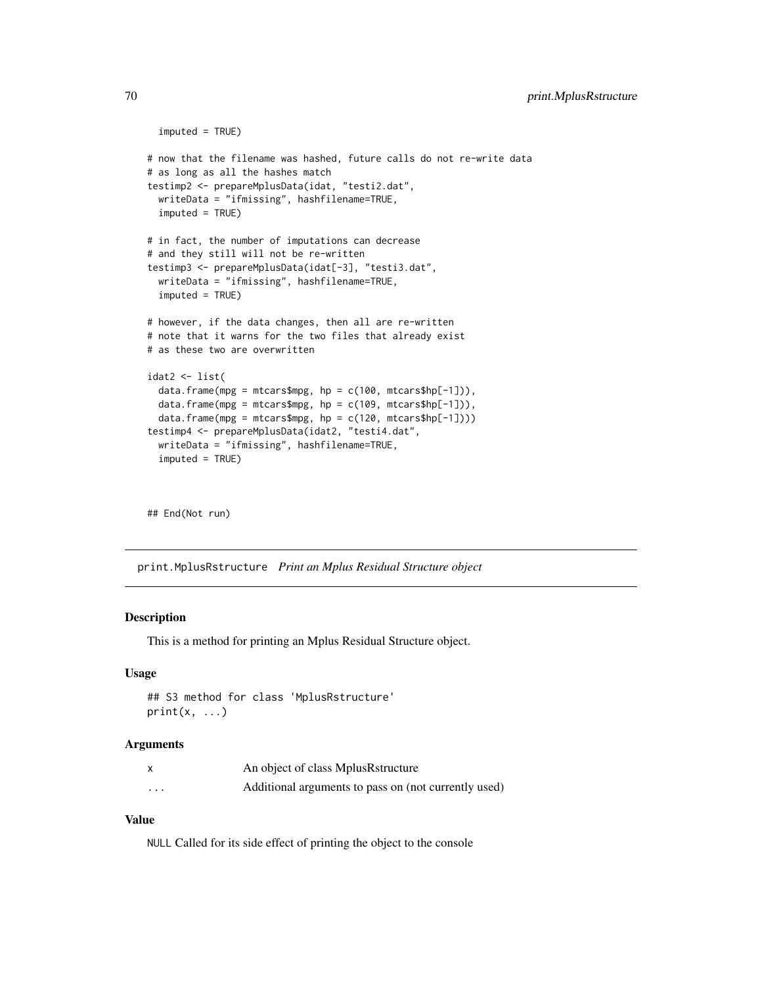```
imputed = TRUE)
# now that the filename was hashed, future calls do not re-write data
# as long as all the hashes match
testimp2 <- prepareMplusData(idat, "testi2.dat",
 writeData = "ifmissing", hashfilename=TRUE,
 imputed = TRUE)
# in fact, the number of imputations can decrease
# and they still will not be re-written
testimp3 <- prepareMplusData(idat[-3], "testi3.dat",
 writeData = "ifmissing", hashfilename=TRUE,
 imputed = TRUE)
# however, if the data changes, then all are re-written
# note that it warns for the two files that already exist
# as these two are overwritten
idat2 <- list(
 data.frame(mpg = mtcars$mpg, hp = c(100, \text{mtcars}$hp[-1])),
 data.frame(mpg = mtcars$mpg, hp = c(109, mtcars$hp[-1])),
 data.frame(mpg = mtcars$mpg, hp = c(120, mtcars$hp[-1])))
testimp4 <- prepareMplusData(idat2, "testi4.dat",
 writeData = "ifmissing", hashfilename=TRUE,
 imputed = TRUE)
```
## End(Not run)

print.MplusRstructure *Print an Mplus Residual Structure object*

# Description

This is a method for printing an Mplus Residual Structure object.

# Usage

```
## S3 method for class 'MplusRstructure'
print(x, \ldots)
```
#### Arguments

|          | An object of class MplusRstructure                   |
|----------|------------------------------------------------------|
| $\cdots$ | Additional arguments to pass on (not currently used) |

#### Value

NULL Called for its side effect of printing the object to the console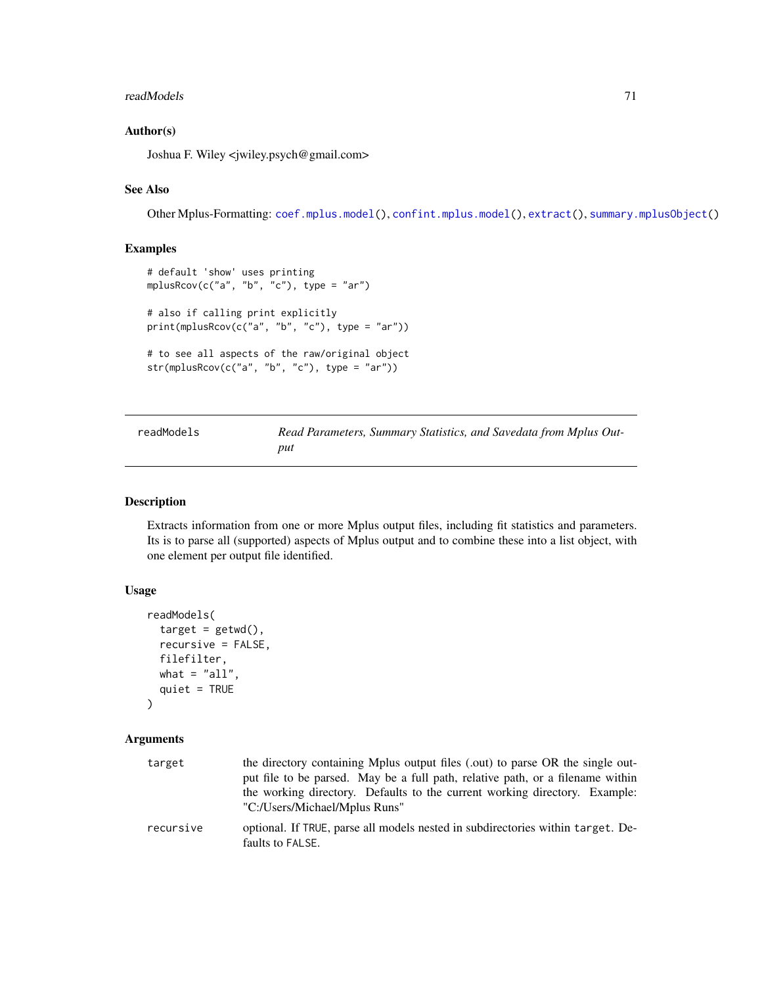#### readModels **71**

# Author(s)

Joshua F. Wiley <jwiley.psych@gmail.com>

#### See Also

Other Mplus-Formatting: [coef.mplus.model\(](#page-5-0)), [confint.mplus.model\(](#page-8-0)), [extract\(](#page-16-0)), [summary.mplusObject\(](#page-78-0))

# Examples

```
# default 'show' uses printing
mplusRcov(c("a", "b", "c"), type = "ar")
# also if calling print explicitly
print(mplusRcov(c("a", "b", "c"), type = "ar"))
# to see all aspects of the raw/original object
str(mplusRcov(c("a", "b", "c"), type = "ar"))
```
<span id="page-70-0"></span>

| readModels | Read Parameters, Summary Statistics, and Savedata from Mplus Out- |
|------------|-------------------------------------------------------------------|
|            | put                                                               |

## Description

Extracts information from one or more Mplus output files, including fit statistics and parameters. Its is to parse all (supported) aspects of Mplus output and to combine these into a list object, with one element per output file identified.

# Usage

```
readModels(
  target = getwd(),
  recursive = FALSE,
 filefilter,
 what = "all",quiet = TRUE
)
```
# Arguments

| target    | the directory containing Mplus output files (.out) to parse OR the single out-<br>put file to be parsed. May be a full path, relative path, or a filename within<br>the working directory. Defaults to the current working directory. Example:<br>"C:/Users/Michael/Mplus Runs" |
|-----------|---------------------------------------------------------------------------------------------------------------------------------------------------------------------------------------------------------------------------------------------------------------------------------|
| recursive | optional. If TRUE, parse all models nested in subdirectories within target. De-<br>faults to FALSE.                                                                                                                                                                             |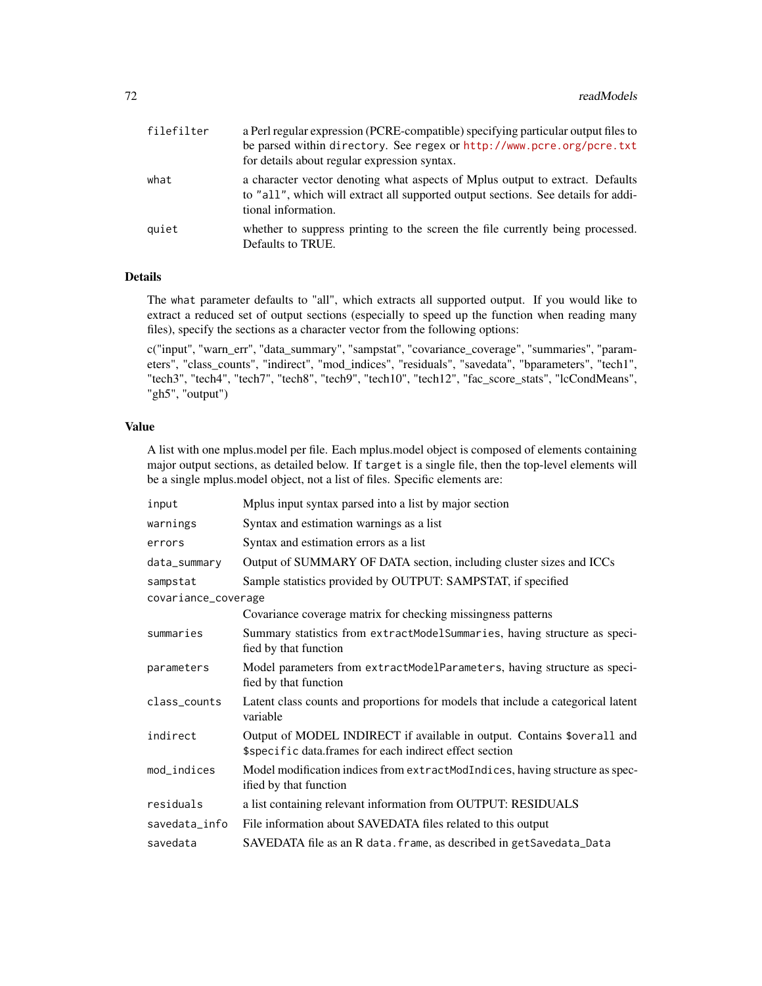| filefilter | a Perl regular expression (PCRE-compatible) specifying particular output files to<br>be parsed within directory. See regex or http://www.pcre.org/pcre.txt                                |
|------------|-------------------------------------------------------------------------------------------------------------------------------------------------------------------------------------------|
|            | for details about regular expression syntax.                                                                                                                                              |
| what       | a character vector denoting what aspects of Mplus output to extract. Defaults<br>to "all", which will extract all supported output sections. See details for addi-<br>tional information. |
| quiet      | whether to suppress printing to the screen the file currently being processed.<br>Defaults to TRUE.                                                                                       |

# Details

The what parameter defaults to "all", which extracts all supported output. If you would like to extract a reduced set of output sections (especially to speed up the function when reading many files), specify the sections as a character vector from the following options:

c("input", "warn\_err", "data\_summary", "sampstat", "covariance\_coverage", "summaries", "parameters", "class\_counts", "indirect", "mod\_indices", "residuals", "savedata", "bparameters", "tech1", "tech3", "tech4", "tech7", "tech8", "tech9", "tech10", "tech12", "fac\_score\_stats", "lcCondMeans", "gh5", "output")

# Value

A list with one mplus.model per file. Each mplus.model object is composed of elements containing major output sections, as detailed below. If target is a single file, then the top-level elements will be a single mplus.model object, not a list of files. Specific elements are:

| input               | Mplus input syntax parsed into a list by major section                                                                             |
|---------------------|------------------------------------------------------------------------------------------------------------------------------------|
| warnings            | Syntax and estimation warnings as a list                                                                                           |
| errors              | Syntax and estimation errors as a list                                                                                             |
| data_summary        | Output of SUMMARY OF DATA section, including cluster sizes and ICCs                                                                |
| sampstat            | Sample statistics provided by OUTPUT: SAMPSTAT, if specified                                                                       |
| covariance_coverage |                                                                                                                                    |
|                     | Covariance coverage matrix for checking missingness patterns                                                                       |
| summaries           | Summary statistics from extractModelSummaries, having structure as speci-<br>fied by that function                                 |
| parameters          | Model parameters from extractModelParameters, having structure as speci-<br>fied by that function                                  |
| class_counts        | Latent class counts and proportions for models that include a categorical latent<br>variable                                       |
| indirect            | Output of MODEL INDIRECT if available in output. Contains \$overall and<br>\$specific data.frames for each indirect effect section |
| mod_indices         | Model modification indices from extractModIndices, having structure as spec-<br>ified by that function                             |
| residuals           | a list containing relevant information from OUTPUT: RESIDUALS                                                                      |
| savedata_info       | File information about SAVEDATA files related to this output                                                                       |
| savedata            | SAVEDATA file as an R data. frame, as described in getSavedata_Data                                                                |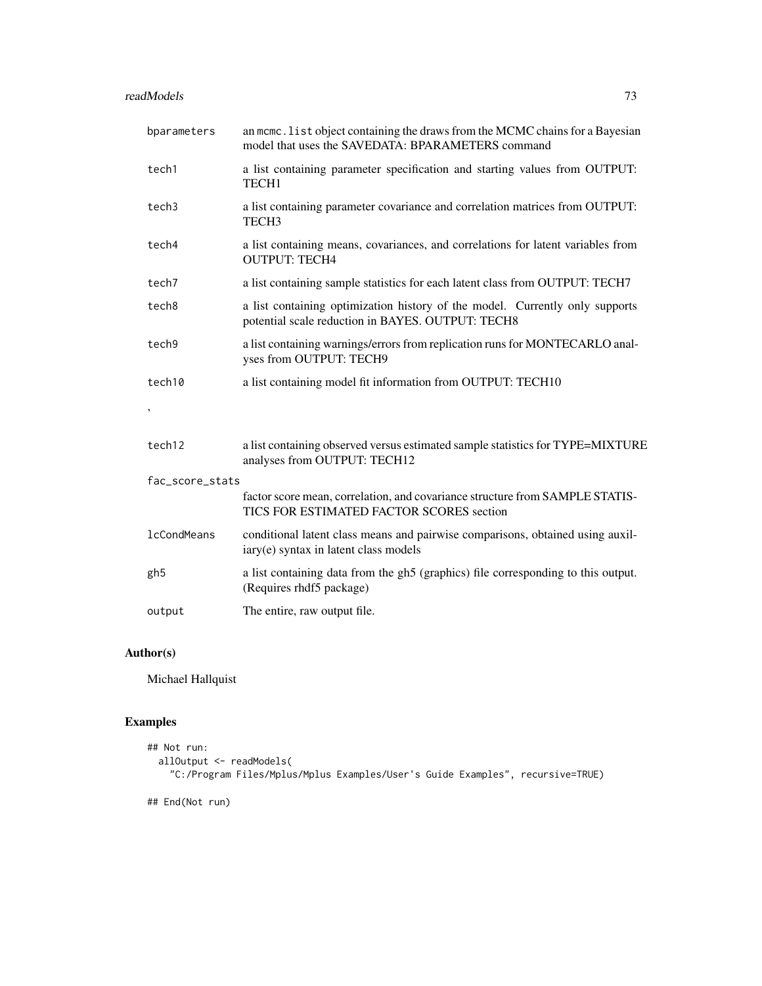#### readModels 23 and 23 and 23 and 23 and 23 and 23 and 23 and 23 and 23 and 23 and 23 and 23 and 23 and 23 and 2

| an mcmc. list object containing the draws from the MCMC chains for a Bayesian<br>model that uses the SAVEDATA: BPARAMETERS command |
|------------------------------------------------------------------------------------------------------------------------------------|
| a list containing parameter specification and starting values from OUTPUT:<br>TECH <sub>1</sub>                                    |
| a list containing parameter covariance and correlation matrices from OUTPUT:<br>TECH <sub>3</sub>                                  |
| a list containing means, covariances, and correlations for latent variables from<br><b>OUTPUT: TECH4</b>                           |
| a list containing sample statistics for each latent class from OUTPUT: TECH7                                                       |
| a list containing optimization history of the model. Currently only supports<br>potential scale reduction in BAYES. OUTPUT: TECH8  |
| a list containing warnings/errors from replication runs for MONTECARLO anal-<br>yses from OUTPUT: TECH9                            |
| a list containing model fit information from OUTPUT: TECH10                                                                        |
|                                                                                                                                    |
| a list containing observed versus estimated sample statistics for TYPE=MIXTURE<br>analyses from OUTPUT: TECH12                     |
| fac_score_stats                                                                                                                    |
| factor score mean, correlation, and covariance structure from SAMPLE STATIS-<br>TICS FOR ESTIMATED FACTOR SCORES section           |
| conditional latent class means and pairwise comparisons, obtained using auxil-<br>iary(e) syntax in latent class models            |
| a list containing data from the gh5 (graphics) file corresponding to this output.<br>(Requires rhdf5 package)                      |
| The entire, raw output file.                                                                                                       |
|                                                                                                                                    |

# Author(s)

Michael Hallquist

# Examples

```
## Not run:
 allOutput <- readModels(
   "C:/Program Files/Mplus/Mplus Examples/User's Guide Examples", recursive=TRUE)
```
## End(Not run)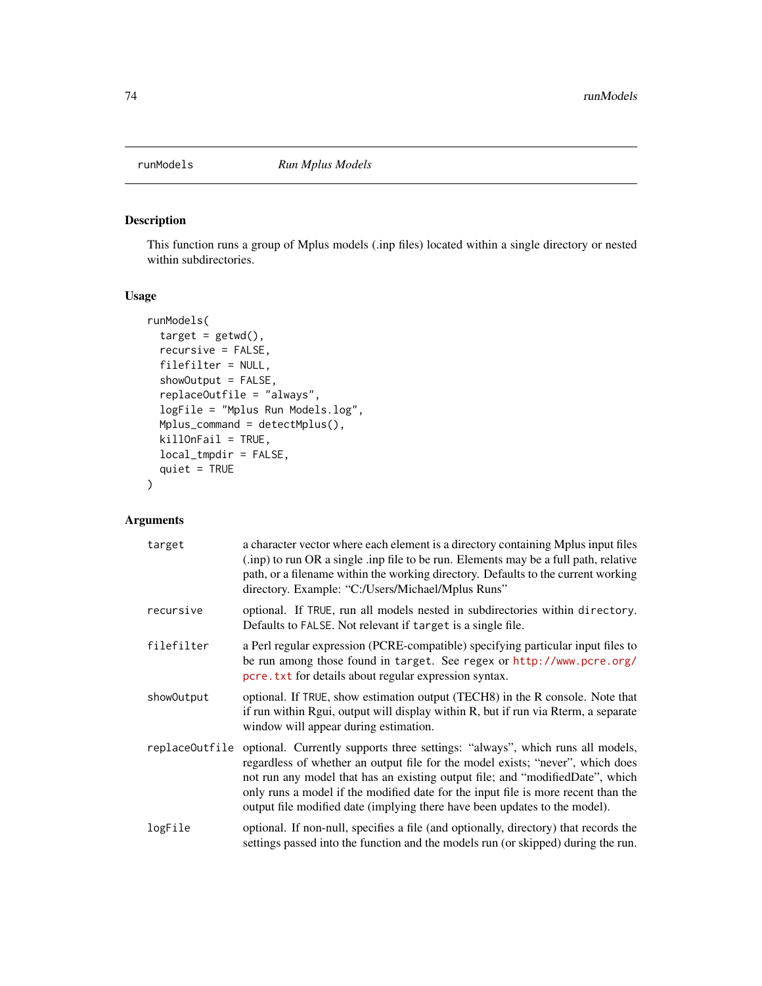<span id="page-73-1"></span><span id="page-73-0"></span>

# Description

This function runs a group of Mplus models (.inp files) located within a single directory or nested within subdirectories.

# Usage

```
runModels(
  target = getwd(),
 recursive = FALSE,
 filefilter = NULL,
  showOutput = FALSE,
  replaceOutfile = "always",
  logFile = "Mplus Run Models.log",
 Mplus_command = detectMplus(),
 killOnFail = TRUE,
 local_tmpdir = FALSE,
  quiet = TRUE)
```
# Arguments

| target     | a character vector where each element is a directory containing Mplus input files<br>(.inp) to run OR a single .inp file to be run. Elements may be a full path, relative<br>path, or a filename within the working directory. Defaults to the current working<br>directory. Example: "C:/Users/Michael/Mplus Runs"                                                                                                                |
|------------|------------------------------------------------------------------------------------------------------------------------------------------------------------------------------------------------------------------------------------------------------------------------------------------------------------------------------------------------------------------------------------------------------------------------------------|
| recursive  | optional. If TRUE, run all models nested in subdirectories within directory.<br>Defaults to FALSE. Not relevant if target is a single file.                                                                                                                                                                                                                                                                                        |
| filefilter | a Perl regular expression (PCRE-compatible) specifying particular input files to<br>be run among those found in target. See regex or http://www.pcre.org/<br>pcre. txt for details about regular expression syntax.                                                                                                                                                                                                                |
| showOutput | optional. If TRUE, show estimation output (TECH8) in the R console. Note that<br>if run within Rgui, output will display within R, but if run via Rterm, a separate<br>window will appear during estimation.                                                                                                                                                                                                                       |
|            | replaceOutfile optional. Currently supports three settings: "always", which runs all models,<br>regardless of whether an output file for the model exists; "never", which does<br>not run any model that has an existing output file; and "modifiedDate", which<br>only runs a model if the modified date for the input file is more recent than the<br>output file modified date (implying there have been updates to the model). |
| logFile    | optional. If non-null, specifies a file (and optionally, directory) that records the<br>settings passed into the function and the models run (or skipped) during the run.                                                                                                                                                                                                                                                          |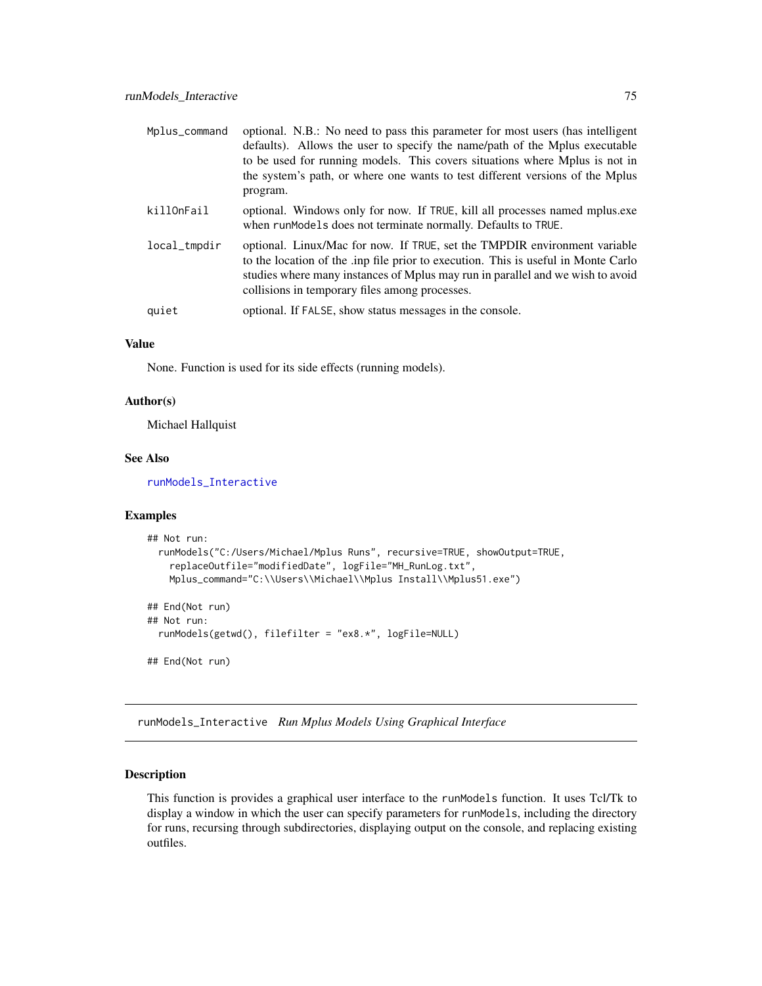<span id="page-74-1"></span>

| Mplus_command | optional. N.B.: No need to pass this parameter for most users (has intelligent<br>defaults). Allows the user to specify the name/path of the Mplus executable<br>to be used for running models. This covers situations where Mplus is not in<br>the system's path, or where one wants to test different versions of the Mplus<br>program. |
|---------------|-------------------------------------------------------------------------------------------------------------------------------------------------------------------------------------------------------------------------------------------------------------------------------------------------------------------------------------------|
| killOnFail    | optional. Windows only for now. If TRUE, kill all processes named mplus.exe<br>when runModels does not terminate normally. Defaults to TRUE.                                                                                                                                                                                              |
| local_tmpdir  | optional. Linux/Mac for now. If TRUE, set the TMPDIR environment variable<br>to the location of the .inp file prior to execution. This is useful in Monte Carlo<br>studies where many instances of Mplus may run in parallel and we wish to avoid<br>collisions in temporary files among processes.                                       |
| quiet         | optional. If FALSE, show status messages in the console.                                                                                                                                                                                                                                                                                  |

#### Value

None. Function is used for its side effects (running models).

#### Author(s)

Michael Hallquist

# See Also

[runModels\\_Interactive](#page-74-0)

#### Examples

```
## Not run:
 runModels("C:/Users/Michael/Mplus Runs", recursive=TRUE, showOutput=TRUE,
   replaceOutfile="modifiedDate", logFile="MH_RunLog.txt",
   Mplus_command="C:\\Users\\Michael\\Mplus Install\\Mplus51.exe")
## End(Not run)
## Not run:
 runModels(getwd(), filefilter = "ex8.*", logFile=NULL)
## End(Not run)
```
<span id="page-74-0"></span>runModels\_Interactive *Run Mplus Models Using Graphical Interface*

#### Description

This function is provides a graphical user interface to the runModels function. It uses Tcl/Tk to display a window in which the user can specify parameters for runModels, including the directory for runs, recursing through subdirectories, displaying output on the console, and replacing existing outfiles.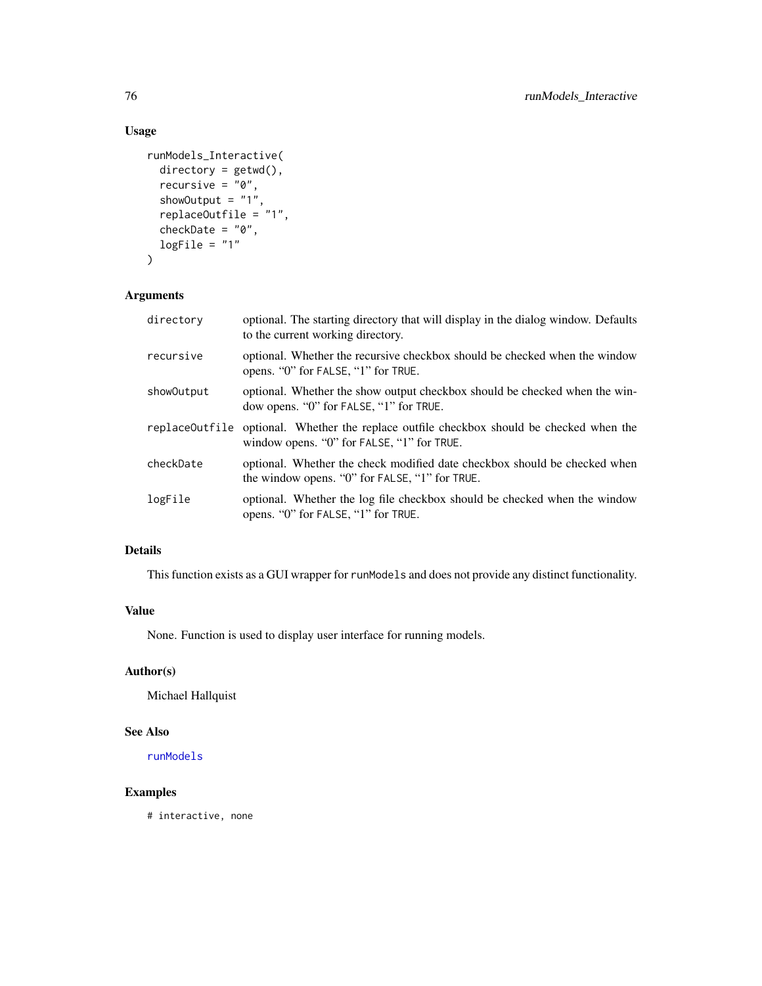# Usage

```
runModels_Interactive(
 directory = getwd(),
 recursive = "0",showOutput = "1",replaceOutfile = "1",
 checkDate = "0",logFile = "1"\mathcal{L}
```
# Arguments

| directory  | optional. The starting directory that will display in the dialog window. Defaults<br>to the current working directory.                           |
|------------|--------------------------------------------------------------------------------------------------------------------------------------------------|
| recursive  | optional. Whether the recursive checkbox should be checked when the window<br>opens. "0" for FALSE, "1" for TRUE.                                |
| show0utput | optional. Whether the show output checkbox should be checked when the win-<br>dow opens. "0" for FALSE, "1" for TRUE.                            |
|            | replace out file optional. Whether the replace outfile checkbox should be checked when the<br>window opens. " $0$ " for FALSE, " $1$ " for TRUE. |
| checkDate  | optional. Whether the check modified date checkbox should be checked when<br>the window opens. "0" for FALSE, "1" for TRUE.                      |
| logFile    | optional. Whether the log file checkbox should be checked when the window<br>opens. "O" for FALSE, "1" for TRUE.                                 |

# Details

This function exists as a GUI wrapper for runModels and does not provide any distinct functionality.

## Value

None. Function is used to display user interface for running models.

# Author(s)

Michael Hallquist

# See Also

[runModels](#page-73-0)

# Examples

# interactive, none

<span id="page-75-0"></span>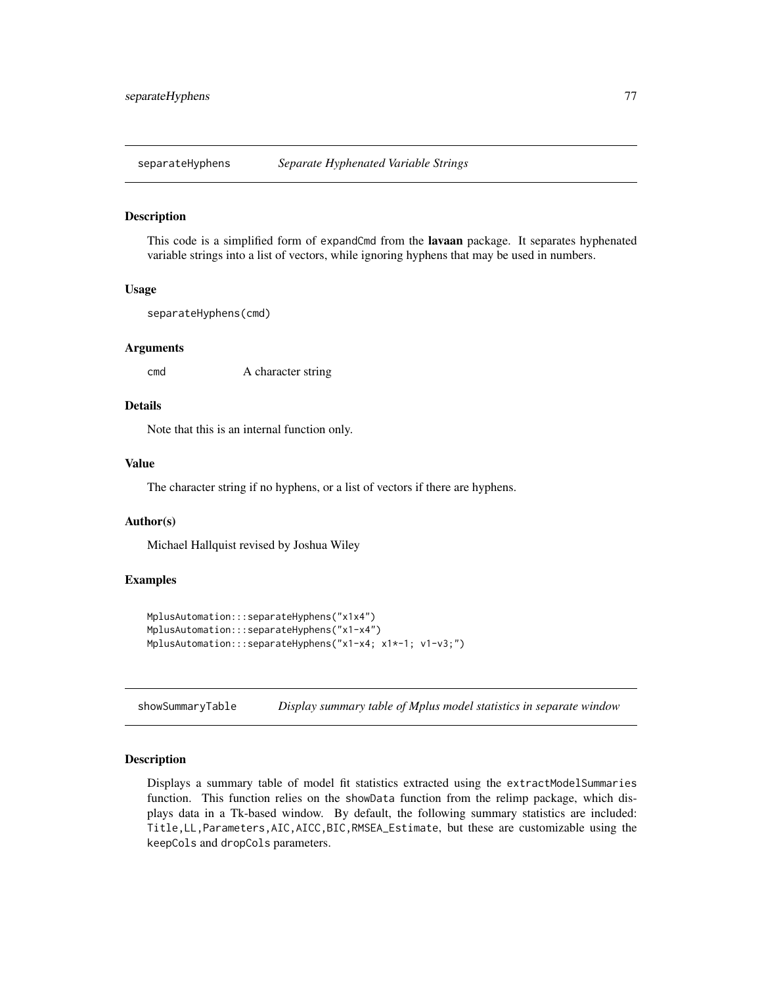<span id="page-76-0"></span>separateHyphens *Separate Hyphenated Variable Strings*

#### Description

This code is a simplified form of expandCmd from the lavaan package. It separates hyphenated variable strings into a list of vectors, while ignoring hyphens that may be used in numbers.

#### Usage

```
separateHyphens(cmd)
```
#### Arguments

cmd A character string

# Details

Note that this is an internal function only.

#### Value

The character string if no hyphens, or a list of vectors if there are hyphens.

#### Author(s)

Michael Hallquist revised by Joshua Wiley

## Examples

```
MplusAutomation:::separateHyphens("x1x4")
MplusAutomation:::separateHyphens("x1-x4")
MplusAutomation:::separateHyphens("x1-x4; x1*-1; v1-v3;")
```
showSummaryTable *Display summary table of Mplus model statistics in separate window*

# Description

Displays a summary table of model fit statistics extracted using the extractModelSummaries function. This function relies on the showData function from the relimp package, which displays data in a Tk-based window. By default, the following summary statistics are included: Title,LL,Parameters,AIC,AICC,BIC,RMSEA\_Estimate, but these are customizable using the keepCols and dropCols parameters.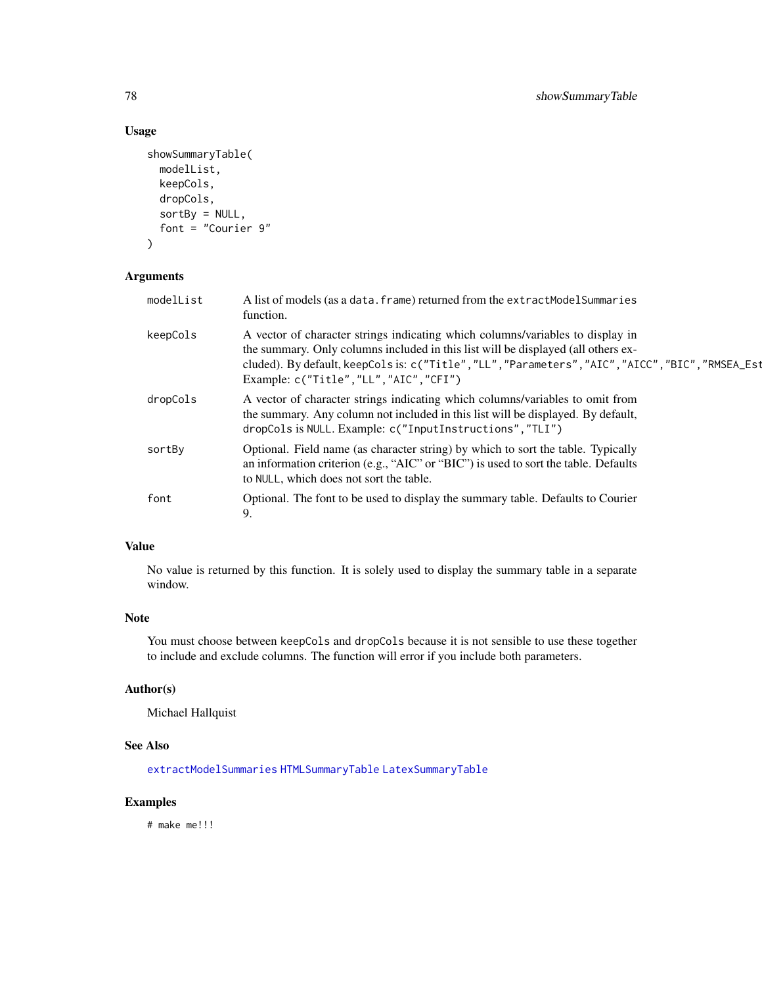# Usage

```
showSummaryTable(
 modelList,
 keepCols,
 dropCols,
 sortBy = NULL,
  font = "Courier 9"
)
```
# Arguments

| modelList | A list of models (as a data. frame) returned from the extractModelSummaries<br>function.                                                                                                                                                                                                                            |
|-----------|---------------------------------------------------------------------------------------------------------------------------------------------------------------------------------------------------------------------------------------------------------------------------------------------------------------------|
| keepCols  | A vector of character strings indicating which columns/variables to display in<br>the summary. Only columns included in this list will be displayed (all others ex-<br>cluded). By default, keepCols is: c("Title", "LL", "Parameters", "AIC", "AICC", "BIC", "RMSEA_Est<br>Example: c("Title", "LL", "AIC", "CFI") |
| dropCols  | A vector of character strings indicating which columns/variables to omit from<br>the summary. Any column not included in this list will be displayed. By default,<br>dropCols is NULL. Example: c("InputInstructions","TLI")                                                                                        |
| sortBy    | Optional. Field name (as character string) by which to sort the table. Typically<br>an information criterion (e.g., "AIC" or "BIC") is used to sort the table. Defaults<br>to NULL, which does not sort the table.                                                                                                  |
| font      | Optional. The font to be used to display the summary table. Defaults to Courier<br>9.                                                                                                                                                                                                                               |

# Value

No value is returned by this function. It is solely used to display the summary table in a separate window.

## Note

You must choose between keepCols and dropCols because it is not sensible to use these together to include and exclude columns. The function will error if you include both parameters.

## Author(s)

Michael Hallquist

# See Also

[extractModelSummaries](#page-21-0) [HTMLSummaryTable](#page-31-0) [LatexSummaryTable](#page-32-0)

## Examples

# make me!!!

<span id="page-77-0"></span>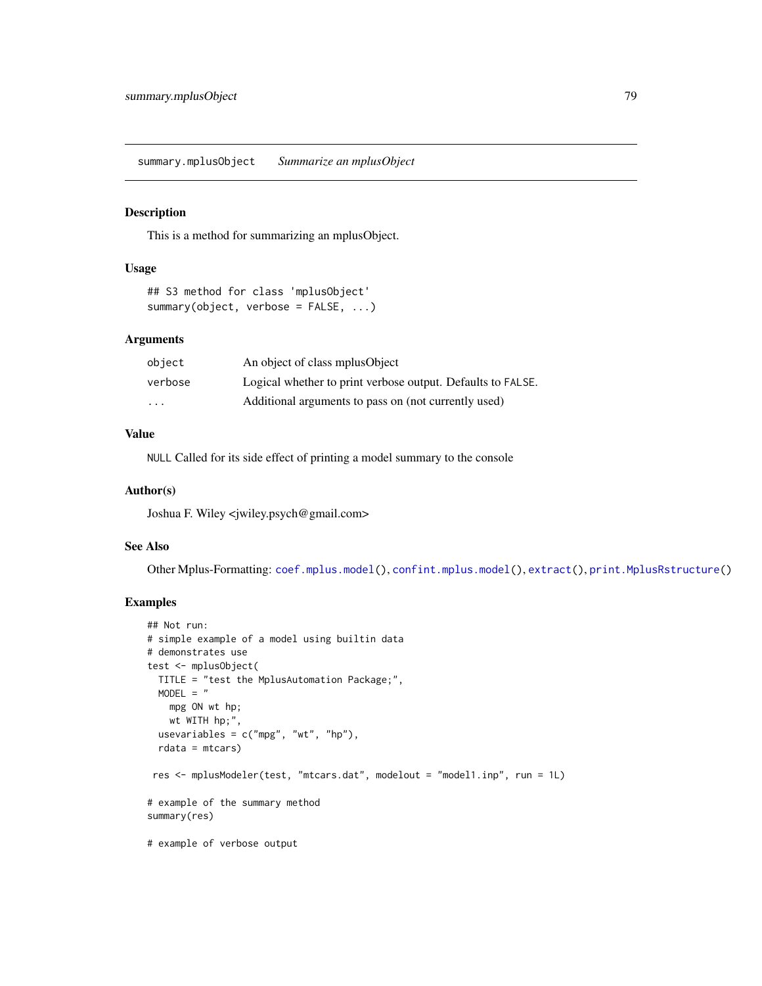<span id="page-78-0"></span>summary.mplusObject *Summarize an mplusObject*

# Description

This is a method for summarizing an mplusObject.

#### Usage

```
## S3 method for class 'mplusObject'
summary(object, verbose = FALSE, ...)
```
## Arguments

| object  | An object of class mplus Object                             |
|---------|-------------------------------------------------------------|
| verbose | Logical whether to print verbose output. Defaults to FALSE. |
| $\cdot$ | Additional arguments to pass on (not currently used)        |

## Value

NULL Called for its side effect of printing a model summary to the console

#### Author(s)

Joshua F. Wiley <jwiley.psych@gmail.com>

# See Also

Other Mplus-Formatting: [coef.mplus.model\(](#page-5-0)), [confint.mplus.model\(](#page-8-0)), [extract\(](#page-16-0)), [print.MplusRstructure\(](#page-69-0))

## Examples

```
## Not run:
# simple example of a model using builtin data
# demonstrates use
test <- mplusObject(
 TITLE = "test the MplusAutomation Package;",
  MODEL = "mpg ON wt hp;
   wt WITH hp;",
  usevariables = c("mpg", "wt", "hp"),
  rdata = mtcars)
 res <- mplusModeler(test, "mtcars.dat", modelout = "model1.inp", run = 1L)
# example of the summary method
summary(res)
# example of verbose output
```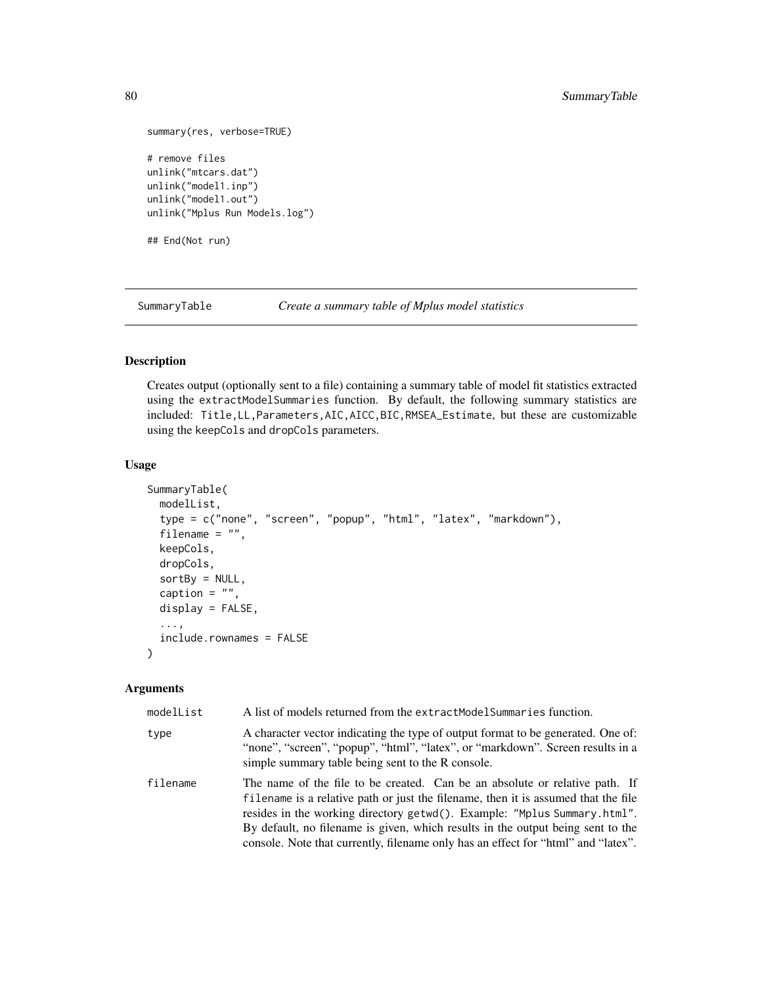```
summary(res, verbose=TRUE)
# remove files
unlink("mtcars.dat")
unlink("model1.inp")
unlink("model1.out")
unlink("Mplus Run Models.log")
## End(Not run)
```
SummaryTable *Create a summary table of Mplus model statistics*

## Description

Creates output (optionally sent to a file) containing a summary table of model fit statistics extracted using the extractModelSummaries function. By default, the following summary statistics are included: Title,LL,Parameters,AIC,AICC,BIC,RMSEA\_Estimate, but these are customizable using the keepCols and dropCols parameters.

## Usage

```
SummaryTable(
 modelList,
  type = c("none", "screen", "popup", "html", "latex", "markdown"),
  filename = ",
 keepCols,
  dropCols,
  sortBy = NULL,
  caption = ",
 display = FALSE,
  ...,
  include.rownames = FALSE
)
```
#### Arguments

| modelList | A list of models returned from the extractModelSummaries function.                                                                                                                                                                                                                                                                                                                                                    |
|-----------|-----------------------------------------------------------------------------------------------------------------------------------------------------------------------------------------------------------------------------------------------------------------------------------------------------------------------------------------------------------------------------------------------------------------------|
| type      | A character vector indicating the type of output format to be generated. One of:<br>"none", "screen", "popup", "html", "latex", or "markdown". Screen results in a<br>simple summary table being sent to the R console.                                                                                                                                                                                               |
| filename  | The name of the file to be created. Can be an absolute or relative path. If<br>filename is a relative path or just the filename, then it is assumed that the file<br>resides in the working directory getwd(). Example: "Mplus Summary.html".<br>By default, no filename is given, which results in the output being sent to the<br>console. Note that currently, filename only has an effect for "html" and "latex". |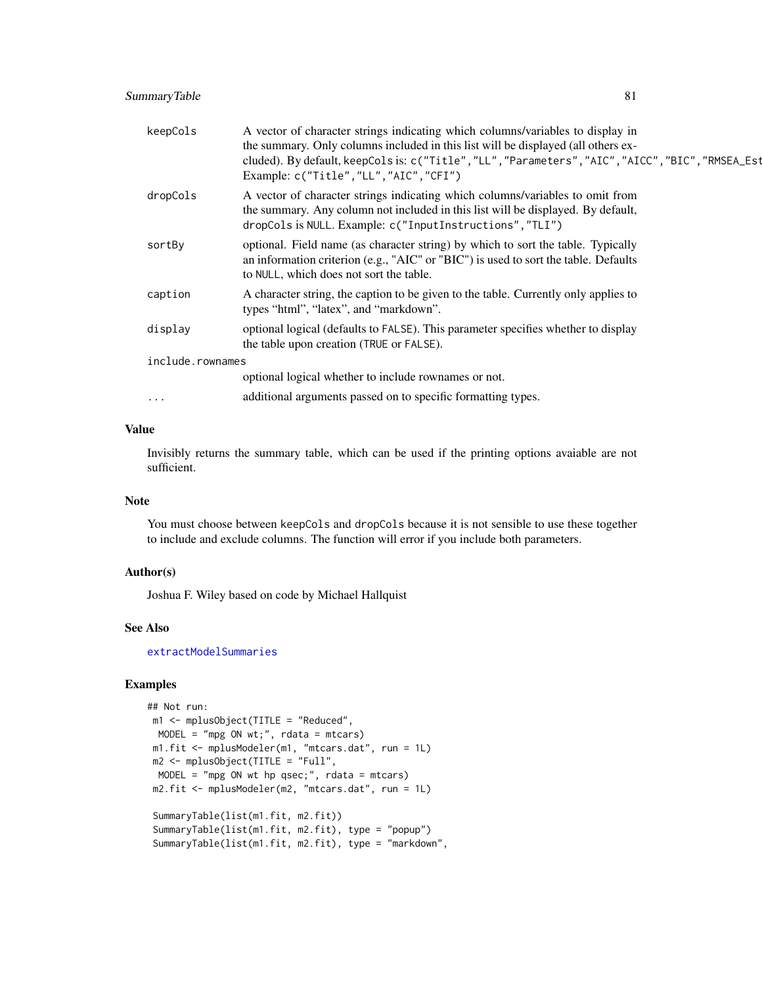<span id="page-80-0"></span>

| keepCols         | A vector of character strings indicating which columns/variables to display in<br>the summary. Only columns included in this list will be displayed (all others ex-<br>cluded). By default, keepCols is: c("Title", "LL", "Parameters", "AIC", "AICC", "BIC", "RMSEA_Est<br>Example: c("Title", "LL", "AIC", "CFI") |
|------------------|---------------------------------------------------------------------------------------------------------------------------------------------------------------------------------------------------------------------------------------------------------------------------------------------------------------------|
| dropCols         | A vector of character strings indicating which columns/variables to omit from<br>the summary. Any column not included in this list will be displayed. By default,<br>dropCols is NULL. Example: c("InputInstructions", "TLI")                                                                                       |
| sortBy           | optional. Field name (as character string) by which to sort the table. Typically<br>an information criterion (e.g., "AIC" or "BIC") is used to sort the table. Defaults<br>to NULL, which does not sort the table.                                                                                                  |
| caption          | A character string, the caption to be given to the table. Currently only applies to<br>types "html", "latex", and "markdown".                                                                                                                                                                                       |
| display          | optional logical (defaults to FALSE). This parameter specifies whether to display<br>the table upon creation (TRUE or FALSE).                                                                                                                                                                                       |
| include.rownames |                                                                                                                                                                                                                                                                                                                     |
|                  | optional logical whether to include rownames or not.                                                                                                                                                                                                                                                                |
| $\cdots$         | additional arguments passed on to specific formatting types.                                                                                                                                                                                                                                                        |

## Value

Invisibly returns the summary table, which can be used if the printing options avaiable are not sufficient.

## Note

You must choose between keepCols and dropCols because it is not sensible to use these together to include and exclude columns. The function will error if you include both parameters.

## Author(s)

Joshua F. Wiley based on code by Michael Hallquist

#### See Also

[extractModelSummaries](#page-21-0)

# Examples

```
## Not run:
m1 <- mplusObject(TITLE = "Reduced",
 MODEL = "mpg ON wt;", rdata = mtcars)
m1.fit <- mplusModeler(m1, "mtcars.dat", run = 1L)
m2 <- mplusObject(TITLE = "Full",
 MODEL = "mpg ON wt hp qsec;", rdata = mtcars)
m2.fit <- mplusModeler(m2, "mtcars.dat", run = 1L)
SummaryTable(list(m1.fit, m2.fit))
SummaryTable(list(m1.fit, m2.fit), type = "popup")
SummaryTable(list(m1.fit, m2.fit), type = "markdown",
```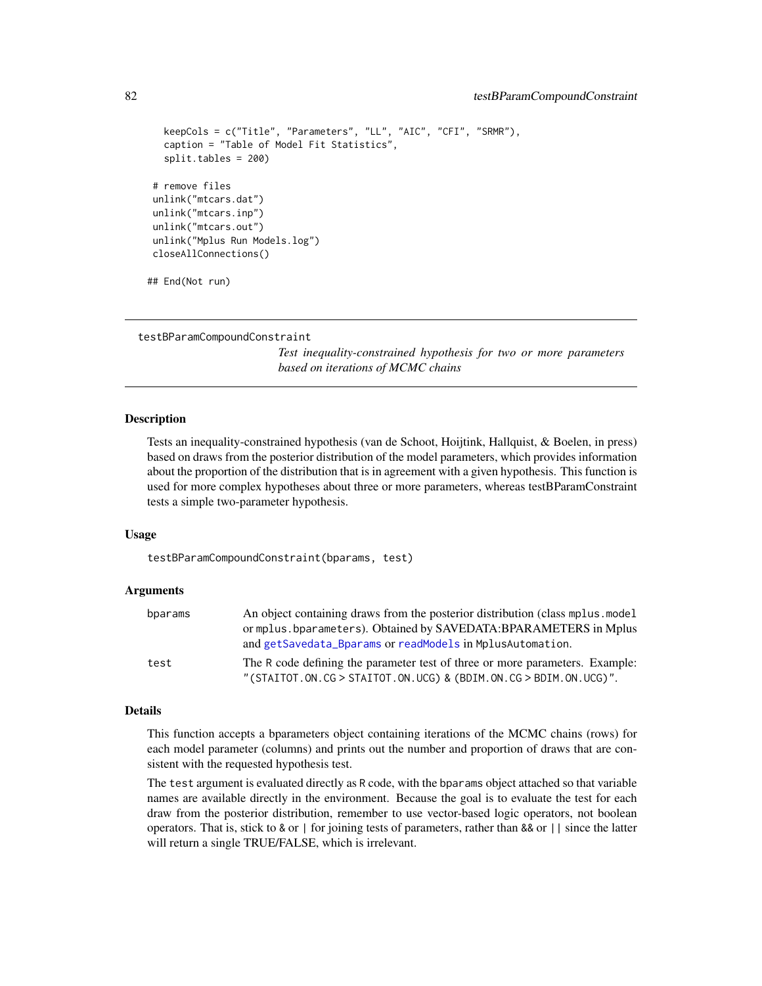```
keepCols = c("Title", "Parameters", "LL", "AIC", "CFI", "SRMR"),
  caption = "Table of Model Fit Statistics",
  split.tables = 200)
# remove files
unlink("mtcars.dat")
unlink("mtcars.inp")
unlink("mtcars.out")
unlink("Mplus Run Models.log")
closeAllConnections()
## End(Not run)
```

```
testBParamCompoundConstraint
```
*Test inequality-constrained hypothesis for two or more parameters based on iterations of MCMC chains*

#### **Description**

Tests an inequality-constrained hypothesis (van de Schoot, Hoijtink, Hallquist, & Boelen, in press) based on draws from the posterior distribution of the model parameters, which provides information about the proportion of the distribution that is in agreement with a given hypothesis. This function is used for more complex hypotheses about three or more parameters, whereas testBParamConstraint tests a simple two-parameter hypothesis.

#### Usage

testBParamCompoundConstraint(bparams, test)

## Arguments

| bparams | An object containing draws from the posterior distribution (class mplus model) |
|---------|--------------------------------------------------------------------------------|
|         | or mplus. bparameters). Obtained by SAVEDATA: BPARAMETERS in Mplus             |
|         | and getSavedata_Bparams or readModels in MplusAutomation.                      |
| test    | The R code defining the parameter test of three or more parameters. Example:   |
|         | "(STAITOT.ON.CG > STAITOT.ON.UCG) & (BDIM.ON.CG > BDIM.ON.UCG)".               |

#### Details

This function accepts a bparameters object containing iterations of the MCMC chains (rows) for each model parameter (columns) and prints out the number and proportion of draws that are consistent with the requested hypothesis test.

The test argument is evaluated directly as R code, with the bparams object attached so that variable names are available directly in the environment. Because the goal is to evaluate the test for each draw from the posterior distribution, remember to use vector-based logic operators, not boolean operators. That is, stick to & or | for joining tests of parameters, rather than && or || since the latter will return a single TRUE/FALSE, which is irrelevant.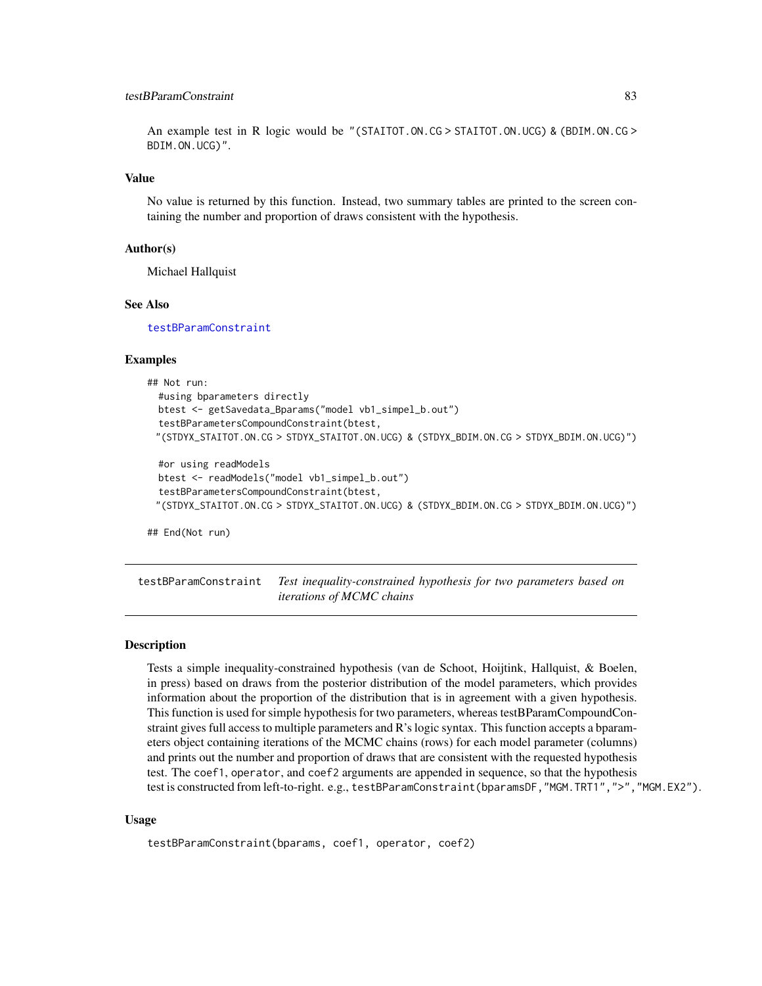### <span id="page-82-1"></span>testBParamConstraint 83

An example test in R logic would be "(STAITOT.ON.CG > STAITOT.ON.UCG) & (BDIM.ON.CG > BDIM.ON.UCG)".

#### Value

No value is returned by this function. Instead, two summary tables are printed to the screen containing the number and proportion of draws consistent with the hypothesis.

#### Author(s)

Michael Hallquist

## See Also

[testBParamConstraint](#page-82-0)

#### Examples

```
## Not run:
 #using bparameters directly
 btest <- getSavedata_Bparams("model vb1_simpel_b.out")
 testBParametersCompoundConstraint(btest,
 "(STDYX_STAITOT.ON.CG > STDYX_STAITOT.ON.UCG) & (STDYX_BDIM.ON.CG > STDYX_BDIM.ON.UCG)")
 #or using readModels
 btest <- readModels("model vb1_simpel_b.out")
 testBParametersCompoundConstraint(btest,
 "(STDYX_STAITOT.ON.CG > STDYX_STAITOT.ON.UCG) & (STDYX_BDIM.ON.CG > STDYX_BDIM.ON.UCG)")
```
## End(Not run)

<span id="page-82-0"></span>testBParamConstraint *Test inequality-constrained hypothesis for two parameters based on iterations of MCMC chains*

#### **Description**

Tests a simple inequality-constrained hypothesis (van de Schoot, Hoijtink, Hallquist, & Boelen, in press) based on draws from the posterior distribution of the model parameters, which provides information about the proportion of the distribution that is in agreement with a given hypothesis. This function is used for simple hypothesis for two parameters, whereas testBParamCompoundConstraint gives full access to multiple parameters and R's logic syntax. This function accepts a bparameters object containing iterations of the MCMC chains (rows) for each model parameter (columns) and prints out the number and proportion of draws that are consistent with the requested hypothesis test. The coef1, operator, and coef2 arguments are appended in sequence, so that the hypothesis test is constructed from left-to-right. e.g., testBParamConstraint(bparamsDF,"MGM.TRT1",">","MGM.EX2").

#### Usage

```
testBParamConstraint(bparams, coef1, operator, coef2)
```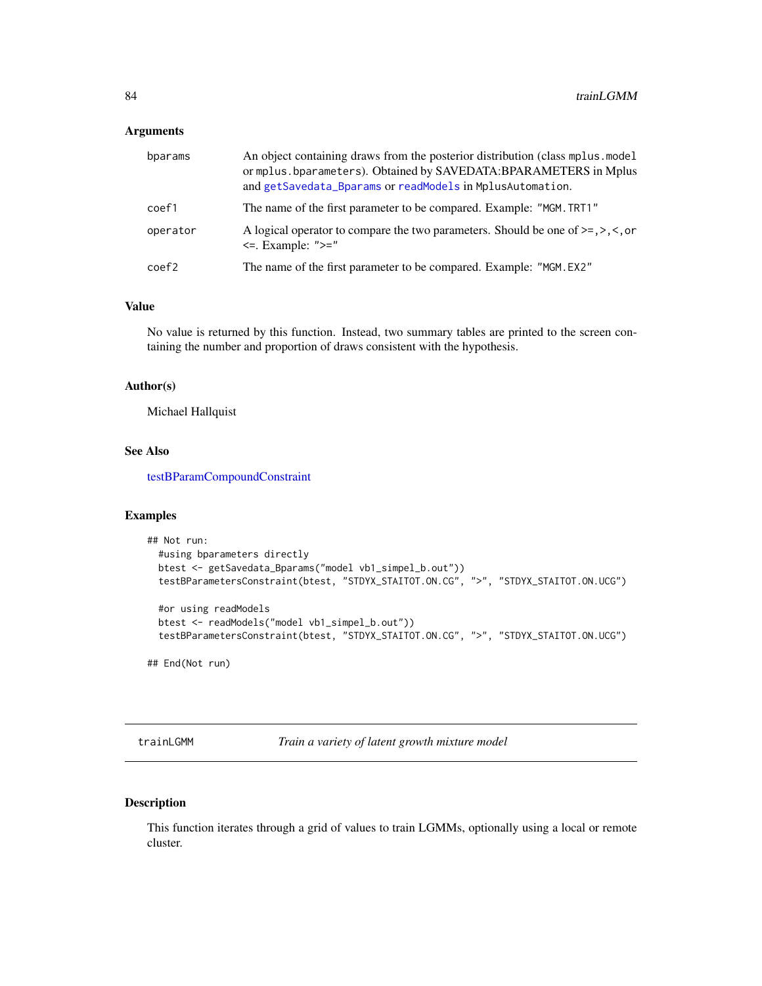## <span id="page-83-0"></span>Arguments

| bparams  | An object containing draws from the posterior distribution (class mplus model)<br>or mplus.bparameters). Obtained by SAVEDATA:BPARAMETERS in Mplus<br>and getSavedata_Bparams or readModels in MplusAutomation. |
|----------|-----------------------------------------------------------------------------------------------------------------------------------------------------------------------------------------------------------------|
| coef1    | The name of the first parameter to be compared. Example: "MGM. TRT1"                                                                                                                                            |
| operator | A logical operator to compare the two parameters. Should be one of $\geq$ , $\geq$ , $\lt$ , or<br>$\leq$ . Example: " $\geq$ ="                                                                                |
| coef2    | The name of the first parameter to be compared. Example: "MGM. EX2"                                                                                                                                             |

## Value

No value is returned by this function. Instead, two summary tables are printed to the screen containing the number and proportion of draws consistent with the hypothesis.

## Author(s)

Michael Hallquist

## See Also

[testBParamCompoundConstraint](#page-81-0)

#### Examples

```
## Not run:
 #using bparameters directly
 btest <- getSavedata_Bparams("model vb1_simpel_b.out"))
 testBParametersConstraint(btest, "STDYX_STAITOT.ON.CG", ">", "STDYX_STAITOT.ON.UCG")
 #or using readModels
 btest <- readModels("model vb1_simpel_b.out"))
 testBParametersConstraint(btest, "STDYX_STAITOT.ON.CG", ">", "STDYX_STAITOT.ON.UCG")
```
## End(Not run)

trainLGMM *Train a variety of latent growth mixture model*

## Description

This function iterates through a grid of values to train LGMMs, optionally using a local or remote cluster.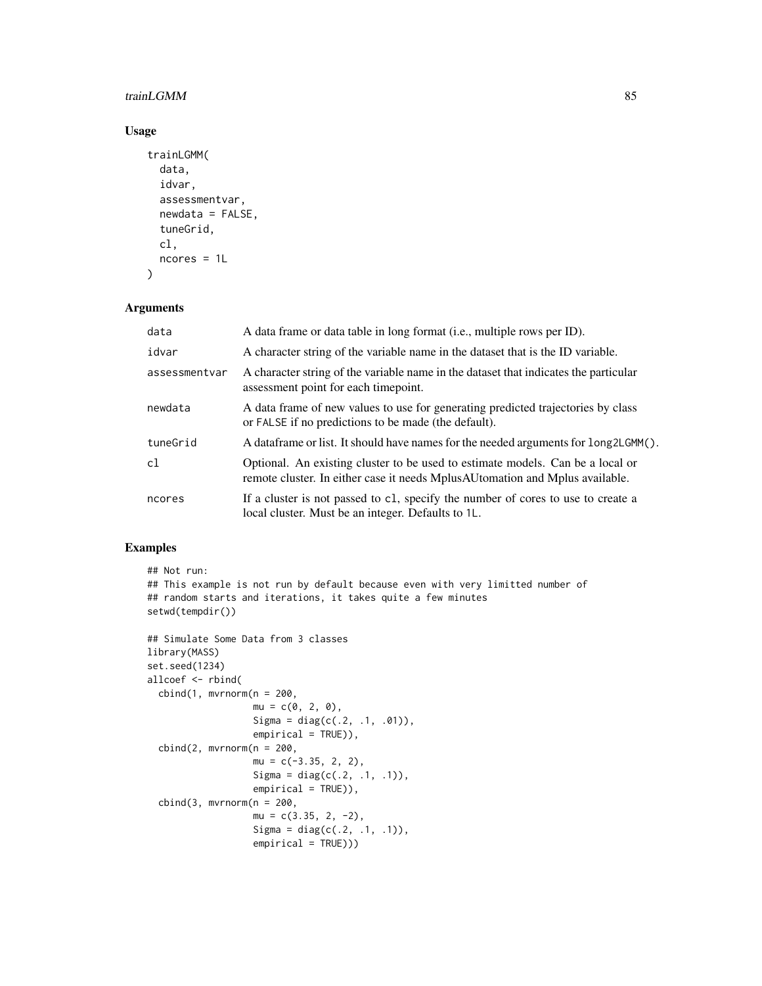# trainLGMM 85

## Usage

```
trainLGMM(
  data,
  idvar,
  assessmentvar,
  newdata = FALSE,tuneGrid,
  cl,
  ncores = 1L
\mathcal{L}
```
# Arguments

| data          | A data frame or data table in long format (i.e., multiple rows per ID).                                                                                           |
|---------------|-------------------------------------------------------------------------------------------------------------------------------------------------------------------|
| idvar         | A character string of the variable name in the dataset that is the ID variable.                                                                                   |
| assessmentvar | A character string of the variable name in the dataset that indicates the particular<br>assessment point for each time point.                                     |
| newdata       | A data frame of new values to use for generating predicted trajectories by class<br>or FALSE if no predictions to be made (the default).                          |
| tuneGrid      | A data frame or list. It should have names for the needed arguments for long2LGMM().                                                                              |
| cl            | Optional. An existing cluster to be used to estimate models. Can be a local or<br>remote cluster. In either case it needs Mplus AU to mation and Mplus available. |
| ncores        | If a cluster is not passed to c1, specify the number of cores to use to create a<br>local cluster. Must be an integer. Defaults to 1L.                            |

# Examples

```
## Not run:
## This example is not run by default because even with very limitted number of
## random starts and iterations, it takes quite a few minutes
setwd(tempdir())
## Simulate Some Data from 3 classes
library(MASS)
set.seed(1234)
allcoef <- rbind(
  cbind(1, mvrnorm(n = 200,mu = c(0, 2, 0),Sigma = diag(c(.2, .1, .01)),empirical = TRUE)),
  cbind(2, mvrnorm(n = 200,mu = c(-3.35, 2, 2),
                  Sigma = diag(c(.2, .1, .1)),empirical = TRUE)),
  cbind(3, mvrnorm(n = 200,mu = c(3.35, 2, -2),Sigma = diag(c(.2, .1, .1)),
```
empirical = TRUE)))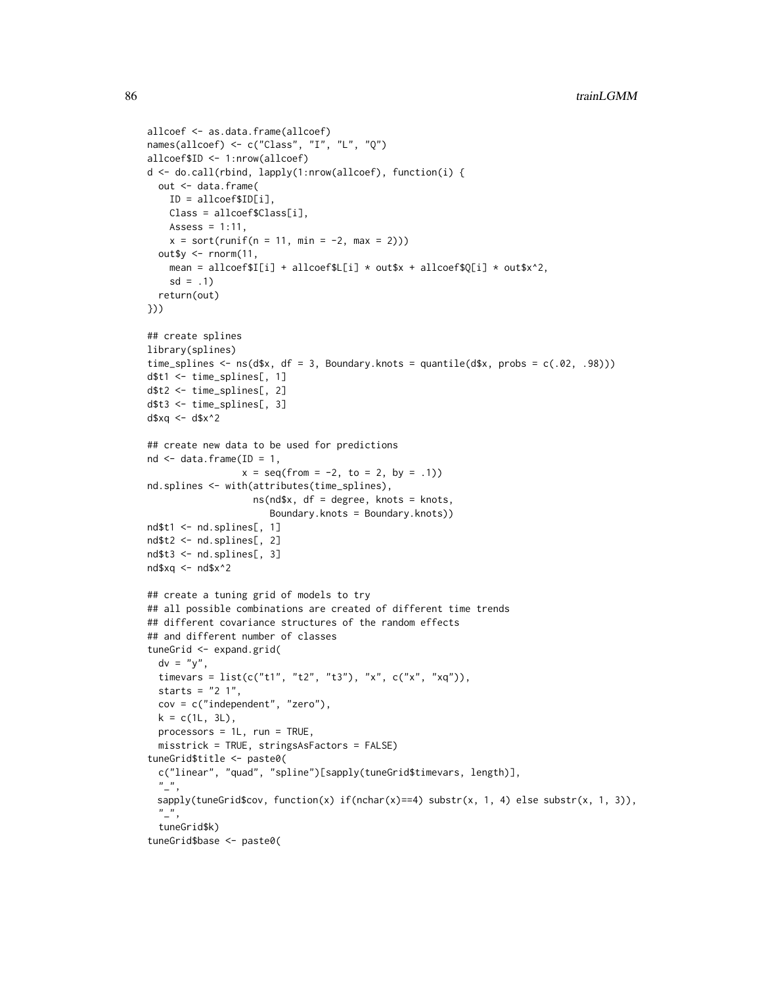```
allcoef <- as.data.frame(allcoef)
names(allcoef) <- c("Class", "I", "L", "Q")
allcoef$ID <- 1:nrow(allcoef)
d <- do.call(rbind, lapply(1:nrow(allcoef), function(i) {
 out <- data.frame(
   ID = allcoef$ID[i],
   Class = allcoef$Class[i],
   Assess = 1:11,
   x = sort(runif(n = 11, min = -2, max = 2)))out y \le -r norm (11,mean = allcoef$I[i] + allcoef$L[i] * out$x + allcoef$Q[i] * out$x^2,
   sd = .1)return(out)
}))
## create splines
library(splines)
time_splines \leq ns(d$x, df = 3, Boundary.knots = quantile(d$x, probs = c(.02, .98)))
d$t1 <- time_splines[, 1]
d$t2 <- time_splines[, 2]
d$t3 <- time_splines[, 3]
d$xq <- d$x^2
## create new data to be used for predictions
nd \leq data.frame(ID = 1,
                 x = seq(from = -2, to = 2, by = .1)nd.splines <- with(attributes(time_splines),
                   ns(nd$x, df = degree, knots = knots,
                      Boundary.knots = Boundary.knots))
nd$t1 <- nd.splines[, 1]
nd$t2 <- nd.splines[, 2]
nd$t3 <- nd.splines[, 3]
nd\ xq < -nd\x^2## create a tuning grid of models to try
## all possible combinations are created of different time trends
## different covariance structures of the random effects
## and different number of classes
tuneGrid <- expand.grid(
  dv = "y",timevars = list(c("t1", "t2", "t3"), "x", c("x", "xq")),
  starts = "2 1",cov = c("independent", "zero"),
  k = c(1L, 3L),processors = 1L, run = TRUE,
  misstrick = TRUE, stringsAsFactors = FALSE)
tuneGrid$title <- paste0(
  c("linear", "quad", "spline")[sapply(tuneGrid$timevars, length)],
  \frac{n}{2},
 sapply(tuneGrid$cov, function(x) if(nchar(x)==4) substr(x, 1, 4) else substr(x, 1, 3)),
  \frac{n}{2},
  tuneGrid$k)
tuneGrid$base <- paste0(
```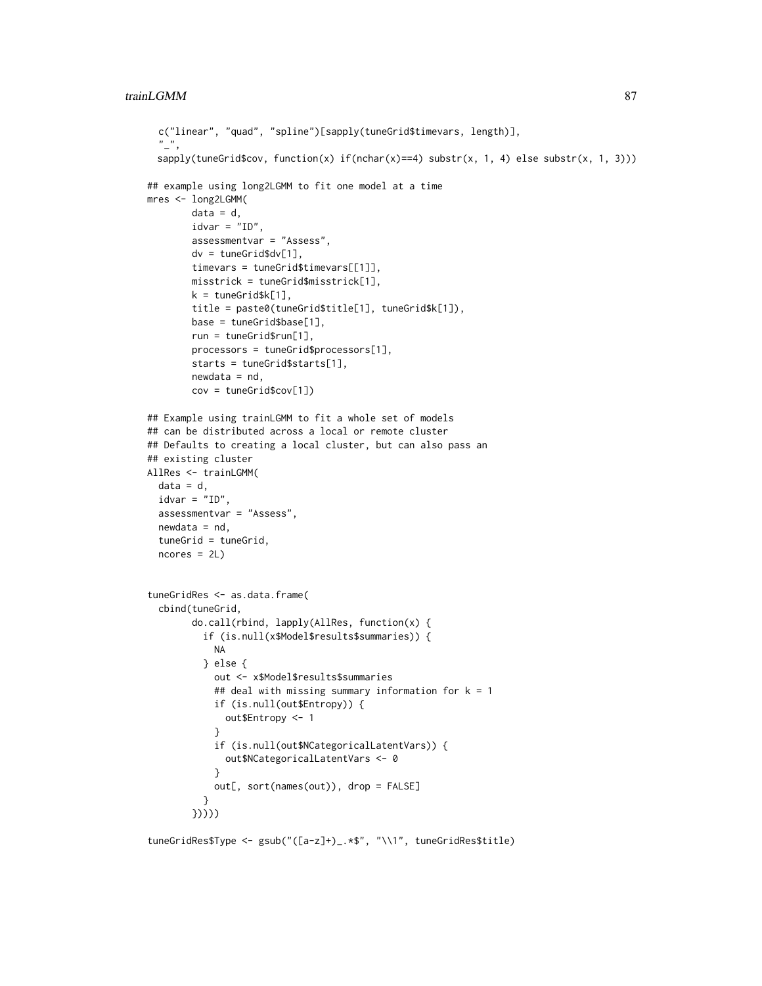```
c("linear", "quad", "spline")[sapply(tuneGrid$timevars, length)],
  \frac{n}{2},
 sapply(tuneGrid$cov, function(x) if(nchar(x)==4) substr(x, 1, 4) else substr(x, 1, 3)))
## example using long2LGMM to fit one model at a time
mres <- long2LGMM(
        data = d,
        idvar = "ID",
        assessmentvar = "Assess",
        dv = tuneGrid$dv[1],
        timevars = tuneGrid$timevars[[1]],
        misstrick = tuneGrid$misstrick[1],
        k = tuneGrid$k[1],
        title = paste0(tuneGrid$title[1], tuneGrid$k[1]),
        base = tuneGrid$base[1],
        run = tuneGrid$run[1],
        processors = tuneGrid$processors[1],
        starts = tuneGrid$starts[1],
        newdata = nd,
        cov = tuneGrid$cov[1])
## Example using trainLGMM to fit a whole set of models
## can be distributed across a local or remote cluster
## Defaults to creating a local cluster, but can also pass an
## existing cluster
AllRes <- trainLGMM(
  data = d,
  idvar = "ID",
  assessmentvar = "Assess",
  newdata = nd,tuneGrid = tuneGrid,
  ncores = 2L)
tuneGridRes <- as.data.frame(
  cbind(tuneGrid,
        do.call(rbind, lapply(AllRes, function(x) {
          if (is.null(x$Model$results$summaries)) {
            NA
          } else {
            out <- x$Model$results$summaries
            ## deal with missing summary information for k = 1if (is.null(out$Entropy)) {
              out$Entropy <- 1
            }
            if (is.null(out$NCategoricalLatentVars)) {
              out$NCategoricalLatentVars <- 0
            }
            out[, sort(names(out)), drop = FALSE]
          }
        }))))
```
tuneGridRes\$Type <- gsub("([a-z]+)\_.\*\$", "\\1", tuneGridRes\$title)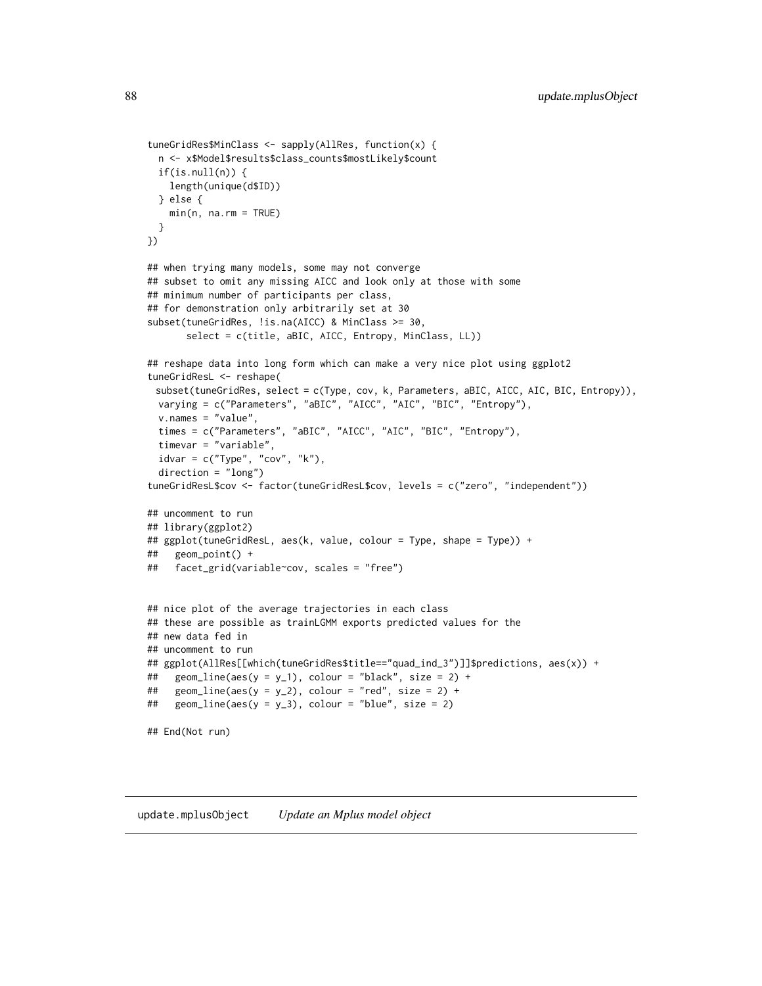```
tuneGridRes$MinClass <- sapply(AllRes, function(x) {
  n <- x$Model$results$class_counts$mostLikely$count
  if(is.null(n)) {
   length(unique(d$ID))
  } else {
   min(n, na.rm = TRUE)}
})
## when trying many models, some may not converge
## subset to omit any missing AICC and look only at those with some
## minimum number of participants per class,
## for demonstration only arbitrarily set at 30
subset(tuneGridRes, !is.na(AICC) & MinClass >= 30,
       select = c(title, aBIC, AICC, Entropy, MinClass, LL))
## reshape data into long form which can make a very nice plot using ggplot2
tuneGridResL <- reshape(
 subset(tuneGridRes, select = c(Type, cov, k, Parameters, aBIC, AICC, AIC, BIC, Entropy)),
  varying = c("Parameters", "aBIC", "AICC", "AIC", "BIC", "Entropy"),
  v.names = "value",
  times = c("Parameters", "aBIC", "AICC", "AIC", "BIC", "Entropy"),
  timevar = "variable",
  idvar = c("Type", "cov", "k"),
  direction = "long")
tuneGridResL$cov <- factor(tuneGridResL$cov, levels = c("zero", "independent"))
## uncomment to run
## library(ggplot2)
## ggplot(tuneGridResL, aes(k, value, colour = Type, shape = Type)) +
## geom_point() +
## facet_grid(variable~cov, scales = "free")
## nice plot of the average trajectories in each class
## these are possible as trainLGMM exports predicted values for the
## new data fed in
## uncomment to run
## ggplot(AllRes[[which(tuneGridRes$title=="quad_ind_3")]]$predictions, aes(x)) +
## geom_line(aes(y = y_1), colour = "black", size = 2) +
## geom_line(aes(y = y_2), colour = "red", size = 2) +
## geom_line(aes(y = y_3), colour = "blue", size = 2)
## End(Not run)
```
update.mplusObject *Update an Mplus model object*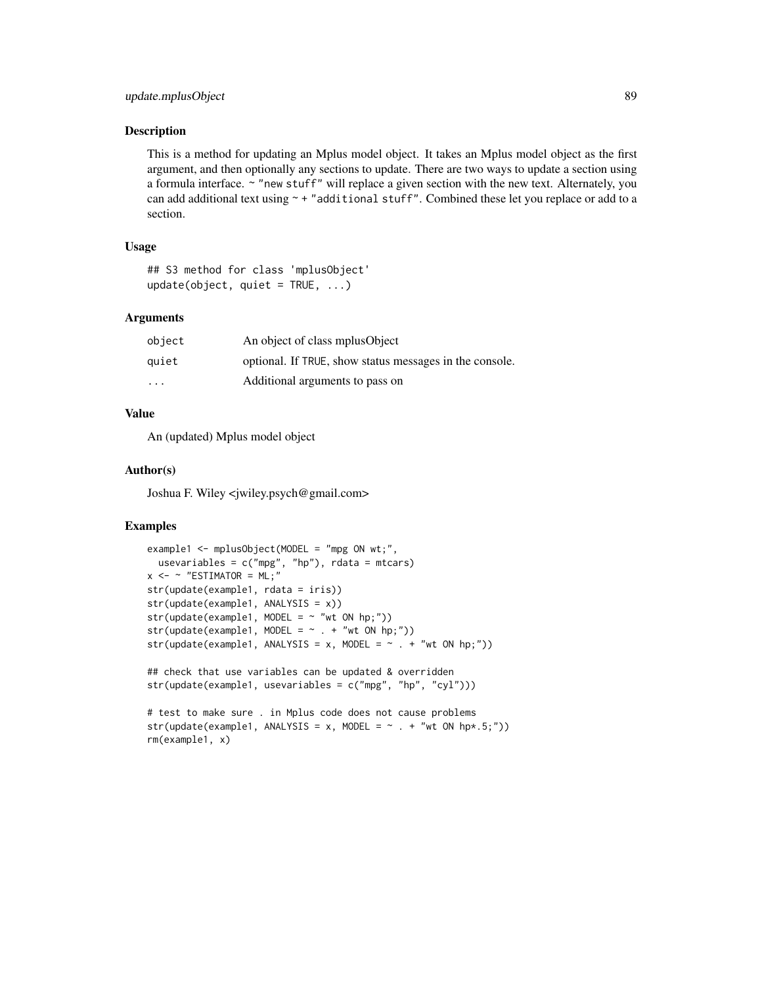# update.mplusObject 89

#### Description

This is a method for updating an Mplus model object. It takes an Mplus model object as the first argument, and then optionally any sections to update. There are two ways to update a section using a formula interface. ~ "new stuff" will replace a given section with the new text. Alternately, you can add additional text using ~ + "additional stuff". Combined these let you replace or add to a section.

## Usage

```
## S3 method for class 'mplusObject'
update(object, quiet = TRUE, ...)
```
#### Arguments

| object                  | An object of class mplus Object                         |
|-------------------------|---------------------------------------------------------|
| quiet                   | optional. If TRUE, show status messages in the console. |
| $\cdot$ $\cdot$ $\cdot$ | Additional arguments to pass on                         |

## Value

An (updated) Mplus model object

## Author(s)

Joshua F. Wiley <jwiley.psych@gmail.com>

## Examples

```
example1 <- mplusObject(MODEL = "mpg ON wt;",
  usevariables = c("mpg", "hp"),rdata = mtcars)
x \le - \sim "ESTIMATOR = ML;"
str(update(example1, rdata = iris))
str(update(example1, ANALYSIS = x))
str(update(example1, MODEL = ~ "wt ON hp;"))str(update(example1, MODEL = ~ . ~ + ~ "wt ON hp;"))str(update(example1, ANALYSIS = x, MODEL = ~ . + "wt ON hp;"))## check that use variables can be updated & overridden
str(update(example1, usevariables = c("mpg", "hp", "cyl")))
# test to make sure . in Mplus code does not cause problems
str(update(example1, ANALYSIS = x, MODEL = \sim . + "wt ON hp*.5;"))
rm(example1, x)
```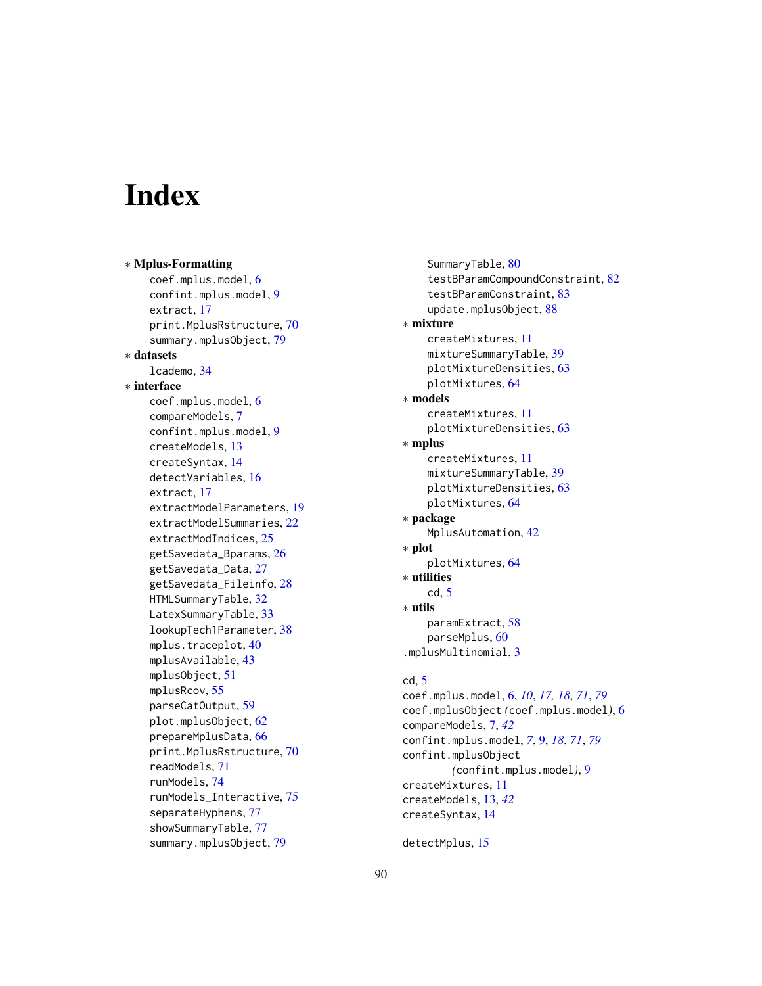# **Index**

∗ Mplus-Formatting coef.mplus.model, [6](#page-5-1) confint.mplus.model, [9](#page-8-1) extract, [17](#page-16-1) print.MplusRstructure, [70](#page-69-1) summary.mplusObject, [79](#page-78-0) ∗ datasets lcademo, [34](#page-33-0) ∗ interface coef.mplus.model, [6](#page-5-1) compareModels, [7](#page-6-0) confint.mplus.model, [9](#page-8-1) createModels, [13](#page-12-0) createSyntax, [14](#page-13-0) detectVariables, [16](#page-15-0) extract, [17](#page-16-1) extractModelParameters, [19](#page-18-0) extractModelSummaries, [22](#page-21-1) extractModIndices, [25](#page-24-0) getSavedata\_Bparams, [26](#page-25-1) getSavedata\_Data, [27](#page-26-0) getSavedata\_Fileinfo, [28](#page-27-0) HTMLSummaryTable, [32](#page-31-1) LatexSummaryTable, [33](#page-32-1) lookupTech1Parameter, [38](#page-37-0) mplus.traceplot, [40](#page-39-0) mplusAvailable, [43](#page-42-0) mplusObject, [51](#page-50-0) mplusRcov, [55](#page-54-0) parseCatOutput, [59](#page-58-0) plot.mplusObject, [62](#page-61-0) prepareMplusData, [66](#page-65-0) print.MplusRstructure, [70](#page-69-1) readModels, [71](#page-70-1) runModels, [74](#page-73-1) runModels\_Interactive, [75](#page-74-1) separateHyphens, [77](#page-76-0) showSummaryTable, [77](#page-76-0) summary.mplusObject, [79](#page-78-0)

SummaryTable, [80](#page-79-0) testBParamCompoundConstraint, [82](#page-81-1) testBParamConstraint, [83](#page-82-1) update.mplusObject, [88](#page-87-0) ∗ mixture createMixtures, [11](#page-10-0) mixtureSummaryTable, [39](#page-38-0) plotMixtureDensities, [63](#page-62-0) plotMixtures, [64](#page-63-0) ∗ models createMixtures, [11](#page-10-0) plotMixtureDensities, [63](#page-62-0) ∗ mplus createMixtures, [11](#page-10-0) mixtureSummaryTable, [39](#page-38-0) plotMixtureDensities, [63](#page-62-0) plotMixtures, [64](#page-63-0) ∗ package MplusAutomation, [42](#page-41-0) ∗ plot plotMixtures, [64](#page-63-0) ∗ utilities cd, [5](#page-4-0) ∗ utils paramExtract, [58](#page-57-0) parseMplus, [60](#page-59-0) .mplusMultinomial, [3](#page-2-0) cd, [5](#page-4-0)

coef.mplus.model, [6,](#page-5-1) *[10](#page-9-0)*, *[17,](#page-16-1) [18](#page-17-0)*, *[71](#page-70-1)*, *[79](#page-78-0)* coef.mplusObject *(*coef.mplus.model*)*, [6](#page-5-1) compareModels, [7,](#page-6-0) *[42](#page-41-0)* confint.mplus.model, *[7](#page-6-0)*, [9,](#page-8-1) *[18](#page-17-0)*, *[71](#page-70-1)*, *[79](#page-78-0)* confint.mplusObject *(*confint.mplus.model*)*, [9](#page-8-1) createMixtures, [11](#page-10-0) createModels, [13,](#page-12-0) *[42](#page-41-0)*

createSyntax, [14](#page-13-0) detectMplus, [15](#page-14-0)